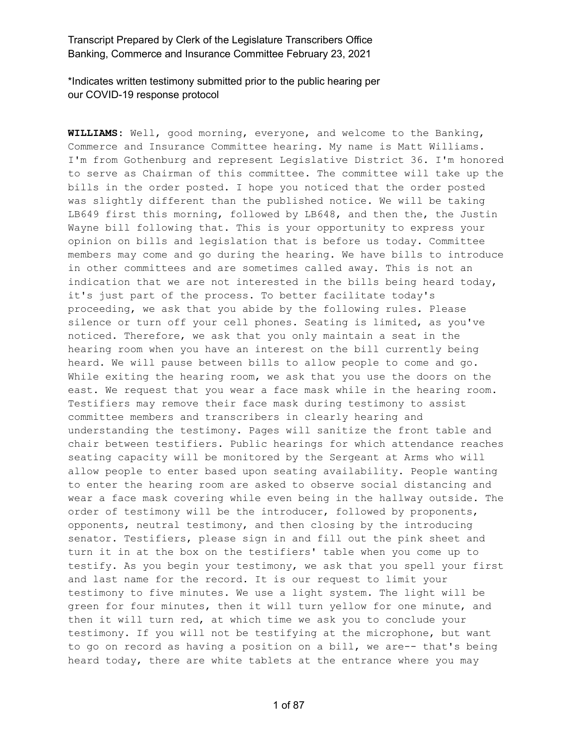\*Indicates written testimony submitted prior to the public hearing per our COVID-19 response protocol

**WILLIAMS:** Well, good morning, everyone, and welcome to the Banking, Commerce and Insurance Committee hearing. My name is Matt Williams. I'm from Gothenburg and represent Legislative District 36. I'm honored to serve as Chairman of this committee. The committee will take up the bills in the order posted. I hope you noticed that the order posted was slightly different than the published notice. We will be taking LB649 first this morning, followed by LB648, and then the, the Justin Wayne bill following that. This is your opportunity to express your opinion on bills and legislation that is before us today. Committee members may come and go during the hearing. We have bills to introduce in other committees and are sometimes called away. This is not an indication that we are not interested in the bills being heard today, it's just part of the process. To better facilitate today's proceeding, we ask that you abide by the following rules. Please silence or turn off your cell phones. Seating is limited, as you've noticed. Therefore, we ask that you only maintain a seat in the hearing room when you have an interest on the bill currently being heard. We will pause between bills to allow people to come and go. While exiting the hearing room, we ask that you use the doors on the east. We request that you wear a face mask while in the hearing room. Testifiers may remove their face mask during testimony to assist committee members and transcribers in clearly hearing and understanding the testimony. Pages will sanitize the front table and chair between testifiers. Public hearings for which attendance reaches seating capacity will be monitored by the Sergeant at Arms who will allow people to enter based upon seating availability. People wanting to enter the hearing room are asked to observe social distancing and wear a face mask covering while even being in the hallway outside. The order of testimony will be the introducer, followed by proponents, opponents, neutral testimony, and then closing by the introducing senator. Testifiers, please sign in and fill out the pink sheet and turn it in at the box on the testifiers' table when you come up to testify. As you begin your testimony, we ask that you spell your first and last name for the record. It is our request to limit your testimony to five minutes. We use a light system. The light will be green for four minutes, then it will turn yellow for one minute, and then it will turn red, at which time we ask you to conclude your testimony. If you will not be testifying at the microphone, but want to go on record as having a position on a bill, we are-- that's being heard today, there are white tablets at the entrance where you may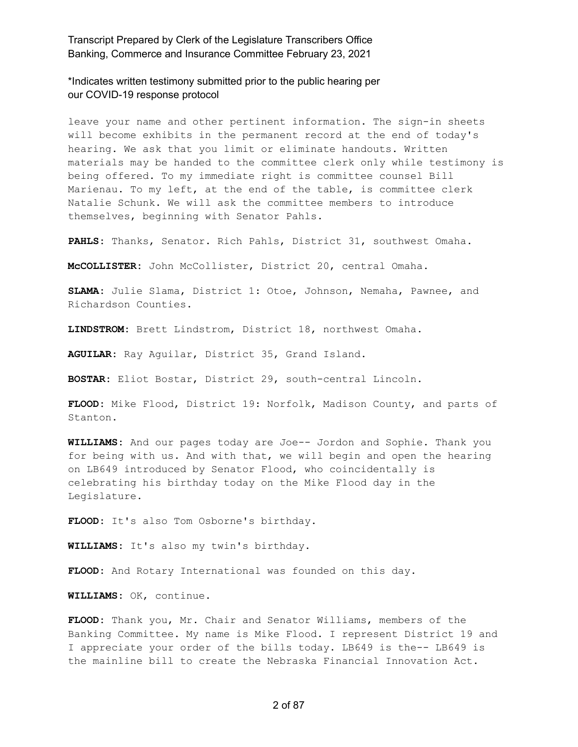\*Indicates written testimony submitted prior to the public hearing per our COVID-19 response protocol

leave your name and other pertinent information. The sign-in sheets will become exhibits in the permanent record at the end of today's hearing. We ask that you limit or eliminate handouts. Written materials may be handed to the committee clerk only while testimony is being offered. To my immediate right is committee counsel Bill Marienau. To my left, at the end of the table, is committee clerk Natalie Schunk. We will ask the committee members to introduce themselves, beginning with Senator Pahls.

**PAHLS:** Thanks, Senator. Rich Pahls, District 31, southwest Omaha.

**McCOLLISTER:** John McCollister, District 20, central Omaha.

**SLAMA:** Julie Slama, District 1: Otoe, Johnson, Nemaha, Pawnee, and Richardson Counties.

**LINDSTROM:** Brett Lindstrom, District 18, northwest Omaha.

**AGUILAR:** Ray Aguilar, District 35, Grand Island.

**BOSTAR:** Eliot Bostar, District 29, south-central Lincoln.

**FLOOD:** Mike Flood, District 19: Norfolk, Madison County, and parts of Stanton.

**WILLIAMS:** And our pages today are Joe-- Jordon and Sophie. Thank you for being with us. And with that, we will begin and open the hearing on LB649 introduced by Senator Flood, who coincidentally is celebrating his birthday today on the Mike Flood day in the Legislature.

**FLOOD:** It's also Tom Osborne's birthday.

**WILLIAMS:** It's also my twin's birthday.

**FLOOD:** And Rotary International was founded on this day.

**WILLIAMS:** OK, continue.

**FLOOD:** Thank you, Mr. Chair and Senator Williams, members of the Banking Committee. My name is Mike Flood. I represent District 19 and I appreciate your order of the bills today. LB649 is the-- LB649 is the mainline bill to create the Nebraska Financial Innovation Act.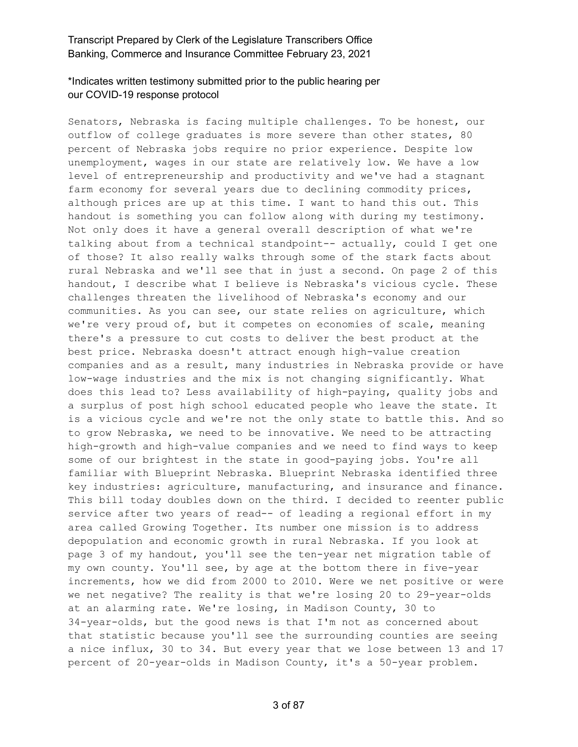## \*Indicates written testimony submitted prior to the public hearing per our COVID-19 response protocol

Senators, Nebraska is facing multiple challenges. To be honest, our outflow of college graduates is more severe than other states, 80 percent of Nebraska jobs require no prior experience. Despite low unemployment, wages in our state are relatively low. We have a low level of entrepreneurship and productivity and we've had a stagnant farm economy for several years due to declining commodity prices, although prices are up at this time. I want to hand this out. This handout is something you can follow along with during my testimony. Not only does it have a general overall description of what we're talking about from a technical standpoint-- actually, could I get one of those? It also really walks through some of the stark facts about rural Nebraska and we'll see that in just a second. On page 2 of this handout, I describe what I believe is Nebraska's vicious cycle. These challenges threaten the livelihood of Nebraska's economy and our communities. As you can see, our state relies on agriculture, which we're very proud of, but it competes on economies of scale, meaning there's a pressure to cut costs to deliver the best product at the best price. Nebraska doesn't attract enough high-value creation companies and as a result, many industries in Nebraska provide or have low-wage industries and the mix is not changing significantly. What does this lead to? Less availability of high-paying, quality jobs and a surplus of post high school educated people who leave the state. It is a vicious cycle and we're not the only state to battle this. And so to grow Nebraska, we need to be innovative. We need to be attracting high-growth and high-value companies and we need to find ways to keep some of our brightest in the state in good-paying jobs. You're all familiar with Blueprint Nebraska. Blueprint Nebraska identified three key industries: agriculture, manufacturing, and insurance and finance. This bill today doubles down on the third. I decided to reenter public service after two years of read-- of leading a regional effort in my area called Growing Together. Its number one mission is to address depopulation and economic growth in rural Nebraska. If you look at page 3 of my handout, you'll see the ten-year net migration table of my own county. You'll see, by age at the bottom there in five-year increments, how we did from 2000 to 2010. Were we net positive or were we net negative? The reality is that we're losing 20 to 29-year-olds at an alarming rate. We're losing, in Madison County, 30 to 34-year-olds, but the good news is that I'm not as concerned about that statistic because you'll see the surrounding counties are seeing a nice influx, 30 to 34. But every year that we lose between 13 and 17 percent of 20-year-olds in Madison County, it's a 50-year problem.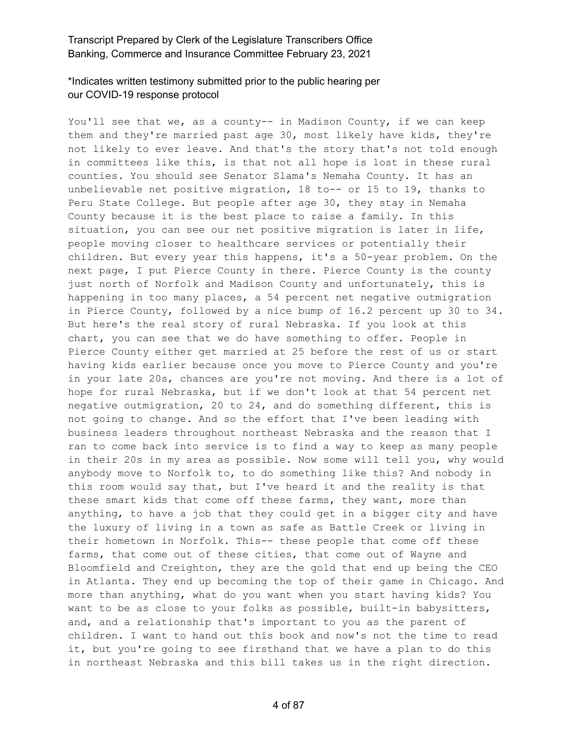# \*Indicates written testimony submitted prior to the public hearing per our COVID-19 response protocol

You'll see that we, as a county-- in Madison County, if we can keep them and they're married past age 30, most likely have kids, they're not likely to ever leave. And that's the story that's not told enough in committees like this, is that not all hope is lost in these rural counties. You should see Senator Slama's Nemaha County. It has an unbelievable net positive migration, 18 to-- or 15 to 19, thanks to Peru State College. But people after age 30, they stay in Nemaha County because it is the best place to raise a family. In this situation, you can see our net positive migration is later in life, people moving closer to healthcare services or potentially their children. But every year this happens, it's a 50-year problem. On the next page, I put Pierce County in there. Pierce County is the county just north of Norfolk and Madison County and unfortunately, this is happening in too many places, a 54 percent net negative outmigration in Pierce County, followed by a nice bump of 16.2 percent up 30 to 34. But here's the real story of rural Nebraska. If you look at this chart, you can see that we do have something to offer. People in Pierce County either get married at 25 before the rest of us or start having kids earlier because once you move to Pierce County and you're in your late 20s, chances are you're not moving. And there is a lot of hope for rural Nebraska, but if we don't look at that 54 percent net negative outmigration, 20 to 24, and do something different, this is not going to change. And so the effort that I've been leading with business leaders throughout northeast Nebraska and the reason that I ran to come back into service is to find a way to keep as many people in their 20s in my area as possible. Now some will tell you, why would anybody move to Norfolk to, to do something like this? And nobody in this room would say that, but I've heard it and the reality is that these smart kids that come off these farms, they want, more than anything, to have a job that they could get in a bigger city and have the luxury of living in a town as safe as Battle Creek or living in their hometown in Norfolk. This-- these people that come off these farms, that come out of these cities, that come out of Wayne and Bloomfield and Creighton, they are the gold that end up being the CEO in Atlanta. They end up becoming the top of their game in Chicago. And more than anything, what do you want when you start having kids? You want to be as close to your folks as possible, built-in babysitters, and, and a relationship that's important to you as the parent of children. I want to hand out this book and now's not the time to read it, but you're going to see firsthand that we have a plan to do this in northeast Nebraska and this bill takes us in the right direction.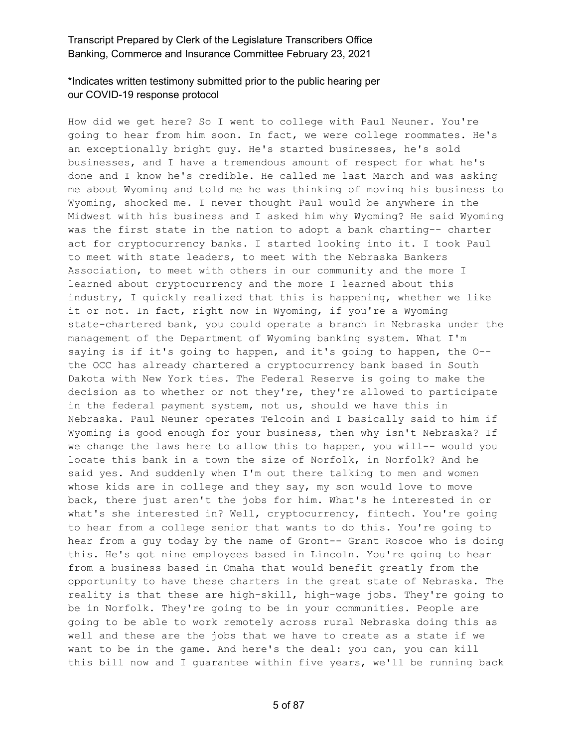# \*Indicates written testimony submitted prior to the public hearing per our COVID-19 response protocol

How did we get here? So I went to college with Paul Neuner. You're going to hear from him soon. In fact, we were college roommates. He's an exceptionally bright guy. He's started businesses, he's sold businesses, and I have a tremendous amount of respect for what he's done and I know he's credible. He called me last March and was asking me about Wyoming and told me he was thinking of moving his business to Wyoming, shocked me. I never thought Paul would be anywhere in the Midwest with his business and I asked him why Wyoming? He said Wyoming was the first state in the nation to adopt a bank charting-- charter act for cryptocurrency banks. I started looking into it. I took Paul to meet with state leaders, to meet with the Nebraska Bankers Association, to meet with others in our community and the more I learned about cryptocurrency and the more I learned about this industry, I quickly realized that this is happening, whether we like it or not. In fact, right now in Wyoming, if you're a Wyoming state-chartered bank, you could operate a branch in Nebraska under the management of the Department of Wyoming banking system. What I'm saying is if it's going to happen, and it's going to happen, the O- the OCC has already chartered a cryptocurrency bank based in South Dakota with New York ties. The Federal Reserve is going to make the decision as to whether or not they're, they're allowed to participate in the federal payment system, not us, should we have this in Nebraska. Paul Neuner operates Telcoin and I basically said to him if Wyoming is good enough for your business, then why isn't Nebraska? If we change the laws here to allow this to happen, you will-- would you locate this bank in a town the size of Norfolk, in Norfolk? And he said yes. And suddenly when I'm out there talking to men and women whose kids are in college and they say, my son would love to move back, there just aren't the jobs for him. What's he interested in or what's she interested in? Well, cryptocurrency, fintech. You're going to hear from a college senior that wants to do this. You're going to hear from a guy today by the name of Gront-- Grant Roscoe who is doing this. He's got nine employees based in Lincoln. You're going to hear from a business based in Omaha that would benefit greatly from the opportunity to have these charters in the great state of Nebraska. The reality is that these are high-skill, high-wage jobs. They're going to be in Norfolk. They're going to be in your communities. People are going to be able to work remotely across rural Nebraska doing this as well and these are the jobs that we have to create as a state if we want to be in the game. And here's the deal: you can, you can kill this bill now and I guarantee within five years, we'll be running back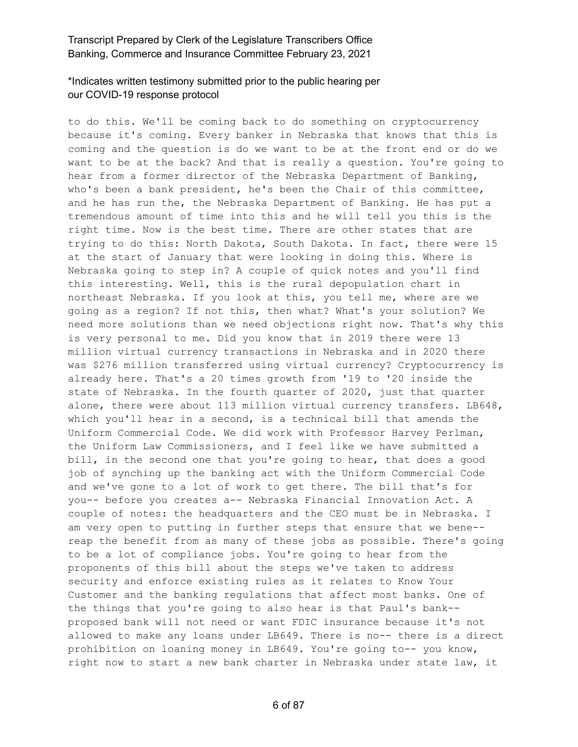# \*Indicates written testimony submitted prior to the public hearing per our COVID-19 response protocol

to do this. We'll be coming back to do something on cryptocurrency because it's coming. Every banker in Nebraska that knows that this is coming and the question is do we want to be at the front end or do we want to be at the back? And that is really a question. You're going to hear from a former director of the Nebraska Department of Banking, who's been a bank president, he's been the Chair of this committee, and he has run the, the Nebraska Department of Banking. He has put a tremendous amount of time into this and he will tell you this is the right time. Now is the best time. There are other states that are trying to do this: North Dakota, South Dakota. In fact, there were 15 at the start of January that were looking in doing this. Where is Nebraska going to step in? A couple of quick notes and you'll find this interesting. Well, this is the rural depopulation chart in northeast Nebraska. If you look at this, you tell me, where are we going as a region? If not this, then what? What's your solution? We need more solutions than we need objections right now. That's why this is very personal to me. Did you know that in 2019 there were 13 million virtual currency transactions in Nebraska and in 2020 there was \$276 million transferred using virtual currency? Cryptocurrency is already here. That's a 20 times growth from '19 to '20 inside the state of Nebraska. In the fourth quarter of 2020, just that quarter alone, there were about 113 million virtual currency transfers. LB648, which you'll hear in a second, is a technical bill that amends the Uniform Commercial Code. We did work with Professor Harvey Perlman, the Uniform Law Commissioners, and I feel like we have submitted a bill, in the second one that you're going to hear, that does a good job of synching up the banking act with the Uniform Commercial Code and we've gone to a lot of work to get there. The bill that's for you-- before you creates a-- Nebraska Financial Innovation Act. A couple of notes: the headquarters and the CEO must be in Nebraska. I am very open to putting in further steps that ensure that we bene- reap the benefit from as many of these jobs as possible. There's going to be a lot of compliance jobs. You're going to hear from the proponents of this bill about the steps we've taken to address security and enforce existing rules as it relates to Know Your Customer and the banking regulations that affect most banks. One of the things that you're going to also hear is that Paul's bank- proposed bank will not need or want FDIC insurance because it's not allowed to make any loans under LB649. There is no-- there is a direct prohibition on loaning money in LB649. You're going to-- you know, right now to start a new bank charter in Nebraska under state law, it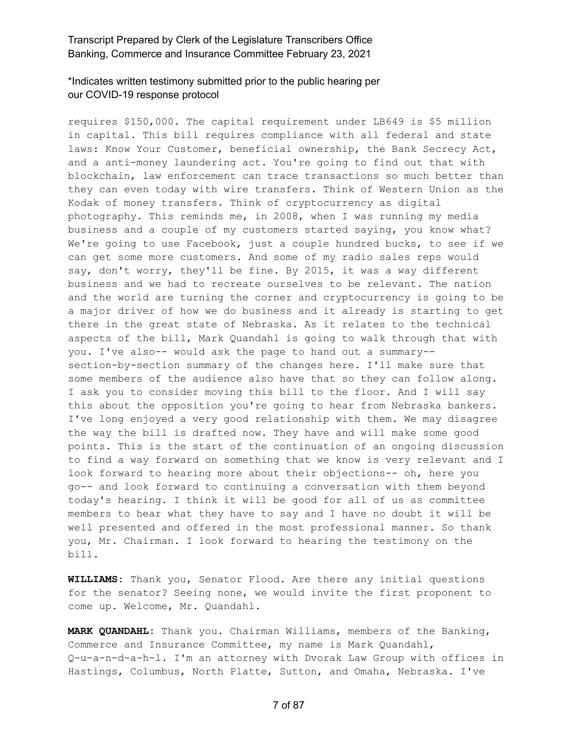#### \*Indicates written testimony submitted prior to the public hearing per our COVID-19 response protocol

requires \$150,000. The capital requirement under LB649 is \$5 million in capital. This bill requires compliance with all federal and state laws: Know Your Customer, beneficial ownership, the Bank Secrecy Act, and a anti-money laundering act. You're going to find out that with blockchain, law enforcement can trace transactions so much better than they can even today with wire transfers. Think of Western Union as the Kodak of money transfers. Think of cryptocurrency as digital photography. This reminds me, in 2008, when I was running my media business and a couple of my customers started saying, you know what? We're going to use Facebook, just a couple hundred bucks, to see if we can get some more customers. And some of my radio sales reps would say, don't worry, they'll be fine. By 2015, it was a way different business and we had to recreate ourselves to be relevant. The nation and the world are turning the corner and cryptocurrency is going to be a major driver of how we do business and it already is starting to get there in the great state of Nebraska. As it relates to the technical aspects of the bill, Mark Quandahl is going to walk through that with you. I've also-- would ask the page to hand out a summary- section-by-section summary of the changes here. I'll make sure that some members of the audience also have that so they can follow along. I ask you to consider moving this bill to the floor. And I will say this about the opposition you're going to hear from Nebraska bankers. I've long enjoyed a very good relationship with them. We may disagree the way the bill is drafted now. They have and will make some good points. This is the start of the continuation of an ongoing discussion to find a way forward on something that we know is very relevant and I look forward to hearing more about their objections-- oh, here you go-- and look forward to continuing a conversation with them beyond today's hearing. I think it will be good for all of us as committee members to hear what they have to say and I have no doubt it will be well presented and offered in the most professional manner. So thank you, Mr. Chairman. I look forward to hearing the testimony on the bill.

**WILLIAMS:** Thank you, Senator Flood. Are there any initial questions for the senator? Seeing none, we would invite the first proponent to come up. Welcome, Mr. Quandahl.

**MARK QUANDAHL:** Thank you. Chairman Williams, members of the Banking, Commerce and Insurance Committee, my name is Mark Quandahl, Q-u-a-n-d-a-h-l. I'm an attorney with Dvorak Law Group with offices in Hastings, Columbus, North Platte, Sutton, and Omaha, Nebraska. I've

7 of 87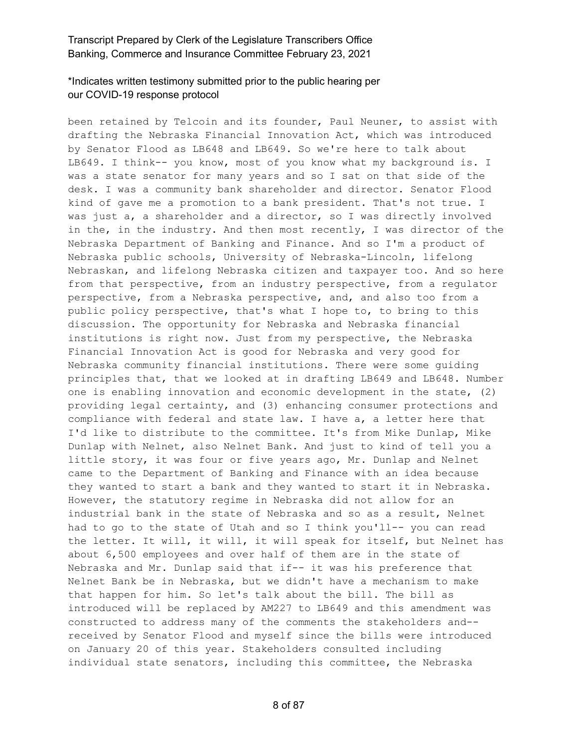# \*Indicates written testimony submitted prior to the public hearing per our COVID-19 response protocol

been retained by Telcoin and its founder, Paul Neuner, to assist with drafting the Nebraska Financial Innovation Act, which was introduced by Senator Flood as LB648 and LB649. So we're here to talk about LB649. I think-- you know, most of you know what my background is. I was a state senator for many years and so I sat on that side of the desk. I was a community bank shareholder and director. Senator Flood kind of gave me a promotion to a bank president. That's not true. I was just a, a shareholder and a director, so I was directly involved in the, in the industry. And then most recently, I was director of the Nebraska Department of Banking and Finance. And so I'm a product of Nebraska public schools, University of Nebraska-Lincoln, lifelong Nebraskan, and lifelong Nebraska citizen and taxpayer too. And so here from that perspective, from an industry perspective, from a regulator perspective, from a Nebraska perspective, and, and also too from a public policy perspective, that's what I hope to, to bring to this discussion. The opportunity for Nebraska and Nebraska financial institutions is right now. Just from my perspective, the Nebraska Financial Innovation Act is good for Nebraska and very good for Nebraska community financial institutions. There were some guiding principles that, that we looked at in drafting LB649 and LB648. Number one is enabling innovation and economic development in the state, (2) providing legal certainty, and (3) enhancing consumer protections and compliance with federal and state law. I have a, a letter here that I'd like to distribute to the committee. It's from Mike Dunlap, Mike Dunlap with Nelnet, also Nelnet Bank. And just to kind of tell you a little story, it was four or five years ago, Mr. Dunlap and Nelnet came to the Department of Banking and Finance with an idea because they wanted to start a bank and they wanted to start it in Nebraska. However, the statutory regime in Nebraska did not allow for an industrial bank in the state of Nebraska and so as a result, Nelnet had to go to the state of Utah and so I think you'll-- you can read the letter. It will, it will, it will speak for itself, but Nelnet has about 6,500 employees and over half of them are in the state of Nebraska and Mr. Dunlap said that if-- it was his preference that Nelnet Bank be in Nebraska, but we didn't have a mechanism to make that happen for him. So let's talk about the bill. The bill as introduced will be replaced by AM227 to LB649 and this amendment was constructed to address many of the comments the stakeholders and- received by Senator Flood and myself since the bills were introduced on January 20 of this year. Stakeholders consulted including individual state senators, including this committee, the Nebraska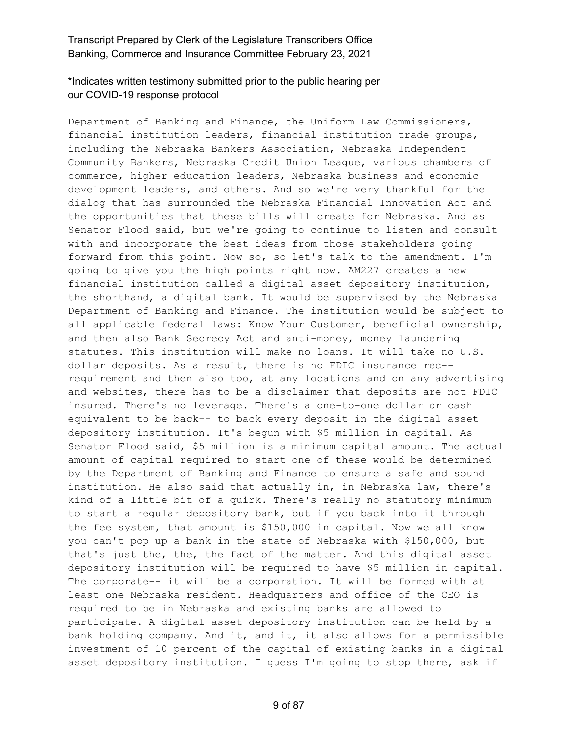## \*Indicates written testimony submitted prior to the public hearing per our COVID-19 response protocol

Department of Banking and Finance, the Uniform Law Commissioners, financial institution leaders, financial institution trade groups, including the Nebraska Bankers Association, Nebraska Independent Community Bankers, Nebraska Credit Union League, various chambers of commerce, higher education leaders, Nebraska business and economic development leaders, and others. And so we're very thankful for the dialog that has surrounded the Nebraska Financial Innovation Act and the opportunities that these bills will create for Nebraska. And as Senator Flood said, but we're going to continue to listen and consult with and incorporate the best ideas from those stakeholders going forward from this point. Now so, so let's talk to the amendment. I'm going to give you the high points right now. AM227 creates a new financial institution called a digital asset depository institution, the shorthand, a digital bank. It would be supervised by the Nebraska Department of Banking and Finance. The institution would be subject to all applicable federal laws: Know Your Customer, beneficial ownership, and then also Bank Secrecy Act and anti-money, money laundering statutes. This institution will make no loans. It will take no U.S. dollar deposits. As a result, there is no FDIC insurance rec- requirement and then also too, at any locations and on any advertising and websites, there has to be a disclaimer that deposits are not FDIC insured. There's no leverage. There's a one-to-one dollar or cash equivalent to be back-- to back every deposit in the digital asset depository institution. It's begun with \$5 million in capital. As Senator Flood said, \$5 million is a minimum capital amount. The actual amount of capital required to start one of these would be determined by the Department of Banking and Finance to ensure a safe and sound institution. He also said that actually in, in Nebraska law, there's kind of a little bit of a quirk. There's really no statutory minimum to start a regular depository bank, but if you back into it through the fee system, that amount is \$150,000 in capital. Now we all know you can't pop up a bank in the state of Nebraska with \$150,000, but that's just the, the, the fact of the matter. And this digital asset depository institution will be required to have \$5 million in capital. The corporate-- it will be a corporation. It will be formed with at least one Nebraska resident. Headquarters and office of the CEO is required to be in Nebraska and existing banks are allowed to participate. A digital asset depository institution can be held by a bank holding company. And it, and it, it also allows for a permissible investment of 10 percent of the capital of existing banks in a digital asset depository institution. I guess I'm going to stop there, ask if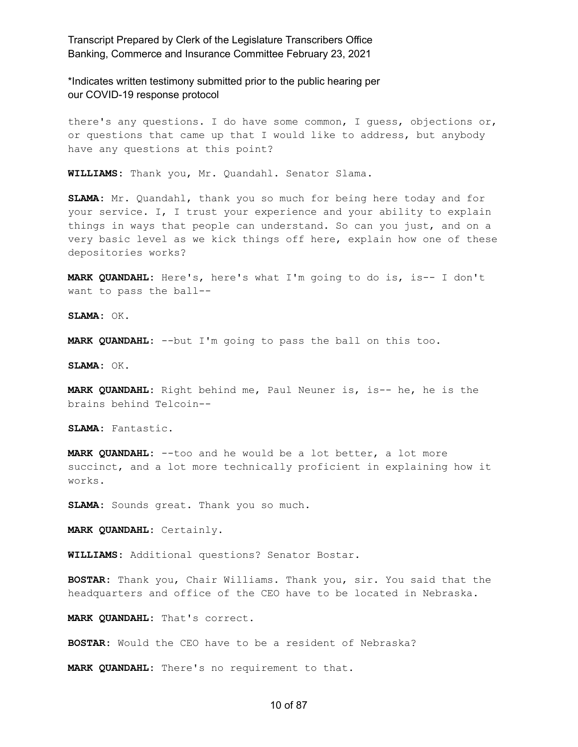\*Indicates written testimony submitted prior to the public hearing per our COVID-19 response protocol

there's any questions. I do have some common, I guess, objections or, or questions that came up that I would like to address, but anybody have any questions at this point?

**WILLIAMS:** Thank you, Mr. Quandahl. Senator Slama.

**SLAMA:** Mr. Quandahl, thank you so much for being here today and for your service. I, I trust your experience and your ability to explain things in ways that people can understand. So can you just, and on a very basic level as we kick things off here, explain how one of these depositories works?

**MARK QUANDAHL:** Here's, here's what I'm going to do is, is-- I don't want to pass the ball--

**SLAMA:** OK.

**MARK QUANDAHL:** --but I'm going to pass the ball on this too.

**SLAMA:** OK.

**MARK QUANDAHL:** Right behind me, Paul Neuner is, is-- he, he is the brains behind Telcoin--

**SLAMA:** Fantastic.

**MARK QUANDAHL:** --too and he would be a lot better, a lot more succinct, and a lot more technically proficient in explaining how it works.

**SLAMA:** Sounds great. Thank you so much.

**MARK QUANDAHL:** Certainly.

**WILLIAMS:** Additional questions? Senator Bostar.

**BOSTAR:** Thank you, Chair Williams. Thank you, sir. You said that the headquarters and office of the CEO have to be located in Nebraska.

**MARK QUANDAHL:** That's correct.

**BOSTAR:** Would the CEO have to be a resident of Nebraska?

**MARK QUANDAHL:** There's no requirement to that.

#### 10 of 87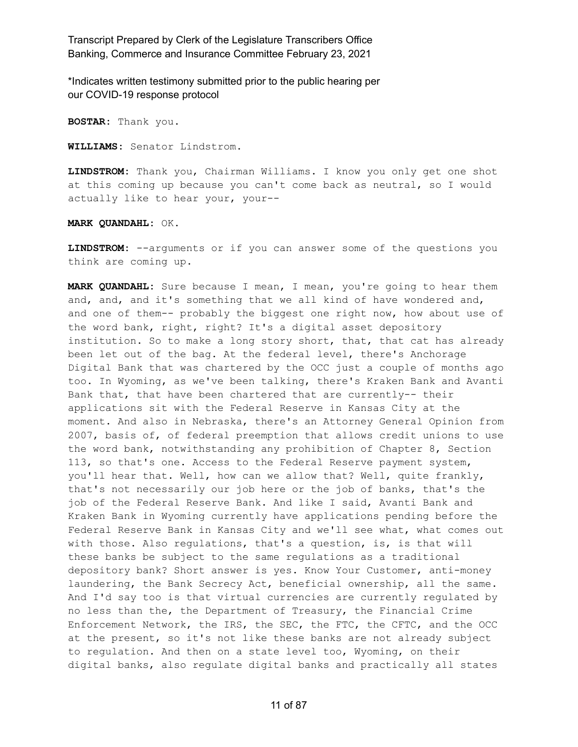\*Indicates written testimony submitted prior to the public hearing per our COVID-19 response protocol

**BOSTAR:** Thank you.

**WILLIAMS:** Senator Lindstrom.

**LINDSTROM:** Thank you, Chairman Williams. I know you only get one shot at this coming up because you can't come back as neutral, so I would actually like to hear your, your--

**MARK QUANDAHL:** OK.

**LINDSTROM:** --arguments or if you can answer some of the questions you think are coming up.

**MARK QUANDAHL:** Sure because I mean, I mean, you're going to hear them and, and, and it's something that we all kind of have wondered and, and one of them-- probably the biggest one right now, how about use of the word bank, right, right? It's a digital asset depository institution. So to make a long story short, that, that cat has already been let out of the bag. At the federal level, there's Anchorage Digital Bank that was chartered by the OCC just a couple of months ago too. In Wyoming, as we've been talking, there's Kraken Bank and Avanti Bank that, that have been chartered that are currently-- their applications sit with the Federal Reserve in Kansas City at the moment. And also in Nebraska, there's an Attorney General Opinion from 2007, basis of, of federal preemption that allows credit unions to use the word bank, notwithstanding any prohibition of Chapter 8, Section 113, so that's one. Access to the Federal Reserve payment system, you'll hear that. Well, how can we allow that? Well, quite frankly, that's not necessarily our job here or the job of banks, that's the job of the Federal Reserve Bank. And like I said, Avanti Bank and Kraken Bank in Wyoming currently have applications pending before the Federal Reserve Bank in Kansas City and we'll see what, what comes out with those. Also regulations, that's a question, is, is that will these banks be subject to the same regulations as a traditional depository bank? Short answer is yes. Know Your Customer, anti-money laundering, the Bank Secrecy Act, beneficial ownership, all the same. And I'd say too is that virtual currencies are currently regulated by no less than the, the Department of Treasury, the Financial Crime Enforcement Network, the IRS, the SEC, the FTC, the CFTC, and the OCC at the present, so it's not like these banks are not already subject to regulation. And then on a state level too, Wyoming, on their digital banks, also regulate digital banks and practically all states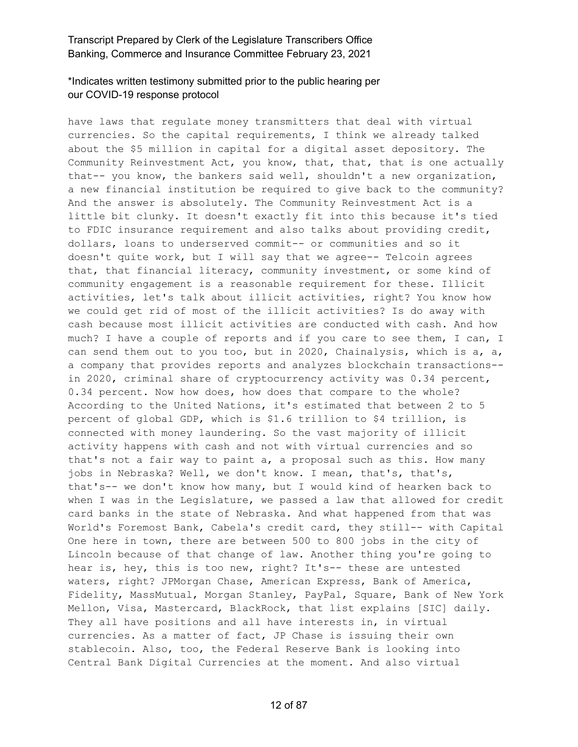# \*Indicates written testimony submitted prior to the public hearing per our COVID-19 response protocol

have laws that regulate money transmitters that deal with virtual currencies. So the capital requirements, I think we already talked about the \$5 million in capital for a digital asset depository. The Community Reinvestment Act, you know, that, that, that is one actually that-- you know, the bankers said well, shouldn't a new organization, a new financial institution be required to give back to the community? And the answer is absolutely. The Community Reinvestment Act is a little bit clunky. It doesn't exactly fit into this because it's tied to FDIC insurance requirement and also talks about providing credit, dollars, loans to underserved commit-- or communities and so it doesn't quite work, but I will say that we agree-- Telcoin agrees that, that financial literacy, community investment, or some kind of community engagement is a reasonable requirement for these. Illicit activities, let's talk about illicit activities, right? You know how we could get rid of most of the illicit activities? Is do away with cash because most illicit activities are conducted with cash. And how much? I have a couple of reports and if you care to see them, I can, I can send them out to you too, but in 2020, Chainalysis, which is a, a, a company that provides reports and analyzes blockchain transactions- in 2020, criminal share of cryptocurrency activity was 0.34 percent, 0.34 percent. Now how does, how does that compare to the whole? According to the United Nations, it's estimated that between 2 to 5 percent of global GDP, which is \$1.6 trillion to \$4 trillion, is connected with money laundering. So the vast majority of illicit activity happens with cash and not with virtual currencies and so that's not a fair way to paint a, a proposal such as this. How many jobs in Nebraska? Well, we don't know. I mean, that's, that's, that's-- we don't know how many, but I would kind of hearken back to when I was in the Legislature, we passed a law that allowed for credit card banks in the state of Nebraska. And what happened from that was World's Foremost Bank, Cabela's credit card, they still-- with Capital One here in town, there are between 500 to 800 jobs in the city of Lincoln because of that change of law. Another thing you're going to hear is, hey, this is too new, right? It's-- these are untested waters, right? JPMorgan Chase, American Express, Bank of America, Fidelity, MassMutual, Morgan Stanley, PayPal, Square, Bank of New York Mellon, Visa, Mastercard, BlackRock, that list explains [SIC] daily. They all have positions and all have interests in, in virtual currencies. As a matter of fact, JP Chase is issuing their own stablecoin. Also, too, the Federal Reserve Bank is looking into Central Bank Digital Currencies at the moment. And also virtual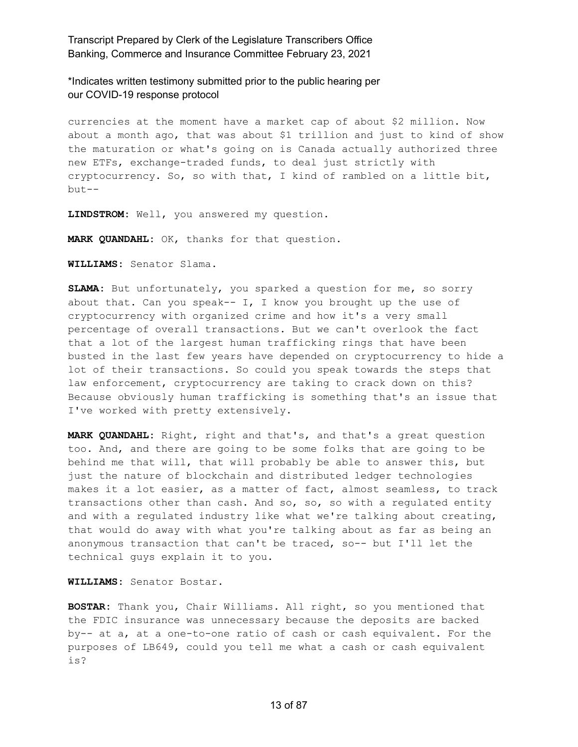\*Indicates written testimony submitted prior to the public hearing per our COVID-19 response protocol

currencies at the moment have a market cap of about \$2 million. Now about a month ago, that was about \$1 trillion and just to kind of show the maturation or what's going on is Canada actually authorized three new ETFs, exchange-traded funds, to deal just strictly with cryptocurrency. So, so with that, I kind of rambled on a little bit, but--

**LINDSTROM:** Well, you answered my question.

**MARK QUANDAHL:** OK, thanks for that question.

**WILLIAMS:** Senator Slama.

**SLAMA:** But unfortunately, you sparked a question for me, so sorry about that. Can you speak-- I, I know you brought up the use of cryptocurrency with organized crime and how it's a very small percentage of overall transactions. But we can't overlook the fact that a lot of the largest human trafficking rings that have been busted in the last few years have depended on cryptocurrency to hide a lot of their transactions. So could you speak towards the steps that law enforcement, cryptocurrency are taking to crack down on this? Because obviously human trafficking is something that's an issue that I've worked with pretty extensively.

**MARK QUANDAHL:** Right, right and that's, and that's a great question too. And, and there are going to be some folks that are going to be behind me that will, that will probably be able to answer this, but just the nature of blockchain and distributed ledger technologies makes it a lot easier, as a matter of fact, almost seamless, to track transactions other than cash. And so, so, so with a regulated entity and with a regulated industry like what we're talking about creating, that would do away with what you're talking about as far as being an anonymous transaction that can't be traced, so-- but I'll let the technical guys explain it to you.

**WILLIAMS:** Senator Bostar.

**BOSTAR:** Thank you, Chair Williams. All right, so you mentioned that the FDIC insurance was unnecessary because the deposits are backed by-- at a, at a one-to-one ratio of cash or cash equivalent. For the purposes of LB649, could you tell me what a cash or cash equivalent is?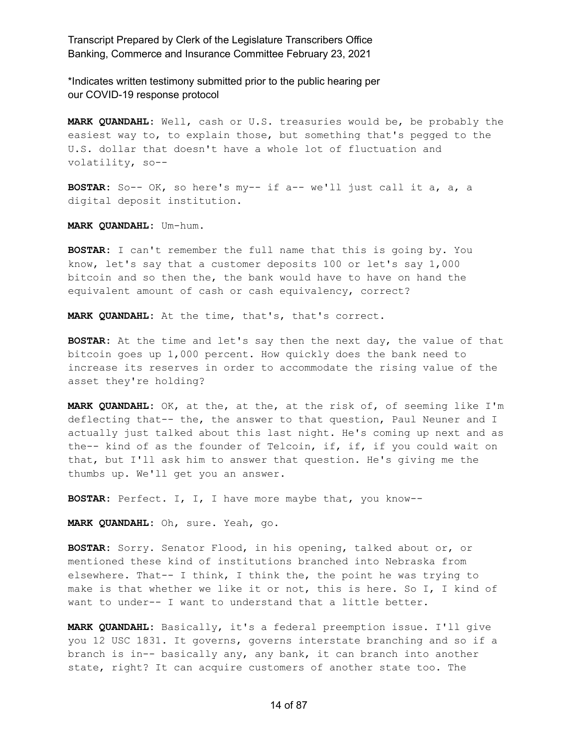\*Indicates written testimony submitted prior to the public hearing per our COVID-19 response protocol

**MARK QUANDAHL:** Well, cash or U.S. treasuries would be, be probably the easiest way to, to explain those, but something that's pegged to the U.S. dollar that doesn't have a whole lot of fluctuation and volatility, so--

**BOSTAR:** So-- OK, so here's my-- if a-- we'll just call it a, a, a digital deposit institution.

**MARK QUANDAHL:** Um-hum.

**BOSTAR:** I can't remember the full name that this is going by. You know, let's say that a customer deposits 100 or let's say 1,000 bitcoin and so then the, the bank would have to have on hand the equivalent amount of cash or cash equivalency, correct?

**MARK QUANDAHL:** At the time, that's, that's correct.

**BOSTAR:** At the time and let's say then the next day, the value of that bitcoin goes up 1,000 percent. How quickly does the bank need to increase its reserves in order to accommodate the rising value of the asset they're holding?

**MARK QUANDAHL:** OK, at the, at the, at the risk of, of seeming like I'm deflecting that-- the, the answer to that question, Paul Neuner and I actually just talked about this last night. He's coming up next and as the-- kind of as the founder of Telcoin, if, if, if you could wait on that, but I'll ask him to answer that question. He's giving me the thumbs up. We'll get you an answer.

**BOSTAR:** Perfect. I, I, I have more maybe that, you know--

**MARK QUANDAHL:** Oh, sure. Yeah, go.

**BOSTAR:** Sorry. Senator Flood, in his opening, talked about or, or mentioned these kind of institutions branched into Nebraska from elsewhere. That-- I think, I think the, the point he was trying to make is that whether we like it or not, this is here. So I, I kind of want to under-- I want to understand that a little better.

**MARK QUANDAHL:** Basically, it's a federal preemption issue. I'll give you 12 USC 1831. It governs, governs interstate branching and so if a branch is in-- basically any, any bank, it can branch into another state, right? It can acquire customers of another state too. The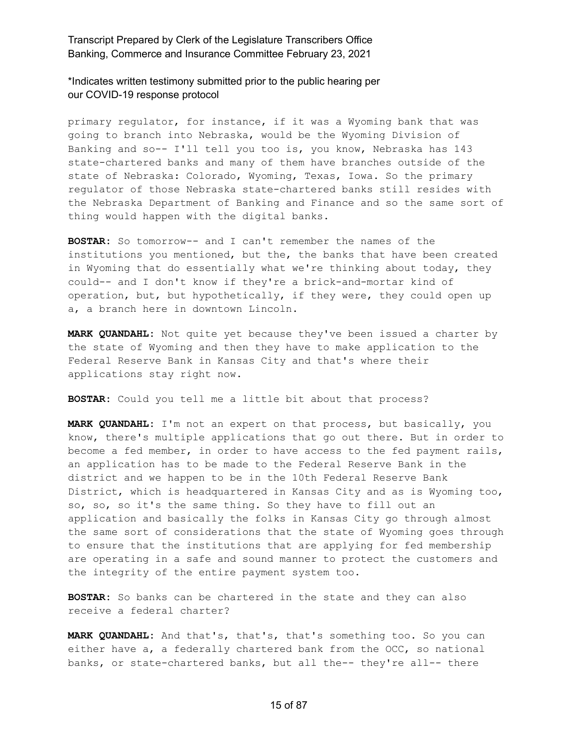\*Indicates written testimony submitted prior to the public hearing per our COVID-19 response protocol

primary regulator, for instance, if it was a Wyoming bank that was going to branch into Nebraska, would be the Wyoming Division of Banking and so-- I'll tell you too is, you know, Nebraska has 143 state-chartered banks and many of them have branches outside of the state of Nebraska: Colorado, Wyoming, Texas, Iowa. So the primary regulator of those Nebraska state-chartered banks still resides with the Nebraska Department of Banking and Finance and so the same sort of thing would happen with the digital banks.

**BOSTAR:** So tomorrow-- and I can't remember the names of the institutions you mentioned, but the, the banks that have been created in Wyoming that do essentially what we're thinking about today, they could-- and I don't know if they're a brick-and-mortar kind of operation, but, but hypothetically, if they were, they could open up a, a branch here in downtown Lincoln.

**MARK QUANDAHL:** Not quite yet because they've been issued a charter by the state of Wyoming and then they have to make application to the Federal Reserve Bank in Kansas City and that's where their applications stay right now.

**BOSTAR:** Could you tell me a little bit about that process?

**MARK QUANDAHL:** I'm not an expert on that process, but basically, you know, there's multiple applications that go out there. But in order to become a fed member, in order to have access to the fed payment rails, an application has to be made to the Federal Reserve Bank in the district and we happen to be in the 10th Federal Reserve Bank District, which is headquartered in Kansas City and as is Wyoming too, so, so, so it's the same thing. So they have to fill out an application and basically the folks in Kansas City go through almost the same sort of considerations that the state of Wyoming goes through to ensure that the institutions that are applying for fed membership are operating in a safe and sound manner to protect the customers and the integrity of the entire payment system too.

**BOSTAR:** So banks can be chartered in the state and they can also receive a federal charter?

**MARK QUANDAHL:** And that's, that's, that's something too. So you can either have a, a federally chartered bank from the OCC, so national banks, or state-chartered banks, but all the-- they're all-- there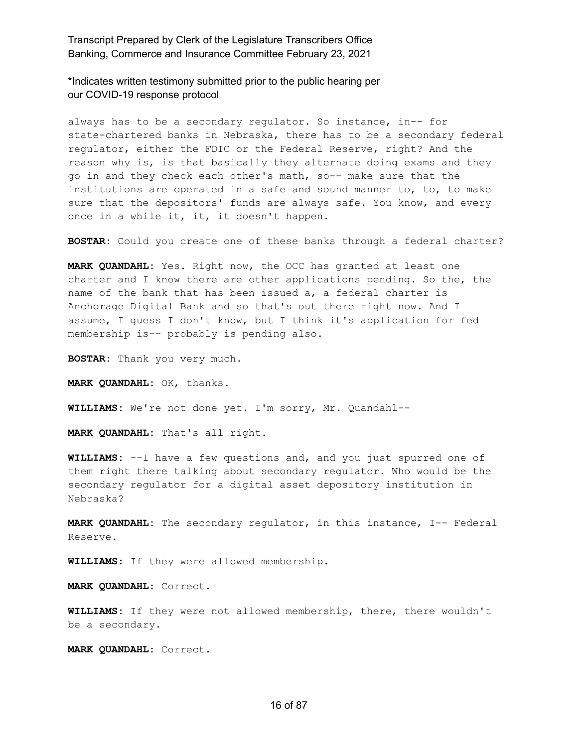\*Indicates written testimony submitted prior to the public hearing per our COVID-19 response protocol

always has to be a secondary regulator. So instance, in-- for state-chartered banks in Nebraska, there has to be a secondary federal regulator, either the FDIC or the Federal Reserve, right? And the reason why is, is that basically they alternate doing exams and they go in and they check each other's math, so-- make sure that the institutions are operated in a safe and sound manner to, to, to make sure that the depositors' funds are always safe. You know, and every once in a while it, it, it doesn't happen.

**BOSTAR:** Could you create one of these banks through a federal charter?

**MARK QUANDAHL:** Yes. Right now, the OCC has granted at least one charter and I know there are other applications pending. So the, the name of the bank that has been issued a, a federal charter is Anchorage Digital Bank and so that's out there right now. And I assume, I guess I don't know, but I think it's application for fed membership is-- probably is pending also.

**BOSTAR:** Thank you very much.

**MARK QUANDAHL:** OK, thanks.

**WILLIAMS:** We're not done yet. I'm sorry, Mr. Quandahl--

**MARK QUANDAHL:** That's all right.

**WILLIAMS:** --I have a few questions and, and you just spurred one of them right there talking about secondary regulator. Who would be the secondary regulator for a digital asset depository institution in Nebraska?

**MARK QUANDAHL:** The secondary regulator, in this instance, I-- Federal Reserve.

**WILLIAMS:** If they were allowed membership.

**MARK QUANDAHL:** Correct.

**WILLIAMS:** If they were not allowed membership, there, there wouldn't be a secondary.

**MARK QUANDAHL:** Correct.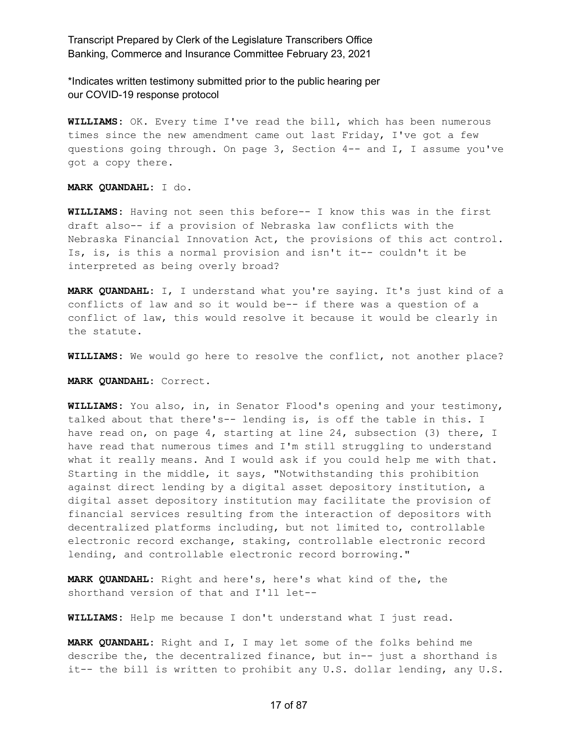\*Indicates written testimony submitted prior to the public hearing per our COVID-19 response protocol

**WILLIAMS:** OK. Every time I've read the bill, which has been numerous times since the new amendment came out last Friday, I've got a few questions going through. On page 3, Section 4-- and I, I assume you've got a copy there.

**MARK QUANDAHL:** I do.

**WILLIAMS:** Having not seen this before-- I know this was in the first draft also-- if a provision of Nebraska law conflicts with the Nebraska Financial Innovation Act, the provisions of this act control. Is, is, is this a normal provision and isn't it-- couldn't it be interpreted as being overly broad?

**MARK QUANDAHL:** I, I understand what you're saying. It's just kind of a conflicts of law and so it would be-- if there was a question of a conflict of law, this would resolve it because it would be clearly in the statute.

**WILLIAMS:** We would go here to resolve the conflict, not another place?

**MARK QUANDAHL:** Correct.

**WILLIAMS:** You also, in, in Senator Flood's opening and your testimony, talked about that there's-- lending is, is off the table in this. I have read on, on page 4, starting at line 24, subsection (3) there, I have read that numerous times and I'm still struggling to understand what it really means. And I would ask if you could help me with that. Starting in the middle, it says, "Notwithstanding this prohibition against direct lending by a digital asset depository institution, a digital asset depository institution may facilitate the provision of financial services resulting from the interaction of depositors with decentralized platforms including, but not limited to, controllable electronic record exchange, staking, controllable electronic record lending, and controllable electronic record borrowing."

**MARK QUANDAHL:** Right and here's, here's what kind of the, the shorthand version of that and I'll let--

**WILLIAMS:** Help me because I don't understand what I just read.

**MARK QUANDAHL:** Right and I, I may let some of the folks behind me describe the, the decentralized finance, but in-- just a shorthand is it-- the bill is written to prohibit any U.S. dollar lending, any U.S.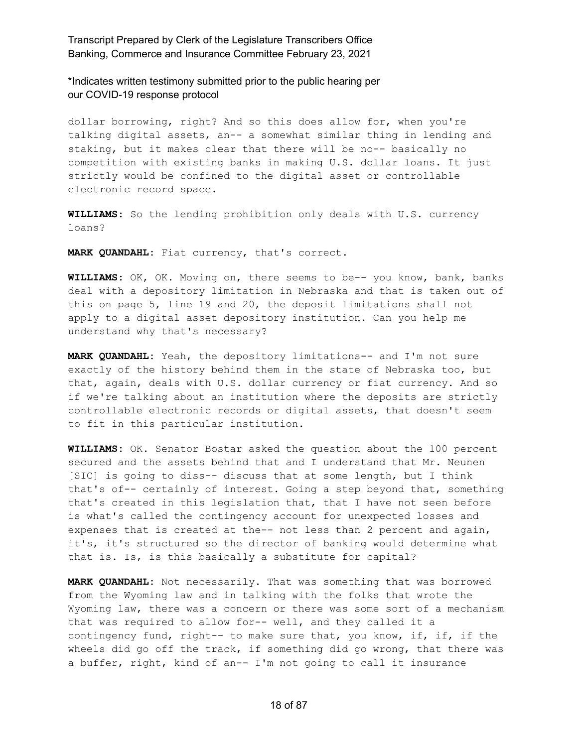\*Indicates written testimony submitted prior to the public hearing per our COVID-19 response protocol

dollar borrowing, right? And so this does allow for, when you're talking digital assets, an-- a somewhat similar thing in lending and staking, but it makes clear that there will be no-- basically no competition with existing banks in making U.S. dollar loans. It just strictly would be confined to the digital asset or controllable electronic record space.

**WILLIAMS:** So the lending prohibition only deals with U.S. currency loans?

**MARK QUANDAHL:** Fiat currency, that's correct.

**WILLIAMS:** OK, OK. Moving on, there seems to be-- you know, bank, banks deal with a depository limitation in Nebraska and that is taken out of this on page 5, line 19 and 20, the deposit limitations shall not apply to a digital asset depository institution. Can you help me understand why that's necessary?

**MARK QUANDAHL:** Yeah, the depository limitations-- and I'm not sure exactly of the history behind them in the state of Nebraska too, but that, again, deals with U.S. dollar currency or fiat currency. And so if we're talking about an institution where the deposits are strictly controllable electronic records or digital assets, that doesn't seem to fit in this particular institution.

**WILLIAMS:** OK. Senator Bostar asked the question about the 100 percent secured and the assets behind that and I understand that Mr. Neunen [SIC] is going to diss-- discuss that at some length, but I think that's of-- certainly of interest. Going a step beyond that, something that's created in this legislation that, that I have not seen before is what's called the contingency account for unexpected losses and expenses that is created at the-- not less than 2 percent and again, it's, it's structured so the director of banking would determine what that is. Is, is this basically a substitute for capital?

**MARK QUANDAHL:** Not necessarily. That was something that was borrowed from the Wyoming law and in talking with the folks that wrote the Wyoming law, there was a concern or there was some sort of a mechanism that was required to allow for-- well, and they called it a contingency fund, right-- to make sure that, you know, if, if, if the wheels did go off the track, if something did go wrong, that there was a buffer, right, kind of an-- I'm not going to call it insurance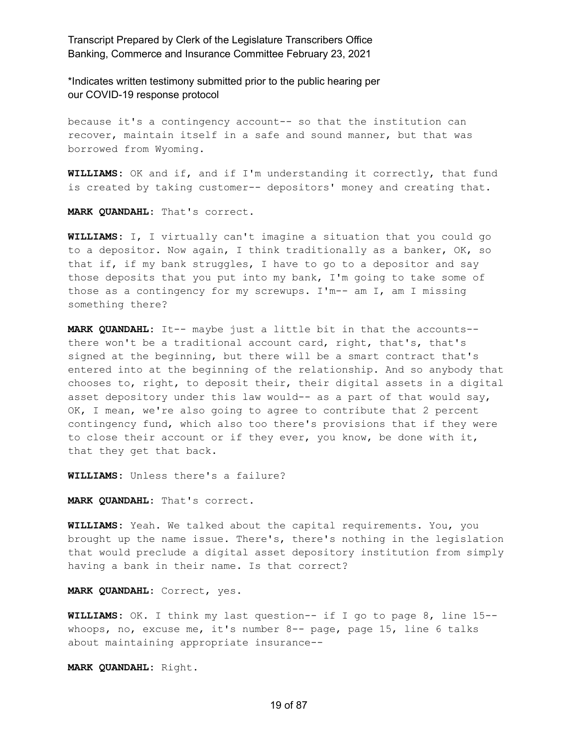\*Indicates written testimony submitted prior to the public hearing per our COVID-19 response protocol

because it's a contingency account-- so that the institution can recover, maintain itself in a safe and sound manner, but that was borrowed from Wyoming.

**WILLIAMS:** OK and if, and if I'm understanding it correctly, that fund is created by taking customer-- depositors' money and creating that.

**MARK QUANDAHL:** That's correct.

**WILLIAMS:** I, I virtually can't imagine a situation that you could go to a depositor. Now again, I think traditionally as a banker, OK, so that if, if my bank struggles, I have to go to a depositor and say those deposits that you put into my bank, I'm going to take some of those as a contingency for my screwups. I'm-- am I, am I missing something there?

**MARK QUANDAHL:** It-- maybe just a little bit in that the accounts- there won't be a traditional account card, right, that's, that's signed at the beginning, but there will be a smart contract that's entered into at the beginning of the relationship. And so anybody that chooses to, right, to deposit their, their digital assets in a digital asset depository under this law would-- as a part of that would say, OK, I mean, we're also going to agree to contribute that 2 percent contingency fund, which also too there's provisions that if they were to close their account or if they ever, you know, be done with it, that they get that back.

**WILLIAMS:** Unless there's a failure?

**MARK QUANDAHL:** That's correct.

**WILLIAMS:** Yeah. We talked about the capital requirements. You, you brought up the name issue. There's, there's nothing in the legislation that would preclude a digital asset depository institution from simply having a bank in their name. Is that correct?

**MARK QUANDAHL:** Correct, yes.

**WILLIAMS:** OK. I think my last question-- if I go to page 8, line 15- whoops, no, excuse me, it's number 8-- page, page 15, line 6 talks about maintaining appropriate insurance--

**MARK QUANDAHL:** Right.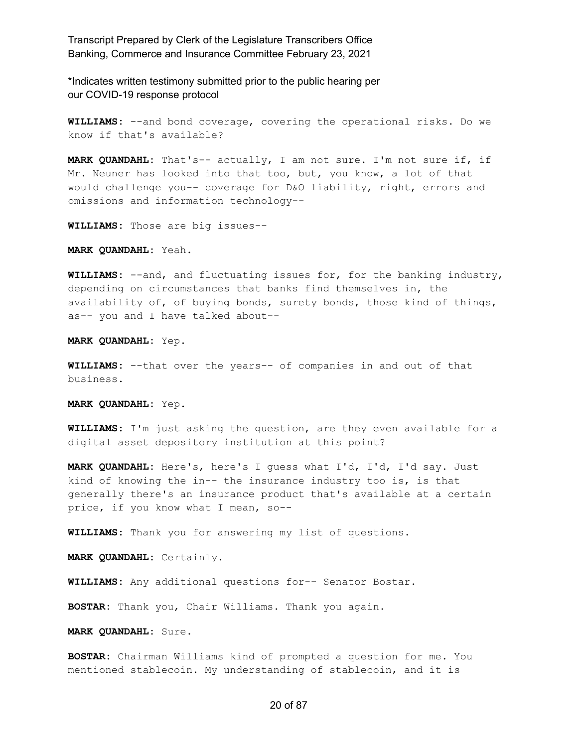\*Indicates written testimony submitted prior to the public hearing per our COVID-19 response protocol

**WILLIAMS:** --and bond coverage, covering the operational risks. Do we know if that's available?

**MARK QUANDAHL:** That's-- actually, I am not sure. I'm not sure if, if Mr. Neuner has looked into that too, but, you know, a lot of that would challenge you-- coverage for D&O liability, right, errors and omissions and information technology--

**WILLIAMS:** Those are big issues--

**MARK QUANDAHL:** Yeah.

**WILLIAMS:** --and, and fluctuating issues for, for the banking industry, depending on circumstances that banks find themselves in, the availability of, of buying bonds, surety bonds, those kind of things, as-- you and I have talked about--

**MARK QUANDAHL:** Yep.

**WILLIAMS:** --that over the years-- of companies in and out of that business.

**MARK QUANDAHL:** Yep.

**WILLIAMS:** I'm just asking the question, are they even available for a digital asset depository institution at this point?

**MARK QUANDAHL:** Here's, here's I guess what I'd, I'd, I'd say. Just kind of knowing the in-- the insurance industry too is, is that generally there's an insurance product that's available at a certain price, if you know what I mean, so--

**WILLIAMS:** Thank you for answering my list of questions.

**MARK QUANDAHL:** Certainly.

**WILLIAMS:** Any additional questions for-- Senator Bostar.

**BOSTAR:** Thank you, Chair Williams. Thank you again.

**MARK QUANDAHL:** Sure.

**BOSTAR:** Chairman Williams kind of prompted a question for me. You mentioned stablecoin. My understanding of stablecoin, and it is

#### 20 of 87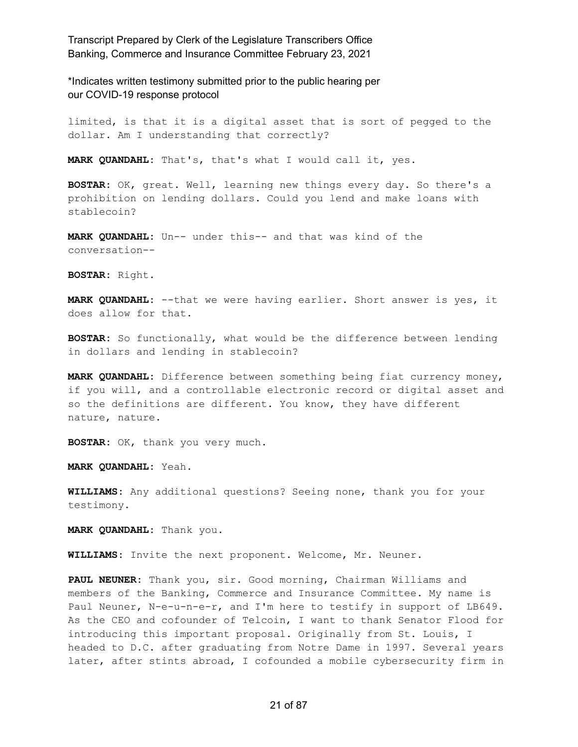\*Indicates written testimony submitted prior to the public hearing per our COVID-19 response protocol

limited, is that it is a digital asset that is sort of pegged to the dollar. Am I understanding that correctly?

**MARK QUANDAHL:** That's, that's what I would call it, yes.

**BOSTAR:** OK, great. Well, learning new things every day. So there's a prohibition on lending dollars. Could you lend and make loans with stablecoin?

**MARK QUANDAHL:** Un-- under this-- and that was kind of the conversation--

**BOSTAR:** Right.

**MARK QUANDAHL:** --that we were having earlier. Short answer is yes, it does allow for that.

**BOSTAR:** So functionally, what would be the difference between lending in dollars and lending in stablecoin?

**MARK QUANDAHL:** Difference between something being fiat currency money, if you will, and a controllable electronic record or digital asset and so the definitions are different. You know, they have different nature, nature.

**BOSTAR:** OK, thank you very much.

**MARK QUANDAHL:** Yeah.

**WILLIAMS:** Any additional questions? Seeing none, thank you for your testimony.

**MARK QUANDAHL:** Thank you.

**WILLIAMS:** Invite the next proponent. Welcome, Mr. Neuner.

**PAUL NEUNER:** Thank you, sir. Good morning, Chairman Williams and members of the Banking, Commerce and Insurance Committee. My name is Paul Neuner, N-e-u-n-e-r, and I'm here to testify in support of LB649. As the CEO and cofounder of Telcoin, I want to thank Senator Flood for introducing this important proposal. Originally from St. Louis, I headed to D.C. after graduating from Notre Dame in 1997. Several years later, after stints abroad, I cofounded a mobile cybersecurity firm in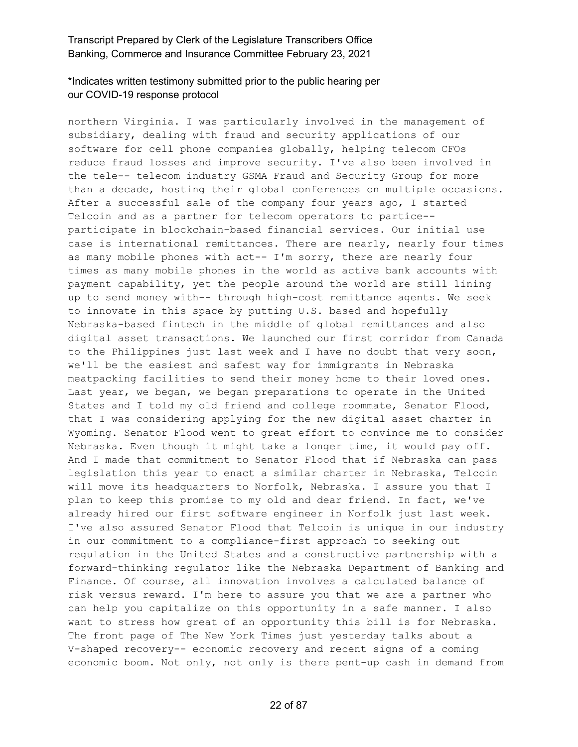## \*Indicates written testimony submitted prior to the public hearing per our COVID-19 response protocol

northern Virginia. I was particularly involved in the management of subsidiary, dealing with fraud and security applications of our software for cell phone companies globally, helping telecom CFOs reduce fraud losses and improve security. I've also been involved in the tele-- telecom industry GSMA Fraud and Security Group for more than a decade, hosting their global conferences on multiple occasions. After a successful sale of the company four years ago, I started Telcoin and as a partner for telecom operators to partice- participate in blockchain-based financial services. Our initial use case is international remittances. There are nearly, nearly four times as many mobile phones with act-- I'm sorry, there are nearly four times as many mobile phones in the world as active bank accounts with payment capability, yet the people around the world are still lining up to send money with-- through high-cost remittance agents. We seek to innovate in this space by putting U.S. based and hopefully Nebraska-based fintech in the middle of global remittances and also digital asset transactions. We launched our first corridor from Canada to the Philippines just last week and I have no doubt that very soon, we'll be the easiest and safest way for immigrants in Nebraska meatpacking facilities to send their money home to their loved ones. Last year, we began, we began preparations to operate in the United States and I told my old friend and college roommate, Senator Flood, that I was considering applying for the new digital asset charter in Wyoming. Senator Flood went to great effort to convince me to consider Nebraska. Even though it might take a longer time, it would pay off. And I made that commitment to Senator Flood that if Nebraska can pass legislation this year to enact a similar charter in Nebraska, Telcoin will move its headquarters to Norfolk, Nebraska. I assure you that I plan to keep this promise to my old and dear friend. In fact, we've already hired our first software engineer in Norfolk just last week. I've also assured Senator Flood that Telcoin is unique in our industry in our commitment to a compliance-first approach to seeking out regulation in the United States and a constructive partnership with a forward-thinking regulator like the Nebraska Department of Banking and Finance. Of course, all innovation involves a calculated balance of risk versus reward. I'm here to assure you that we are a partner who can help you capitalize on this opportunity in a safe manner. I also want to stress how great of an opportunity this bill is for Nebraska. The front page of The New York Times just yesterday talks about a V-shaped recovery-- economic recovery and recent signs of a coming economic boom. Not only, not only is there pent-up cash in demand from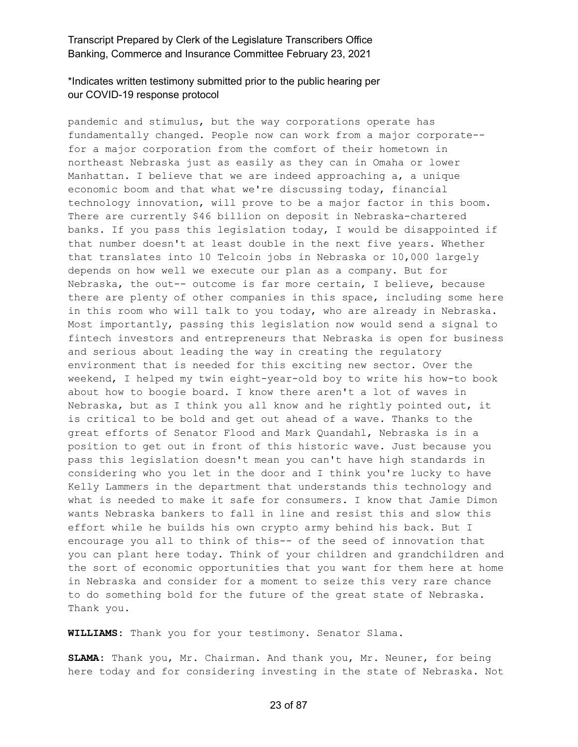# \*Indicates written testimony submitted prior to the public hearing per our COVID-19 response protocol

pandemic and stimulus, but the way corporations operate has fundamentally changed. People now can work from a major corporate- for a major corporation from the comfort of their hometown in northeast Nebraska just as easily as they can in Omaha or lower Manhattan. I believe that we are indeed approaching a, a unique economic boom and that what we're discussing today, financial technology innovation, will prove to be a major factor in this boom. There are currently \$46 billion on deposit in Nebraska-chartered banks. If you pass this legislation today, I would be disappointed if that number doesn't at least double in the next five years. Whether that translates into 10 Telcoin jobs in Nebraska or 10,000 largely depends on how well we execute our plan as a company. But for Nebraska, the out-- outcome is far more certain, I believe, because there are plenty of other companies in this space, including some here in this room who will talk to you today, who are already in Nebraska. Most importantly, passing this legislation now would send a signal to fintech investors and entrepreneurs that Nebraska is open for business and serious about leading the way in creating the regulatory environment that is needed for this exciting new sector. Over the weekend, I helped my twin eight-year-old boy to write his how-to book about how to boogie board. I know there aren't a lot of waves in Nebraska, but as I think you all know and he rightly pointed out, it is critical to be bold and get out ahead of a wave. Thanks to the great efforts of Senator Flood and Mark Quandahl, Nebraska is in a position to get out in front of this historic wave. Just because you pass this legislation doesn't mean you can't have high standards in considering who you let in the door and I think you're lucky to have Kelly Lammers in the department that understands this technology and what is needed to make it safe for consumers. I know that Jamie Dimon wants Nebraska bankers to fall in line and resist this and slow this effort while he builds his own crypto army behind his back. But I encourage you all to think of this-- of the seed of innovation that you can plant here today. Think of your children and grandchildren and the sort of economic opportunities that you want for them here at home in Nebraska and consider for a moment to seize this very rare chance to do something bold for the future of the great state of Nebraska. Thank you.

**WILLIAMS:** Thank you for your testimony. Senator Slama.

**SLAMA:** Thank you, Mr. Chairman. And thank you, Mr. Neuner, for being here today and for considering investing in the state of Nebraska. Not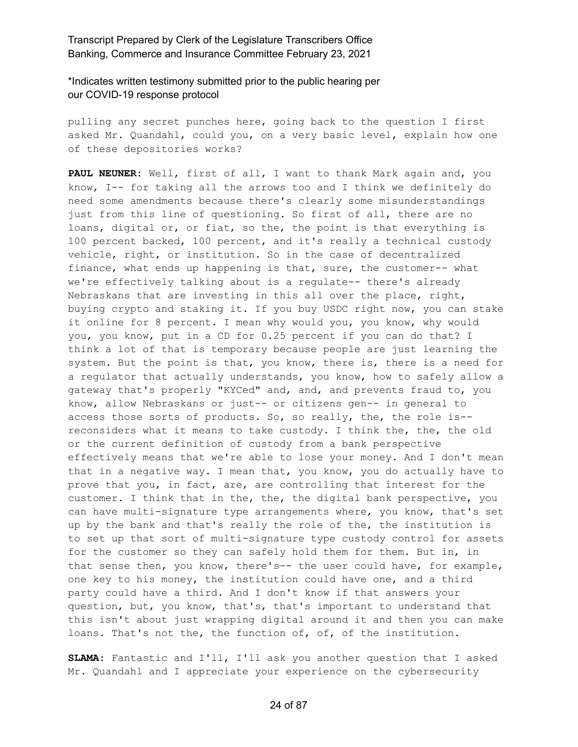\*Indicates written testimony submitted prior to the public hearing per our COVID-19 response protocol

pulling any secret punches here, going back to the question I first asked Mr. Quandahl, could you, on a very basic level, explain how one of these depositories works?

**PAUL NEUNER:** Well, first of all, I want to thank Mark again and, you know, I-- for taking all the arrows too and I think we definitely do need some amendments because there's clearly some misunderstandings just from this line of questioning. So first of all, there are no loans, digital or, or fiat, so the, the point is that everything is 100 percent backed, 100 percent, and it's really a technical custody vehicle, right, or institution. So in the case of decentralized finance, what ends up happening is that, sure, the customer-- what we're effectively talking about is a regulate-- there's already Nebraskans that are investing in this all over the place, right, buying crypto and staking it. If you buy USDC right now, you can stake it online for 8 percent. I mean why would you, you know, why would you, you know, put in a CD for 0.25 percent if you can do that? I think a lot of that is temporary because people are just learning the system. But the point is that, you know, there is, there is a need for a regulator that actually understands, you know, how to safely allow a gateway that's properly "KYCed" and, and, and prevents fraud to, you know, allow Nebraskans or just-- or citizens gen-- in general to access those sorts of products. So, so really, the, the role is- reconsiders what it means to take custody. I think the, the, the old or the current definition of custody from a bank perspective effectively means that we're able to lose your money. And I don't mean that in a negative way. I mean that, you know, you do actually have to prove that you, in fact, are, are controlling that interest for the customer. I think that in the, the, the digital bank perspective, you can have multi-signature type arrangements where, you know, that's set up by the bank and that's really the role of the, the institution is to set up that sort of multi-signature type custody control for assets for the customer so they can safely hold them for them. But in, in that sense then, you know, there's-- the user could have, for example, one key to his money, the institution could have one, and a third party could have a third. And I don't know if that answers your question, but, you know, that's, that's important to understand that this isn't about just wrapping digital around it and then you can make loans. That's not the, the function of, of, of the institution.

**SLAMA:** Fantastic and I'll, I'll ask you another question that I asked Mr. Quandahl and I appreciate your experience on the cybersecurity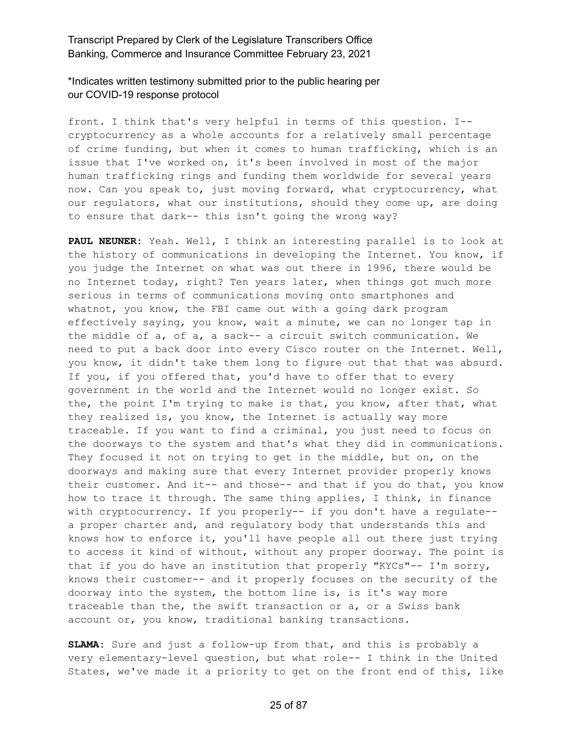\*Indicates written testimony submitted prior to the public hearing per our COVID-19 response protocol

front. I think that's very helpful in terms of this question. I- cryptocurrency as a whole accounts for a relatively small percentage of crime funding, but when it comes to human trafficking, which is an issue that I've worked on, it's been involved in most of the major human trafficking rings and funding them worldwide for several years now. Can you speak to, just moving forward, what cryptocurrency, what our regulators, what our institutions, should they come up, are doing to ensure that dark-- this isn't going the wrong way?

**PAUL NEUNER:** Yeah. Well, I think an interesting parallel is to look at the history of communications in developing the Internet. You know, if you judge the Internet on what was out there in 1996, there would be no Internet today, right? Ten years later, when things got much more serious in terms of communications moving onto smartphones and whatnot, you know, the FBI came out with a going dark program effectively saying, you know, wait a minute, we can no longer tap in the middle of a, of a, a sack-- a circuit switch communication. We need to put a back door into every Cisco router on the Internet. Well, you know, it didn't take them long to figure out that that was absurd. If you, if you offered that, you'd have to offer that to every government in the world and the Internet would no longer exist. So the, the point I'm trying to make is that, you know, after that, what they realized is, you know, the Internet is actually way more traceable. If you want to find a criminal, you just need to focus on the doorways to the system and that's what they did in communications. They focused it not on trying to get in the middle, but on, on the doorways and making sure that every Internet provider properly knows their customer. And it-- and those-- and that if you do that, you know how to trace it through. The same thing applies, I think, in finance with cryptocurrency. If you properly-- if you don't have a regulate- a proper charter and, and regulatory body that understands this and knows how to enforce it, you'll have people all out there just trying to access it kind of without, without any proper doorway. The point is that if you do have an institution that properly "KYCs"-- I'm sorry, knows their customer-- and it properly focuses on the security of the doorway into the system, the bottom line is, is it's way more traceable than the, the swift transaction or a, or a Swiss bank account or, you know, traditional banking transactions.

**SLAMA:** Sure and just a follow-up from that, and this is probably a very elementary-level question, but what role-- I think in the United States, we've made it a priority to get on the front end of this, like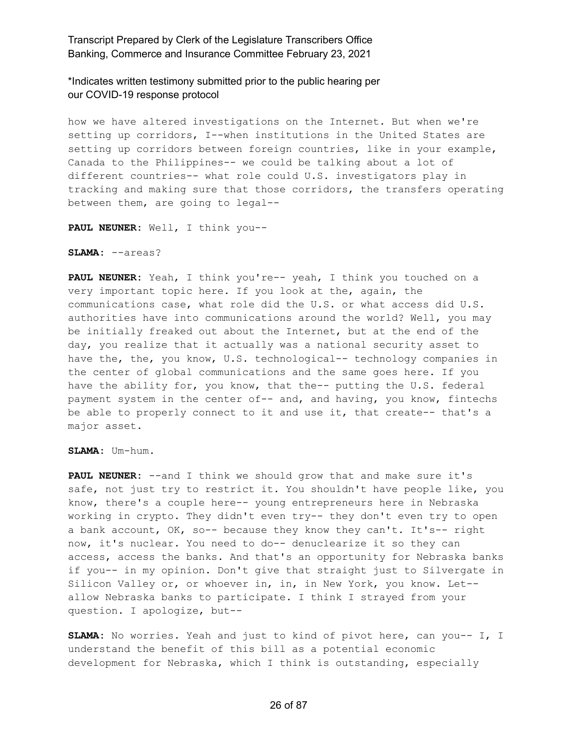\*Indicates written testimony submitted prior to the public hearing per our COVID-19 response protocol

how we have altered investigations on the Internet. But when we're setting up corridors, I--when institutions in the United States are setting up corridors between foreign countries, like in your example, Canada to the Philippines-- we could be talking about a lot of different countries-- what role could U.S. investigators play in tracking and making sure that those corridors, the transfers operating between them, are going to legal--

**PAUL NEUNER:** Well, I think you--

#### **SLAMA:** --areas?

**PAUL NEUNER:** Yeah, I think you're-- yeah, I think you touched on a very important topic here. If you look at the, again, the communications case, what role did the U.S. or what access did U.S. authorities have into communications around the world? Well, you may be initially freaked out about the Internet, but at the end of the day, you realize that it actually was a national security asset to have the, the, you know, U.S. technological-- technology companies in the center of global communications and the same goes here. If you have the ability for, you know, that the-- putting the U.S. federal payment system in the center of-- and, and having, you know, fintechs be able to properly connect to it and use it, that create-- that's a major asset.

#### **SLAMA:** Um-hum.

**PAUL NEUNER:** --and I think we should grow that and make sure it's safe, not just try to restrict it. You shouldn't have people like, you know, there's a couple here-- young entrepreneurs here in Nebraska working in crypto. They didn't even try-- they don't even try to open a bank account, OK, so-- because they know they can't. It's-- right now, it's nuclear. You need to do-- denuclearize it so they can access, access the banks. And that's an opportunity for Nebraska banks if you-- in my opinion. Don't give that straight just to Silvergate in Silicon Valley or, or whoever in, in, in New York, you know. Let- allow Nebraska banks to participate. I think I strayed from your question. I apologize, but--

**SLAMA:** No worries. Yeah and just to kind of pivot here, can you-- I, I understand the benefit of this bill as a potential economic development for Nebraska, which I think is outstanding, especially

#### 26 of 87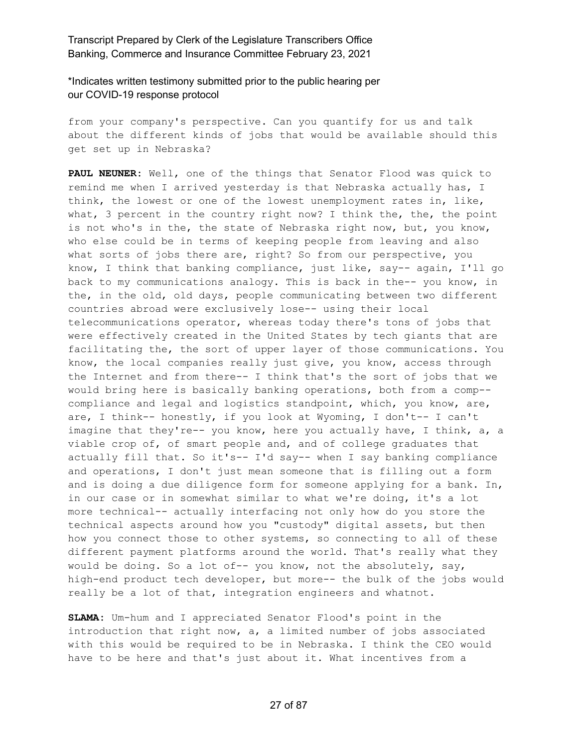\*Indicates written testimony submitted prior to the public hearing per our COVID-19 response protocol

from your company's perspective. Can you quantify for us and talk about the different kinds of jobs that would be available should this get set up in Nebraska?

**PAUL NEUNER:** Well, one of the things that Senator Flood was quick to remind me when I arrived yesterday is that Nebraska actually has, I think, the lowest or one of the lowest unemployment rates in, like, what, 3 percent in the country right now? I think the, the, the point is not who's in the, the state of Nebraska right now, but, you know, who else could be in terms of keeping people from leaving and also what sorts of jobs there are, right? So from our perspective, you know, I think that banking compliance, just like, say-- again, I'll go back to my communications analogy. This is back in the-- you know, in the, in the old, old days, people communicating between two different countries abroad were exclusively lose-- using their local telecommunications operator, whereas today there's tons of jobs that were effectively created in the United States by tech giants that are facilitating the, the sort of upper layer of those communications. You know, the local companies really just give, you know, access through the Internet and from there-- I think that's the sort of jobs that we would bring here is basically banking operations, both from a comp- compliance and legal and logistics standpoint, which, you know, are, are, I think-- honestly, if you look at Wyoming, I don't-- I can't imagine that they're-- you know, here you actually have, I think, a, a viable crop of, of smart people and, and of college graduates that actually fill that. So it's-- I'd say-- when I say banking compliance and operations, I don't just mean someone that is filling out a form and is doing a due diligence form for someone applying for a bank. In, in our case or in somewhat similar to what we're doing, it's a lot more technical-- actually interfacing not only how do you store the technical aspects around how you "custody" digital assets, but then how you connect those to other systems, so connecting to all of these different payment platforms around the world. That's really what they would be doing. So a lot of-- you know, not the absolutely, say, high-end product tech developer, but more-- the bulk of the jobs would really be a lot of that, integration engineers and whatnot.

**SLAMA:** Um-hum and I appreciated Senator Flood's point in the introduction that right now, a, a limited number of jobs associated with this would be required to be in Nebraska. I think the CEO would have to be here and that's just about it. What incentives from a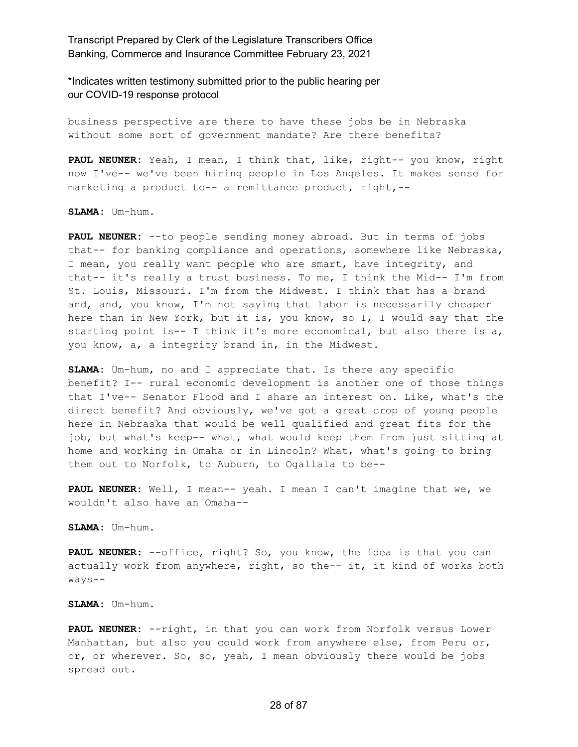\*Indicates written testimony submitted prior to the public hearing per our COVID-19 response protocol

business perspective are there to have these jobs be in Nebraska without some sort of government mandate? Are there benefits?

**PAUL NEUNER:** Yeah, I mean, I think that, like, right-- you know, right now I've-- we've been hiring people in Los Angeles. It makes sense for marketing a product to-- a remittance product, right,--

**SLAMA:** Um-hum.

**PAUL NEUNER:** --to people sending money abroad. But in terms of jobs that-- for banking compliance and operations, somewhere like Nebraska, I mean, you really want people who are smart, have integrity, and that-- it's really a trust business. To me, I think the Mid-- I'm from St. Louis, Missouri. I'm from the Midwest. I think that has a brand and, and, you know, I'm not saying that labor is necessarily cheaper here than in New York, but it is, you know, so I, I would say that the starting point is-- I think it's more economical, but also there is a, you know, a, a integrity brand in, in the Midwest.

**SLAMA:** Um-hum, no and I appreciate that. Is there any specific benefit? I-- rural economic development is another one of those things that I've-- Senator Flood and I share an interest on. Like, what's the direct benefit? And obviously, we've got a great crop of young people here in Nebraska that would be well qualified and great fits for the job, but what's keep-- what, what would keep them from just sitting at home and working in Omaha or in Lincoln? What, what's going to bring them out to Norfolk, to Auburn, to Ogallala to be--

**PAUL NEUNER:** Well, I mean-- yeah. I mean I can't imagine that we, we wouldn't also have an Omaha--

**SLAMA:** Um-hum.

**PAUL NEUNER:** --office, right? So, you know, the idea is that you can actually work from anywhere, right, so the-- it, it kind of works both ways--

#### **SLAMA:** Um-hum.

**PAUL NEUNER:** --right, in that you can work from Norfolk versus Lower Manhattan, but also you could work from anywhere else, from Peru or, or, or wherever. So, so, yeah, I mean obviously there would be jobs spread out.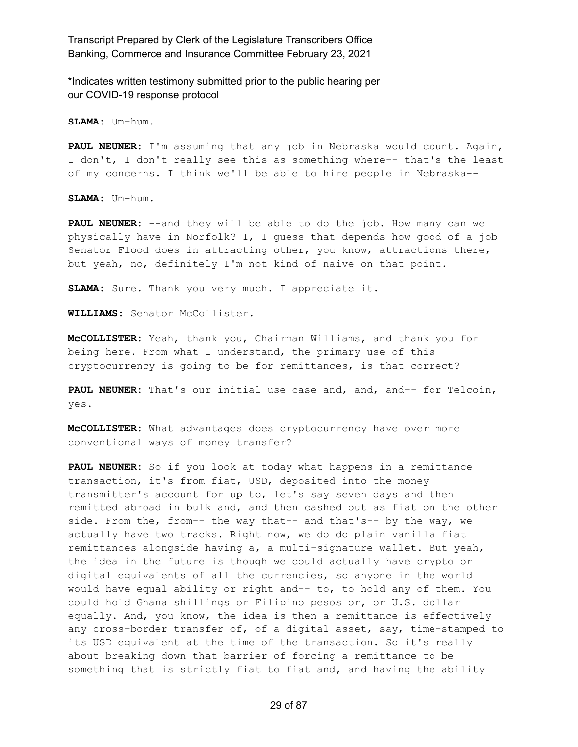\*Indicates written testimony submitted prior to the public hearing per our COVID-19 response protocol

**SLAMA:** Um-hum.

**PAUL NEUNER:** I'm assuming that any job in Nebraska would count. Again, I don't, I don't really see this as something where-- that's the least of my concerns. I think we'll be able to hire people in Nebraska--

**SLAMA:** Um-hum.

**PAUL NEUNER:** --and they will be able to do the job. How many can we physically have in Norfolk? I, I guess that depends how good of a job Senator Flood does in attracting other, you know, attractions there, but yeah, no, definitely I'm not kind of naive on that point.

**SLAMA:** Sure. Thank you very much. I appreciate it.

**WILLIAMS:** Senator McCollister.

**McCOLLISTER:** Yeah, thank you, Chairman Williams, and thank you for being here. From what I understand, the primary use of this cryptocurrency is going to be for remittances, is that correct?

**PAUL NEUNER:** That's our initial use case and, and, and-- for Telcoin, yes.

**McCOLLISTER:** What advantages does cryptocurrency have over more conventional ways of money transfer?

**PAUL NEUNER:** So if you look at today what happens in a remittance transaction, it's from fiat, USD, deposited into the money transmitter's account for up to, let's say seven days and then remitted abroad in bulk and, and then cashed out as fiat on the other side. From the, from-- the way that-- and that's-- by the way, we actually have two tracks. Right now, we do do plain vanilla fiat remittances alongside having a, a multi-signature wallet. But yeah, the idea in the future is though we could actually have crypto or digital equivalents of all the currencies, so anyone in the world would have equal ability or right and-- to, to hold any of them. You could hold Ghana shillings or Filipino pesos or, or U.S. dollar equally. And, you know, the idea is then a remittance is effectively any cross-border transfer of, of a digital asset, say, time-stamped to its USD equivalent at the time of the transaction. So it's really about breaking down that barrier of forcing a remittance to be something that is strictly fiat to fiat and, and having the ability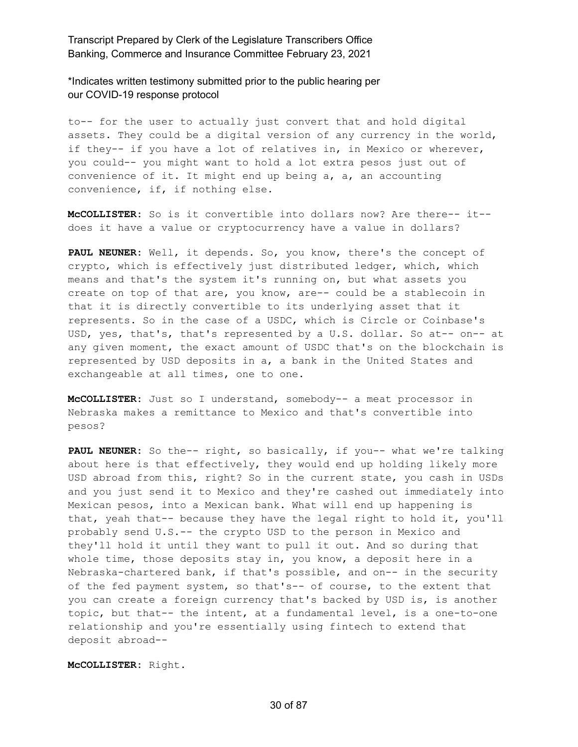\*Indicates written testimony submitted prior to the public hearing per our COVID-19 response protocol

to-- for the user to actually just convert that and hold digital assets. They could be a digital version of any currency in the world, if they-- if you have a lot of relatives in, in Mexico or wherever, you could-- you might want to hold a lot extra pesos just out of convenience of it. It might end up being a, a, an accounting convenience, if, if nothing else.

**McCOLLISTER:** So is it convertible into dollars now? Are there-- it- does it have a value or cryptocurrency have a value in dollars?

**PAUL NEUNER:** Well, it depends. So, you know, there's the concept of crypto, which is effectively just distributed ledger, which, which means and that's the system it's running on, but what assets you create on top of that are, you know, are-- could be a stablecoin in that it is directly convertible to its underlying asset that it represents. So in the case of a USDC, which is Circle or Coinbase's USD, yes, that's, that's represented by a U.S. dollar. So at-- on-- at any given moment, the exact amount of USDC that's on the blockchain is represented by USD deposits in a, a bank in the United States and exchangeable at all times, one to one.

**McCOLLISTER:** Just so I understand, somebody-- a meat processor in Nebraska makes a remittance to Mexico and that's convertible into pesos?

**PAUL NEUNER:** So the-- right, so basically, if you-- what we're talking about here is that effectively, they would end up holding likely more USD abroad from this, right? So in the current state, you cash in USDs and you just send it to Mexico and they're cashed out immediately into Mexican pesos, into a Mexican bank. What will end up happening is that, yeah that-- because they have the legal right to hold it, you'll probably send U.S.-- the crypto USD to the person in Mexico and they'll hold it until they want to pull it out. And so during that whole time, those deposits stay in, you know, a deposit here in a Nebraska-chartered bank, if that's possible, and on-- in the security of the fed payment system, so that's-- of course, to the extent that you can create a foreign currency that's backed by USD is, is another topic, but that-- the intent, at a fundamental level, is a one-to-one relationship and you're essentially using fintech to extend that deposit abroad--

**McCOLLISTER:** Right.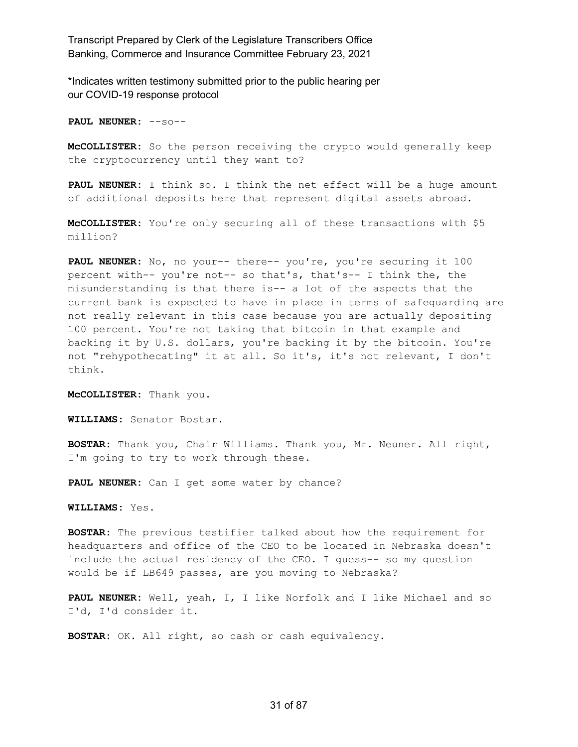\*Indicates written testimony submitted prior to the public hearing per our COVID-19 response protocol

**PAUL NEUNER:** --so--

**McCOLLISTER:** So the person receiving the crypto would generally keep the cryptocurrency until they want to?

**PAUL NEUNER:** I think so. I think the net effect will be a huge amount of additional deposits here that represent digital assets abroad.

**McCOLLISTER:** You're only securing all of these transactions with \$5 million?

**PAUL NEUNER:** No, no your-- there-- you're, you're securing it 100 percent with-- you're not-- so that's, that's-- I think the, the misunderstanding is that there is-- a lot of the aspects that the current bank is expected to have in place in terms of safeguarding are not really relevant in this case because you are actually depositing 100 percent. You're not taking that bitcoin in that example and backing it by U.S. dollars, you're backing it by the bitcoin. You're not "rehypothecating" it at all. So it's, it's not relevant, I don't think.

**McCOLLISTER:** Thank you.

**WILLIAMS:** Senator Bostar.

**BOSTAR:** Thank you, Chair Williams. Thank you, Mr. Neuner. All right, I'm going to try to work through these.

**PAUL NEUNER:** Can I get some water by chance?

**WILLIAMS:** Yes.

**BOSTAR:** The previous testifier talked about how the requirement for headquarters and office of the CEO to be located in Nebraska doesn't include the actual residency of the CEO. I guess-- so my question would be if LB649 passes, are you moving to Nebraska?

**PAUL NEUNER:** Well, yeah, I, I like Norfolk and I like Michael and so I'd, I'd consider it.

**BOSTAR:** OK. All right, so cash or cash equivalency.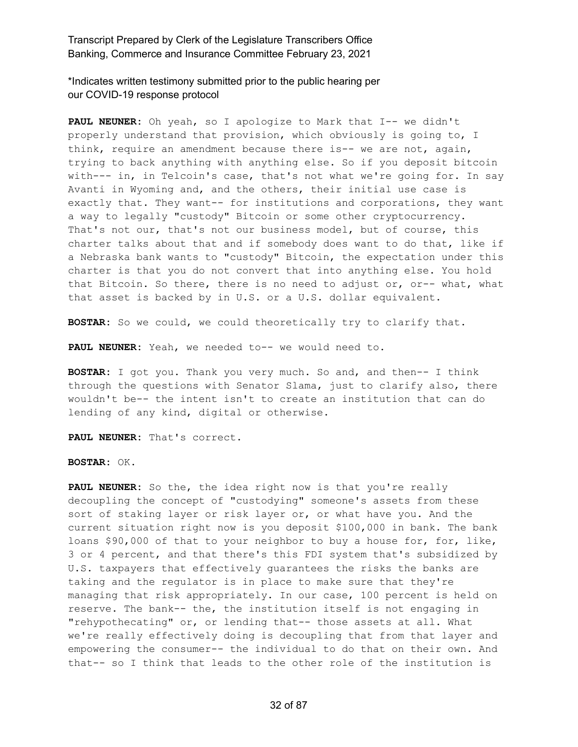\*Indicates written testimony submitted prior to the public hearing per our COVID-19 response protocol

**PAUL NEUNER:** Oh yeah, so I apologize to Mark that I-- we didn't properly understand that provision, which obviously is going to, I think, require an amendment because there is-- we are not, again, trying to back anything with anything else. So if you deposit bitcoin with--- in, in Telcoin's case, that's not what we're going for. In say Avanti in Wyoming and, and the others, their initial use case is exactly that. They want-- for institutions and corporations, they want a way to legally "custody" Bitcoin or some other cryptocurrency. That's not our, that's not our business model, but of course, this charter talks about that and if somebody does want to do that, like if a Nebraska bank wants to "custody" Bitcoin, the expectation under this charter is that you do not convert that into anything else. You hold that Bitcoin. So there, there is no need to adjust or, or-- what, what that asset is backed by in U.S. or a U.S. dollar equivalent.

**BOSTAR:** So we could, we could theoretically try to clarify that.

**PAUL NEUNER:** Yeah, we needed to-- we would need to.

**BOSTAR:** I got you. Thank you very much. So and, and then-- I think through the questions with Senator Slama, just to clarify also, there wouldn't be-- the intent isn't to create an institution that can do lending of any kind, digital or otherwise.

**PAUL NEUNER:** That's correct.

**BOSTAR:** OK.

**PAUL NEUNER:** So the, the idea right now is that you're really decoupling the concept of "custodying" someone's assets from these sort of staking layer or risk layer or, or what have you. And the current situation right now is you deposit \$100,000 in bank. The bank loans \$90,000 of that to your neighbor to buy a house for, for, like, 3 or 4 percent, and that there's this FDI system that's subsidized by U.S. taxpayers that effectively guarantees the risks the banks are taking and the regulator is in place to make sure that they're managing that risk appropriately. In our case, 100 percent is held on reserve. The bank-- the, the institution itself is not engaging in "rehypothecating" or, or lending that-- those assets at all. What we're really effectively doing is decoupling that from that layer and empowering the consumer-- the individual to do that on their own. And that-- so I think that leads to the other role of the institution is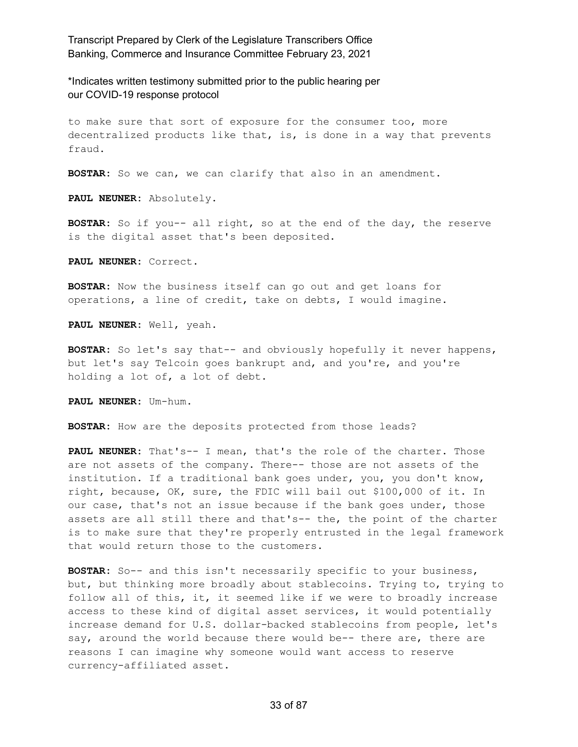\*Indicates written testimony submitted prior to the public hearing per our COVID-19 response protocol

to make sure that sort of exposure for the consumer too, more decentralized products like that, is, is done in a way that prevents fraud.

**BOSTAR:** So we can, we can clarify that also in an amendment.

**PAUL NEUNER:** Absolutely.

**BOSTAR:** So if you-- all right, so at the end of the day, the reserve is the digital asset that's been deposited.

**PAUL NEUNER:** Correct.

**BOSTAR:** Now the business itself can go out and get loans for operations, a line of credit, take on debts, I would imagine.

**PAUL NEUNER:** Well, yeah.

**BOSTAR:** So let's say that-- and obviously hopefully it never happens, but let's say Telcoin goes bankrupt and, and you're, and you're holding a lot of, a lot of debt.

**PAUL NEUNER:** Um-hum.

**BOSTAR:** How are the deposits protected from those leads?

**PAUL NEUNER:** That's-- I mean, that's the role of the charter. Those are not assets of the company. There-- those are not assets of the institution. If a traditional bank goes under, you, you don't know, right, because, OK, sure, the FDIC will bail out \$100,000 of it. In our case, that's not an issue because if the bank goes under, those assets are all still there and that's-- the, the point of the charter is to make sure that they're properly entrusted in the legal framework that would return those to the customers.

**BOSTAR:** So-- and this isn't necessarily specific to your business, but, but thinking more broadly about stablecoins. Trying to, trying to follow all of this, it, it seemed like if we were to broadly increase access to these kind of digital asset services, it would potentially increase demand for U.S. dollar-backed stablecoins from people, let's say, around the world because there would be-- there are, there are reasons I can imagine why someone would want access to reserve currency-affiliated asset.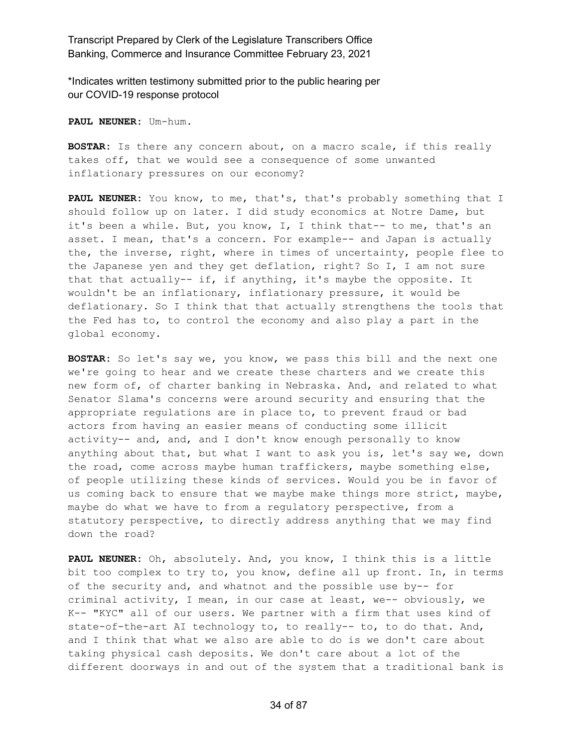\*Indicates written testimony submitted prior to the public hearing per our COVID-19 response protocol

**PAUL NEUNER:** Um-hum.

**BOSTAR:** Is there any concern about, on a macro scale, if this really takes off, that we would see a consequence of some unwanted inflationary pressures on our economy?

**PAUL NEUNER:** You know, to me, that's, that's probably something that I should follow up on later. I did study economics at Notre Dame, but it's been a while. But, you know, I, I think that-- to me, that's an asset. I mean, that's a concern. For example-- and Japan is actually the, the inverse, right, where in times of uncertainty, people flee to the Japanese yen and they get deflation, right? So I, I am not sure that that actually-- if, if anything, it's maybe the opposite. It wouldn't be an inflationary, inflationary pressure, it would be deflationary. So I think that that actually strengthens the tools that the Fed has to, to control the economy and also play a part in the global economy.

**BOSTAR:** So let's say we, you know, we pass this bill and the next one we're going to hear and we create these charters and we create this new form of, of charter banking in Nebraska. And, and related to what Senator Slama's concerns were around security and ensuring that the appropriate regulations are in place to, to prevent fraud or bad actors from having an easier means of conducting some illicit activity-- and, and, and I don't know enough personally to know anything about that, but what I want to ask you is, let's say we, down the road, come across maybe human traffickers, maybe something else, of people utilizing these kinds of services. Would you be in favor of us coming back to ensure that we maybe make things more strict, maybe, maybe do what we have to from a regulatory perspective, from a statutory perspective, to directly address anything that we may find down the road?

**PAUL NEUNER:** Oh, absolutely. And, you know, I think this is a little bit too complex to try to, you know, define all up front. In, in terms of the security and, and whatnot and the possible use by-- for criminal activity, I mean, in our case at least, we-- obviously, we K-- "KYC" all of our users. We partner with a firm that uses kind of state-of-the-art AI technology to, to really-- to, to do that. And, and I think that what we also are able to do is we don't care about taking physical cash deposits. We don't care about a lot of the different doorways in and out of the system that a traditional bank is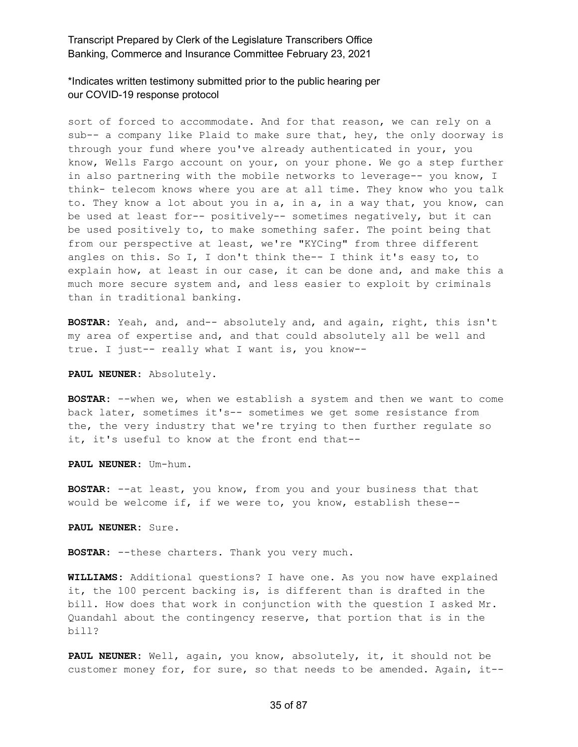\*Indicates written testimony submitted prior to the public hearing per our COVID-19 response protocol

sort of forced to accommodate. And for that reason, we can rely on a sub-- a company like Plaid to make sure that, hey, the only doorway is through your fund where you've already authenticated in your, you know, Wells Fargo account on your, on your phone. We go a step further in also partnering with the mobile networks to leverage-- you know, I think- telecom knows where you are at all time. They know who you talk to. They know a lot about you in a, in a, in a way that, you know, can be used at least for-- positively-- sometimes negatively, but it can be used positively to, to make something safer. The point being that from our perspective at least, we're "KYCing" from three different angles on this. So I, I don't think the-- I think it's easy to, to explain how, at least in our case, it can be done and, and make this a much more secure system and, and less easier to exploit by criminals than in traditional banking.

**BOSTAR:** Yeah, and, and-- absolutely and, and again, right, this isn't my area of expertise and, and that could absolutely all be well and true. I just-- really what I want is, you know--

**PAUL NEUNER:** Absolutely.

**BOSTAR:** --when we, when we establish a system and then we want to come back later, sometimes it's-- sometimes we get some resistance from the, the very industry that we're trying to then further regulate so it, it's useful to know at the front end that--

**PAUL NEUNER:** Um-hum.

**BOSTAR:** --at least, you know, from you and your business that that would be welcome if, if we were to, you know, establish these--

**PAUL NEUNER:** Sure.

**BOSTAR:** --these charters. Thank you very much.

**WILLIAMS:** Additional questions? I have one. As you now have explained it, the 100 percent backing is, is different than is drafted in the bill. How does that work in conjunction with the question I asked Mr. Quandahl about the contingency reserve, that portion that is in the bill?

**PAUL NEUNER:** Well, again, you know, absolutely, it, it should not be customer money for, for sure, so that needs to be amended. Again, it--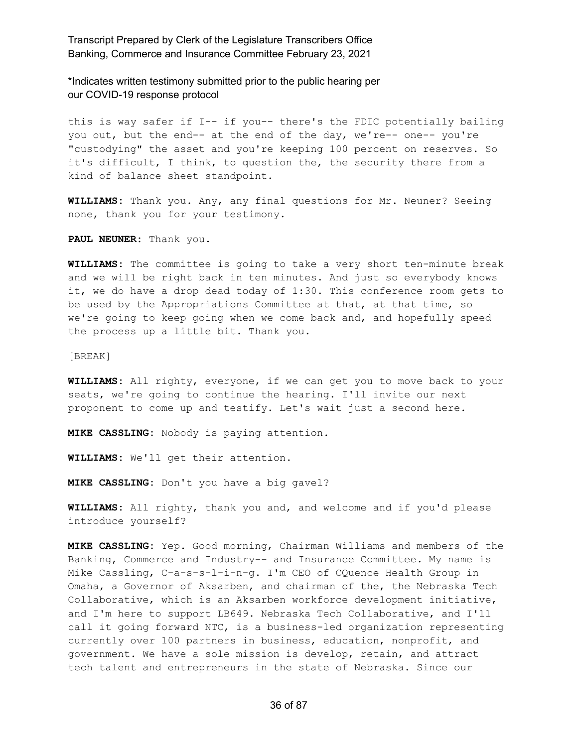\*Indicates written testimony submitted prior to the public hearing per our COVID-19 response protocol

this is way safer if I-- if you-- there's the FDIC potentially bailing you out, but the end-- at the end of the day, we're-- one-- you're "custodying" the asset and you're keeping 100 percent on reserves. So it's difficult, I think, to question the, the security there from a kind of balance sheet standpoint.

**WILLIAMS:** Thank you. Any, any final questions for Mr. Neuner? Seeing none, thank you for your testimony.

**PAUL NEUNER:** Thank you.

**WILLIAMS:** The committee is going to take a very short ten-minute break and we will be right back in ten minutes. And just so everybody knows it, we do have a drop dead today of 1:30. This conference room gets to be used by the Appropriations Committee at that, at that time, so we're going to keep going when we come back and, and hopefully speed the process up a little bit. Thank you.

[BREAK]

**WILLIAMS:** All righty, everyone, if we can get you to move back to your seats, we're going to continue the hearing. I'll invite our next proponent to come up and testify. Let's wait just a second here.

**MIKE CASSLING:** Nobody is paying attention.

**WILLIAMS:** We'll get their attention.

**MIKE CASSLING:** Don't you have a big gavel?

**WILLIAMS:** All righty, thank you and, and welcome and if you'd please introduce yourself?

**MIKE CASSLING:** Yep. Good morning, Chairman Williams and members of the Banking, Commerce and Industry-- and Insurance Committee. My name is Mike Cassling, C-a-s-s-l-i-n-g. I'm CEO of CQuence Health Group in Omaha, a Governor of Aksarben, and chairman of the, the Nebraska Tech Collaborative, which is an Aksarben workforce development initiative, and I'm here to support LB649. Nebraska Tech Collaborative, and I'll call it going forward NTC, is a business-led organization representing currently over 100 partners in business, education, nonprofit, and government. We have a sole mission is develop, retain, and attract tech talent and entrepreneurs in the state of Nebraska. Since our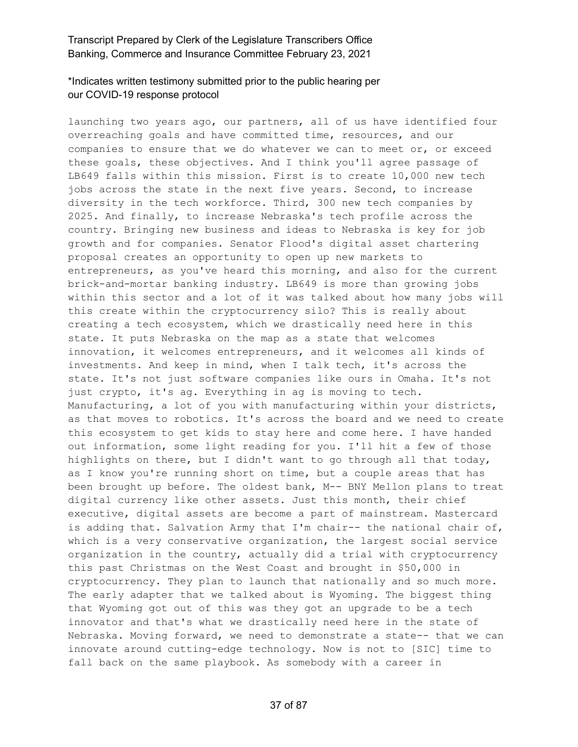# \*Indicates written testimony submitted prior to the public hearing per our COVID-19 response protocol

launching two years ago, our partners, all of us have identified four overreaching goals and have committed time, resources, and our companies to ensure that we do whatever we can to meet or, or exceed these goals, these objectives. And I think you'll agree passage of LB649 falls within this mission. First is to create 10,000 new tech jobs across the state in the next five years. Second, to increase diversity in the tech workforce. Third, 300 new tech companies by 2025. And finally, to increase Nebraska's tech profile across the country. Bringing new business and ideas to Nebraska is key for job growth and for companies. Senator Flood's digital asset chartering proposal creates an opportunity to open up new markets to entrepreneurs, as you've heard this morning, and also for the current brick-and-mortar banking industry. LB649 is more than growing jobs within this sector and a lot of it was talked about how many jobs will this create within the cryptocurrency silo? This is really about creating a tech ecosystem, which we drastically need here in this state. It puts Nebraska on the map as a state that welcomes innovation, it welcomes entrepreneurs, and it welcomes all kinds of investments. And keep in mind, when I talk tech, it's across the state. It's not just software companies like ours in Omaha. It's not just crypto, it's ag. Everything in ag is moving to tech. Manufacturing, a lot of you with manufacturing within your districts, as that moves to robotics. It's across the board and we need to create this ecosystem to get kids to stay here and come here. I have handed out information, some light reading for you. I'll hit a few of those highlights on there, but I didn't want to go through all that today, as I know you're running short on time, but a couple areas that has been brought up before. The oldest bank, M-- BNY Mellon plans to treat digital currency like other assets. Just this month, their chief executive, digital assets are become a part of mainstream. Mastercard is adding that. Salvation Army that I'm chair-- the national chair of, which is a very conservative organization, the largest social service organization in the country, actually did a trial with cryptocurrency this past Christmas on the West Coast and brought in \$50,000 in cryptocurrency. They plan to launch that nationally and so much more. The early adapter that we talked about is Wyoming. The biggest thing that Wyoming got out of this was they got an upgrade to be a tech innovator and that's what we drastically need here in the state of Nebraska. Moving forward, we need to demonstrate a state-- that we can innovate around cutting-edge technology. Now is not to [SIC] time to fall back on the same playbook. As somebody with a career in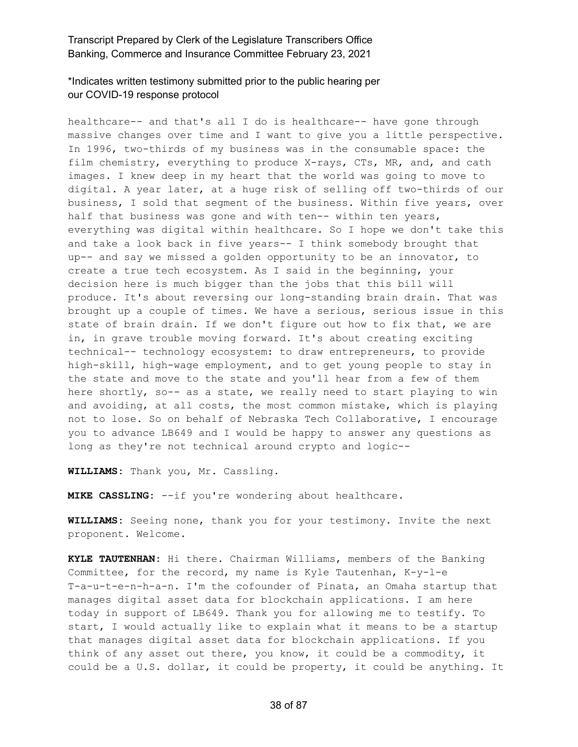\*Indicates written testimony submitted prior to the public hearing per our COVID-19 response protocol

healthcare-- and that's all I do is healthcare-- have gone through massive changes over time and I want to give you a little perspective. In 1996, two-thirds of my business was in the consumable space: the film chemistry, everything to produce X-rays, CTs, MR, and, and cath images. I knew deep in my heart that the world was going to move to digital. A year later, at a huge risk of selling off two-thirds of our business, I sold that segment of the business. Within five years, over half that business was gone and with ten-- within ten years, everything was digital within healthcare. So I hope we don't take this and take a look back in five years-- I think somebody brought that up-- and say we missed a golden opportunity to be an innovator, to create a true tech ecosystem. As I said in the beginning, your decision here is much bigger than the jobs that this bill will produce. It's about reversing our long-standing brain drain. That was brought up a couple of times. We have a serious, serious issue in this state of brain drain. If we don't figure out how to fix that, we are in, in grave trouble moving forward. It's about creating exciting technical-- technology ecosystem: to draw entrepreneurs, to provide high-skill, high-wage employment, and to get young people to stay in the state and move to the state and you'll hear from a few of them here shortly, so-- as a state, we really need to start playing to win and avoiding, at all costs, the most common mistake, which is playing not to lose. So on behalf of Nebraska Tech Collaborative, I encourage you to advance LB649 and I would be happy to answer any questions as long as they're not technical around crypto and logic--

**WILLIAMS:** Thank you, Mr. Cassling.

**MIKE CASSLING:** --if you're wondering about healthcare.

**WILLIAMS:** Seeing none, thank you for your testimony. Invite the next proponent. Welcome.

**KYLE TAUTENHAN:** Hi there. Chairman Williams, members of the Banking Committee, for the record, my name is Kyle Tautenhan, K-y-l-e T-a-u-t-e-n-h-a-n. I'm the cofounder of Pinata, an Omaha startup that manages digital asset data for blockchain applications. I am here today in support of LB649. Thank you for allowing me to testify. To start, I would actually like to explain what it means to be a startup that manages digital asset data for blockchain applications. If you think of any asset out there, you know, it could be a commodity, it could be a U.S. dollar, it could be property, it could be anything. It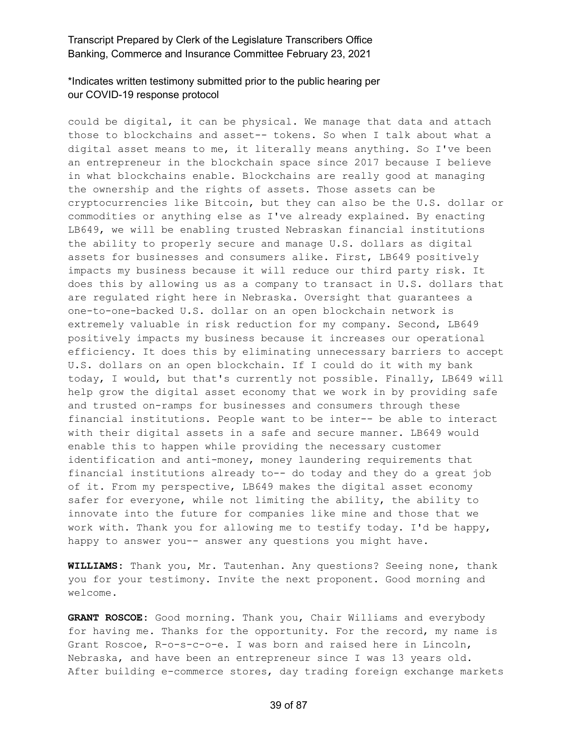# \*Indicates written testimony submitted prior to the public hearing per our COVID-19 response protocol

could be digital, it can be physical. We manage that data and attach those to blockchains and asset-- tokens. So when I talk about what a digital asset means to me, it literally means anything. So I've been an entrepreneur in the blockchain space since 2017 because I believe in what blockchains enable. Blockchains are really good at managing the ownership and the rights of assets. Those assets can be cryptocurrencies like Bitcoin, but they can also be the U.S. dollar or commodities or anything else as I've already explained. By enacting LB649, we will be enabling trusted Nebraskan financial institutions the ability to properly secure and manage U.S. dollars as digital assets for businesses and consumers alike. First, LB649 positively impacts my business because it will reduce our third party risk. It does this by allowing us as a company to transact in U.S. dollars that are regulated right here in Nebraska. Oversight that guarantees a one-to-one-backed U.S. dollar on an open blockchain network is extremely valuable in risk reduction for my company. Second, LB649 positively impacts my business because it increases our operational efficiency. It does this by eliminating unnecessary barriers to accept U.S. dollars on an open blockchain. If I could do it with my bank today, I would, but that's currently not possible. Finally, LB649 will help grow the digital asset economy that we work in by providing safe and trusted on-ramps for businesses and consumers through these financial institutions. People want to be inter-- be able to interact with their digital assets in a safe and secure manner. LB649 would enable this to happen while providing the necessary customer identification and anti-money, money laundering requirements that financial institutions already to-- do today and they do a great job of it. From my perspective, LB649 makes the digital asset economy safer for everyone, while not limiting the ability, the ability to innovate into the future for companies like mine and those that we work with. Thank you for allowing me to testify today. I'd be happy, happy to answer you-- answer any questions you might have.

**WILLIAMS:** Thank you, Mr. Tautenhan. Any questions? Seeing none, thank you for your testimony. Invite the next proponent. Good morning and welcome.

**GRANT ROSCOE:** Good morning. Thank you, Chair Williams and everybody for having me. Thanks for the opportunity. For the record, my name is Grant Roscoe, R-o-s-c-o-e. I was born and raised here in Lincoln, Nebraska, and have been an entrepreneur since I was 13 years old. After building e-commerce stores, day trading foreign exchange markets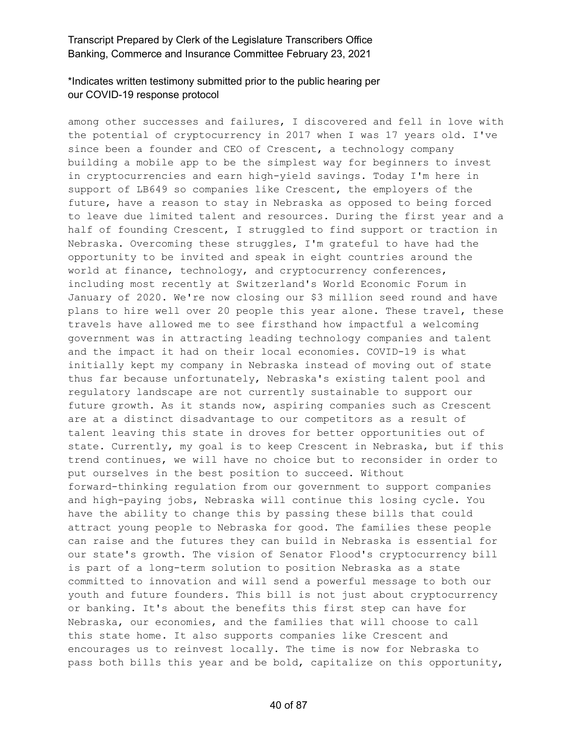# \*Indicates written testimony submitted prior to the public hearing per our COVID-19 response protocol

among other successes and failures, I discovered and fell in love with the potential of cryptocurrency in 2017 when I was 17 years old. I've since been a founder and CEO of Crescent, a technology company building a mobile app to be the simplest way for beginners to invest in cryptocurrencies and earn high-yield savings. Today I'm here in support of LB649 so companies like Crescent, the employers of the future, have a reason to stay in Nebraska as opposed to being forced to leave due limited talent and resources. During the first year and a half of founding Crescent, I struggled to find support or traction in Nebraska. Overcoming these struggles, I'm grateful to have had the opportunity to be invited and speak in eight countries around the world at finance, technology, and cryptocurrency conferences, including most recently at Switzerland's World Economic Forum in January of 2020. We're now closing our \$3 million seed round and have plans to hire well over 20 people this year alone. These travel, these travels have allowed me to see firsthand how impactful a welcoming government was in attracting leading technology companies and talent and the impact it had on their local economies. COVID-19 is what initially kept my company in Nebraska instead of moving out of state thus far because unfortunately, Nebraska's existing talent pool and regulatory landscape are not currently sustainable to support our future growth. As it stands now, aspiring companies such as Crescent are at a distinct disadvantage to our competitors as a result of talent leaving this state in droves for better opportunities out of state. Currently, my goal is to keep Crescent in Nebraska, but if this trend continues, we will have no choice but to reconsider in order to put ourselves in the best position to succeed. Without forward-thinking regulation from our government to support companies and high-paying jobs, Nebraska will continue this losing cycle. You have the ability to change this by passing these bills that could attract young people to Nebraska for good. The families these people can raise and the futures they can build in Nebraska is essential for our state's growth. The vision of Senator Flood's cryptocurrency bill is part of a long-term solution to position Nebraska as a state committed to innovation and will send a powerful message to both our youth and future founders. This bill is not just about cryptocurrency or banking. It's about the benefits this first step can have for Nebraska, our economies, and the families that will choose to call this state home. It also supports companies like Crescent and encourages us to reinvest locally. The time is now for Nebraska to pass both bills this year and be bold, capitalize on this opportunity,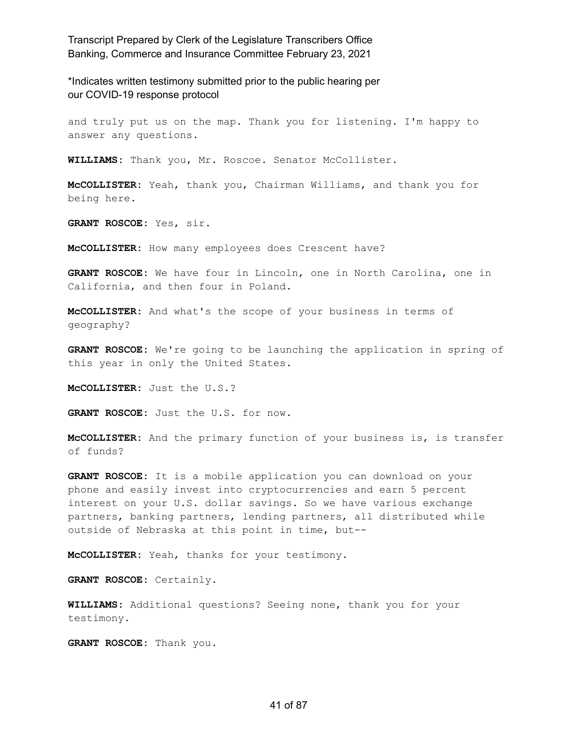\*Indicates written testimony submitted prior to the public hearing per our COVID-19 response protocol

and truly put us on the map. Thank you for listening. I'm happy to answer any questions.

**WILLIAMS:** Thank you, Mr. Roscoe. Senator McCollister.

**McCOLLISTER:** Yeah, thank you, Chairman Williams, and thank you for being here.

**GRANT ROSCOE:** Yes, sir.

**McCOLLISTER:** How many employees does Crescent have?

**GRANT ROSCOE:** We have four in Lincoln, one in North Carolina, one in California, and then four in Poland.

**McCOLLISTER:** And what's the scope of your business in terms of geography?

**GRANT ROSCOE:** We're going to be launching the application in spring of this year in only the United States.

**McCOLLISTER:** Just the U.S.?

**GRANT ROSCOE:** Just the U.S. for now.

**McCOLLISTER:** And the primary function of your business is, is transfer of funds?

**GRANT ROSCOE:** It is a mobile application you can download on your phone and easily invest into cryptocurrencies and earn 5 percent interest on your U.S. dollar savings. So we have various exchange partners, banking partners, lending partners, all distributed while outside of Nebraska at this point in time, but--

**McCOLLISTER:** Yeah, thanks for your testimony.

**GRANT ROSCOE:** Certainly.

**WILLIAMS:** Additional questions? Seeing none, thank you for your testimony.

**GRANT ROSCOE:** Thank you.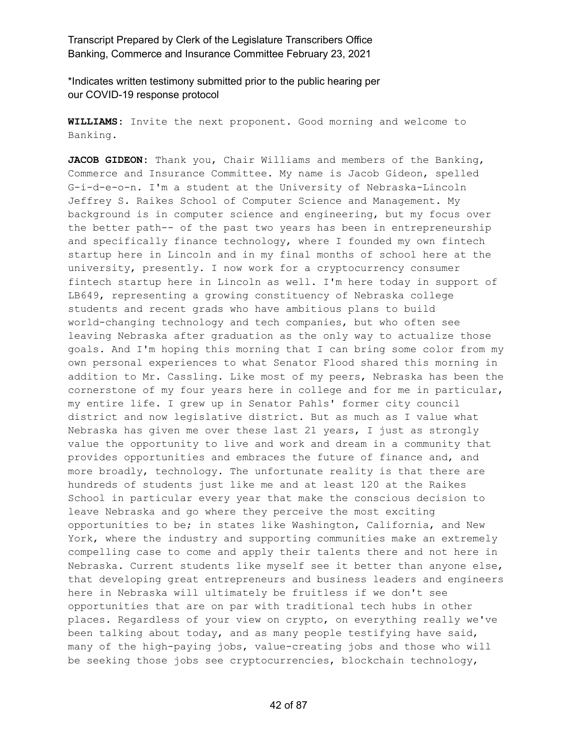\*Indicates written testimony submitted prior to the public hearing per our COVID-19 response protocol

**WILLIAMS:** Invite the next proponent. Good morning and welcome to Banking.

**JACOB GIDEON:** Thank you, Chair Williams and members of the Banking, Commerce and Insurance Committee. My name is Jacob Gideon, spelled G-i-d-e-o-n. I'm a student at the University of Nebraska-Lincoln Jeffrey S. Raikes School of Computer Science and Management. My background is in computer science and engineering, but my focus over the better path-- of the past two years has been in entrepreneurship and specifically finance technology, where I founded my own fintech startup here in Lincoln and in my final months of school here at the university, presently. I now work for a cryptocurrency consumer fintech startup here in Lincoln as well. I'm here today in support of LB649, representing a growing constituency of Nebraska college students and recent grads who have ambitious plans to build world-changing technology and tech companies, but who often see leaving Nebraska after graduation as the only way to actualize those goals. And I'm hoping this morning that I can bring some color from my own personal experiences to what Senator Flood shared this morning in addition to Mr. Cassling. Like most of my peers, Nebraska has been the cornerstone of my four years here in college and for me in particular, my entire life. I grew up in Senator Pahls' former city council district and now legislative district. But as much as I value what Nebraska has given me over these last 21 years, I just as strongly value the opportunity to live and work and dream in a community that provides opportunities and embraces the future of finance and, and more broadly, technology. The unfortunate reality is that there are hundreds of students just like me and at least 120 at the Raikes School in particular every year that make the conscious decision to leave Nebraska and go where they perceive the most exciting opportunities to be; in states like Washington, California, and New York, where the industry and supporting communities make an extremely compelling case to come and apply their talents there and not here in Nebraska. Current students like myself see it better than anyone else, that developing great entrepreneurs and business leaders and engineers here in Nebraska will ultimately be fruitless if we don't see opportunities that are on par with traditional tech hubs in other places. Regardless of your view on crypto, on everything really we've been talking about today, and as many people testifying have said, many of the high-paying jobs, value-creating jobs and those who will be seeking those jobs see cryptocurrencies, blockchain technology,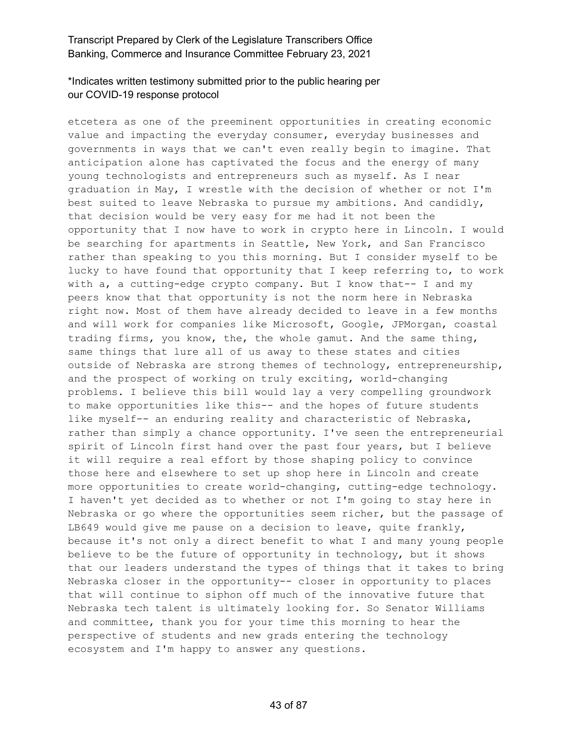# \*Indicates written testimony submitted prior to the public hearing per our COVID-19 response protocol

etcetera as one of the preeminent opportunities in creating economic value and impacting the everyday consumer, everyday businesses and governments in ways that we can't even really begin to imagine. That anticipation alone has captivated the focus and the energy of many young technologists and entrepreneurs such as myself. As I near graduation in May, I wrestle with the decision of whether or not I'm best suited to leave Nebraska to pursue my ambitions. And candidly, that decision would be very easy for me had it not been the opportunity that I now have to work in crypto here in Lincoln. I would be searching for apartments in Seattle, New York, and San Francisco rather than speaking to you this morning. But I consider myself to be lucky to have found that opportunity that I keep referring to, to work with a, a cutting-edge crypto company. But I know that-- I and my peers know that that opportunity is not the norm here in Nebraska right now. Most of them have already decided to leave in a few months and will work for companies like Microsoft, Google, JPMorgan, coastal trading firms, you know, the, the whole gamut. And the same thing, same things that lure all of us away to these states and cities outside of Nebraska are strong themes of technology, entrepreneurship, and the prospect of working on truly exciting, world-changing problems. I believe this bill would lay a very compelling groundwork to make opportunities like this-- and the hopes of future students like myself-- an enduring reality and characteristic of Nebraska, rather than simply a chance opportunity. I've seen the entrepreneurial spirit of Lincoln first hand over the past four years, but I believe it will require a real effort by those shaping policy to convince those here and elsewhere to set up shop here in Lincoln and create more opportunities to create world-changing, cutting-edge technology. I haven't yet decided as to whether or not I'm going to stay here in Nebraska or go where the opportunities seem richer, but the passage of LB649 would give me pause on a decision to leave, quite frankly, because it's not only a direct benefit to what I and many young people believe to be the future of opportunity in technology, but it shows that our leaders understand the types of things that it takes to bring Nebraska closer in the opportunity-- closer in opportunity to places that will continue to siphon off much of the innovative future that Nebraska tech talent is ultimately looking for. So Senator Williams and committee, thank you for your time this morning to hear the perspective of students and new grads entering the technology ecosystem and I'm happy to answer any questions.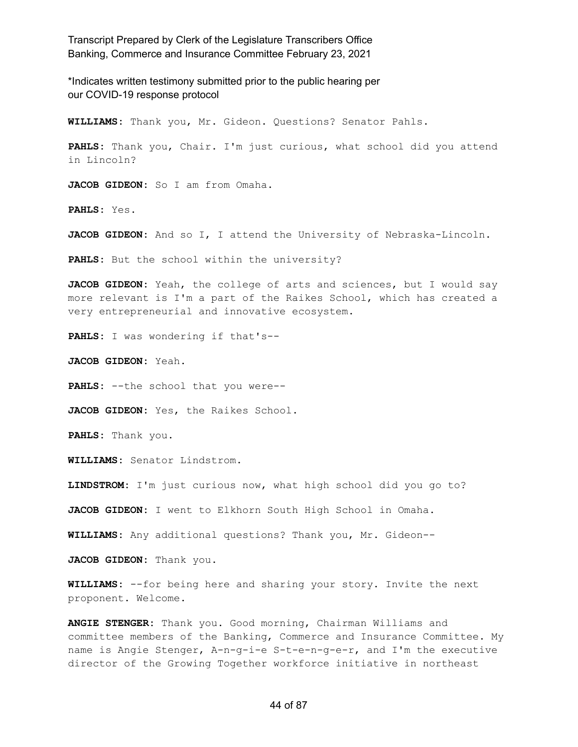\*Indicates written testimony submitted prior to the public hearing per our COVID-19 response protocol

**WILLIAMS:** Thank you, Mr. Gideon. Questions? Senator Pahls.

**PAHLS:** Thank you, Chair. I'm just curious, what school did you attend in Lincoln?

**JACOB GIDEON:** So I am from Omaha.

**PAHLS:** Yes.

**JACOB GIDEON:** And so I, I attend the University of Nebraska-Lincoln.

**PAHLS:** But the school within the university?

**JACOB GIDEON:** Yeah, the college of arts and sciences, but I would say more relevant is I'm a part of the Raikes School, which has created a very entrepreneurial and innovative ecosystem.

**PAHLS:** I was wondering if that's--

**JACOB GIDEON:** Yeah.

**PAHLS:** --the school that you were--

**JACOB GIDEON:** Yes, the Raikes School.

**PAHLS:** Thank you.

**WILLIAMS:** Senator Lindstrom.

**LINDSTROM:** I'm just curious now, what high school did you go to?

**JACOB GIDEON:** I went to Elkhorn South High School in Omaha.

**WILLIAMS:** Any additional questions? Thank you, Mr. Gideon--

**JACOB GIDEON:** Thank you.

**WILLIAMS:** --for being here and sharing your story. Invite the next proponent. Welcome.

**ANGIE STENGER:** Thank you. Good morning, Chairman Williams and committee members of the Banking, Commerce and Insurance Committee. My name is Angie Stenger, A-n-g-i-e S-t-e-n-g-e-r, and I'm the executive director of the Growing Together workforce initiative in northeast

#### 44 of 87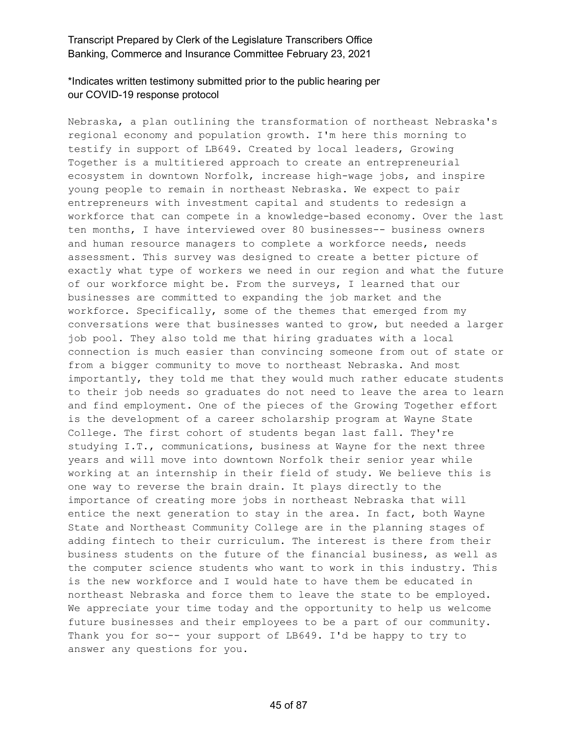# \*Indicates written testimony submitted prior to the public hearing per our COVID-19 response protocol

Nebraska, a plan outlining the transformation of northeast Nebraska's regional economy and population growth. I'm here this morning to testify in support of LB649. Created by local leaders, Growing Together is a multitiered approach to create an entrepreneurial ecosystem in downtown Norfolk, increase high-wage jobs, and inspire young people to remain in northeast Nebraska. We expect to pair entrepreneurs with investment capital and students to redesign a workforce that can compete in a knowledge-based economy. Over the last ten months, I have interviewed over 80 businesses-- business owners and human resource managers to complete a workforce needs, needs assessment. This survey was designed to create a better picture of exactly what type of workers we need in our region and what the future of our workforce might be. From the surveys, I learned that our businesses are committed to expanding the job market and the workforce. Specifically, some of the themes that emerged from my conversations were that businesses wanted to grow, but needed a larger job pool. They also told me that hiring graduates with a local connection is much easier than convincing someone from out of state or from a bigger community to move to northeast Nebraska. And most importantly, they told me that they would much rather educate students to their job needs so graduates do not need to leave the area to learn and find employment. One of the pieces of the Growing Together effort is the development of a career scholarship program at Wayne State College. The first cohort of students began last fall. They're studying I.T., communications, business at Wayne for the next three years and will move into downtown Norfolk their senior year while working at an internship in their field of study. We believe this is one way to reverse the brain drain. It plays directly to the importance of creating more jobs in northeast Nebraska that will entice the next generation to stay in the area. In fact, both Wayne State and Northeast Community College are in the planning stages of adding fintech to their curriculum. The interest is there from their business students on the future of the financial business, as well as the computer science students who want to work in this industry. This is the new workforce and I would hate to have them be educated in northeast Nebraska and force them to leave the state to be employed. We appreciate your time today and the opportunity to help us welcome future businesses and their employees to be a part of our community. Thank you for so-- your support of LB649. I'd be happy to try to answer any questions for you.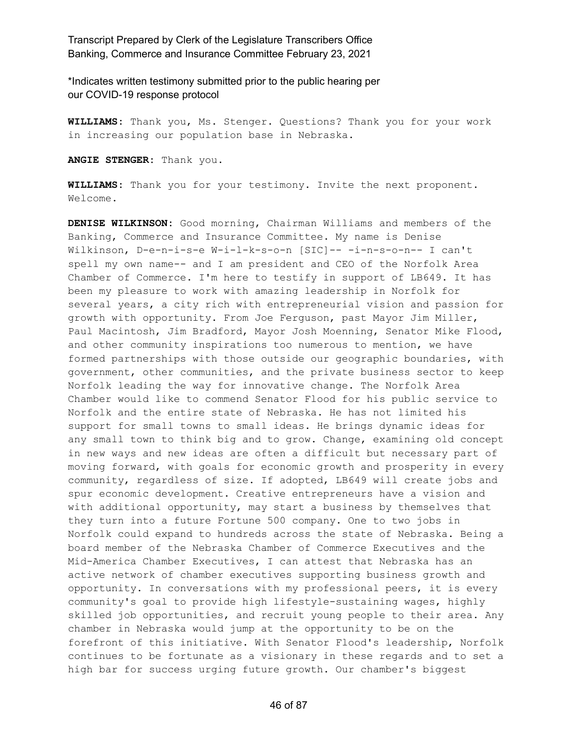\*Indicates written testimony submitted prior to the public hearing per our COVID-19 response protocol

**WILLIAMS:** Thank you, Ms. Stenger. Questions? Thank you for your work in increasing our population base in Nebraska.

**ANGIE STENGER:** Thank you.

**WILLIAMS:** Thank you for your testimony. Invite the next proponent. Welcome.

**DENISE WILKINSON:** Good morning, Chairman Williams and members of the Banking, Commerce and Insurance Committee. My name is Denise Wilkinson, D-e-n-i-s-e W-i-l-k-s-o-n [SIC]-- -i-n-s-o-n-- I can't spell my own name-- and I am president and CEO of the Norfolk Area Chamber of Commerce. I'm here to testify in support of LB649. It has been my pleasure to work with amazing leadership in Norfolk for several years, a city rich with entrepreneurial vision and passion for growth with opportunity. From Joe Ferguson, past Mayor Jim Miller, Paul Macintosh, Jim Bradford, Mayor Josh Moenning, Senator Mike Flood, and other community inspirations too numerous to mention, we have formed partnerships with those outside our geographic boundaries, with government, other communities, and the private business sector to keep Norfolk leading the way for innovative change. The Norfolk Area Chamber would like to commend Senator Flood for his public service to Norfolk and the entire state of Nebraska. He has not limited his support for small towns to small ideas. He brings dynamic ideas for any small town to think big and to grow. Change, examining old concept in new ways and new ideas are often a difficult but necessary part of moving forward, with goals for economic growth and prosperity in every community, regardless of size. If adopted, LB649 will create jobs and spur economic development. Creative entrepreneurs have a vision and with additional opportunity, may start a business by themselves that they turn into a future Fortune 500 company. One to two jobs in Norfolk could expand to hundreds across the state of Nebraska. Being a board member of the Nebraska Chamber of Commerce Executives and the Mid-America Chamber Executives, I can attest that Nebraska has an active network of chamber executives supporting business growth and opportunity. In conversations with my professional peers, it is every community's goal to provide high lifestyle-sustaining wages, highly skilled job opportunities, and recruit young people to their area. Any chamber in Nebraska would jump at the opportunity to be on the forefront of this initiative. With Senator Flood's leadership, Norfolk continues to be fortunate as a visionary in these regards and to set a high bar for success urging future growth. Our chamber's biggest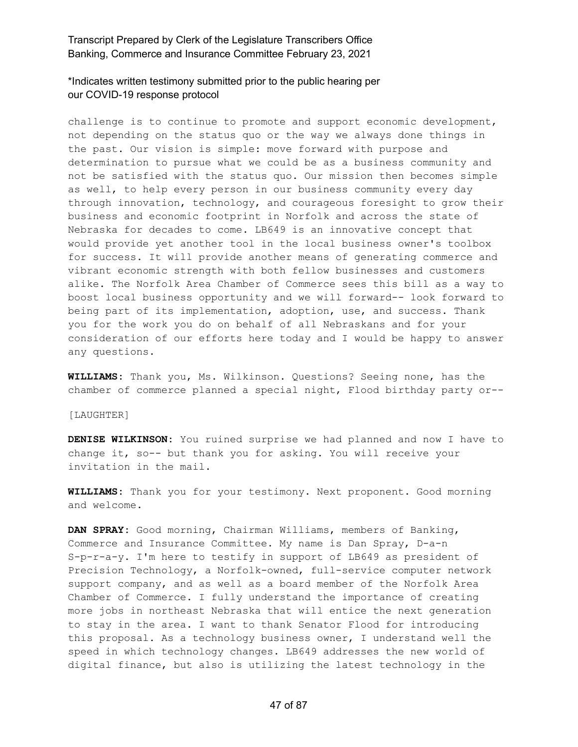#### \*Indicates written testimony submitted prior to the public hearing per our COVID-19 response protocol

challenge is to continue to promote and support economic development, not depending on the status quo or the way we always done things in the past. Our vision is simple: move forward with purpose and determination to pursue what we could be as a business community and not be satisfied with the status quo. Our mission then becomes simple as well, to help every person in our business community every day through innovation, technology, and courageous foresight to grow their business and economic footprint in Norfolk and across the state of Nebraska for decades to come. LB649 is an innovative concept that would provide yet another tool in the local business owner's toolbox for success. It will provide another means of generating commerce and vibrant economic strength with both fellow businesses and customers alike. The Norfolk Area Chamber of Commerce sees this bill as a way to boost local business opportunity and we will forward-- look forward to being part of its implementation, adoption, use, and success. Thank you for the work you do on behalf of all Nebraskans and for your consideration of our efforts here today and I would be happy to answer any questions.

**WILLIAMS:** Thank you, Ms. Wilkinson. Questions? Seeing none, has the chamber of commerce planned a special night, Flood birthday party or--

[LAUGHTER]

**DENISE WILKINSON:** You ruined surprise we had planned and now I have to change it, so-- but thank you for asking. You will receive your invitation in the mail.

**WILLIAMS:** Thank you for your testimony. Next proponent. Good morning and welcome.

**DAN SPRAY:** Good morning, Chairman Williams, members of Banking, Commerce and Insurance Committee. My name is Dan Spray, D-a-n S-p-r-a-y. I'm here to testify in support of LB649 as president of Precision Technology, a Norfolk-owned, full-service computer network support company, and as well as a board member of the Norfolk Area Chamber of Commerce. I fully understand the importance of creating more jobs in northeast Nebraska that will entice the next generation to stay in the area. I want to thank Senator Flood for introducing this proposal. As a technology business owner, I understand well the speed in which technology changes. LB649 addresses the new world of digital finance, but also is utilizing the latest technology in the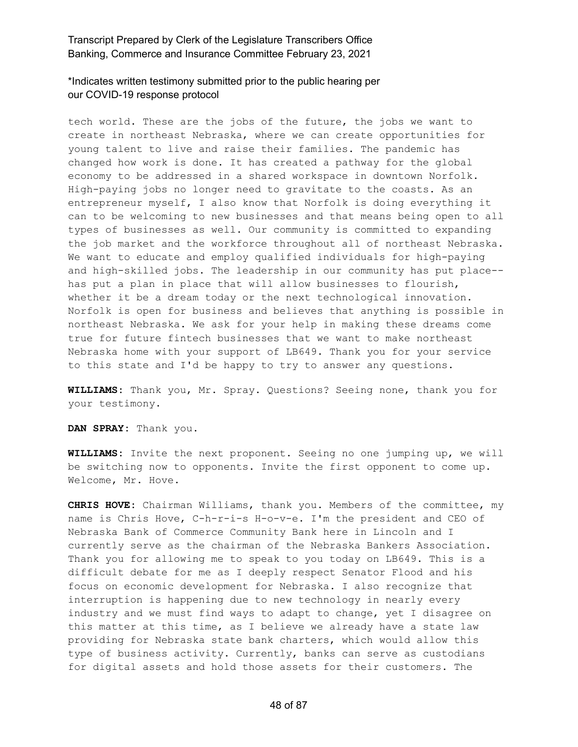\*Indicates written testimony submitted prior to the public hearing per our COVID-19 response protocol

tech world. These are the jobs of the future, the jobs we want to create in northeast Nebraska, where we can create opportunities for young talent to live and raise their families. The pandemic has changed how work is done. It has created a pathway for the global economy to be addressed in a shared workspace in downtown Norfolk. High-paying jobs no longer need to gravitate to the coasts. As an entrepreneur myself, I also know that Norfolk is doing everything it can to be welcoming to new businesses and that means being open to all types of businesses as well. Our community is committed to expanding the job market and the workforce throughout all of northeast Nebraska. We want to educate and employ qualified individuals for high-paying and high-skilled jobs. The leadership in our community has put place- has put a plan in place that will allow businesses to flourish, whether it be a dream today or the next technological innovation. Norfolk is open for business and believes that anything is possible in northeast Nebraska. We ask for your help in making these dreams come true for future fintech businesses that we want to make northeast Nebraska home with your support of LB649. Thank you for your service to this state and I'd be happy to try to answer any questions.

**WILLIAMS:** Thank you, Mr. Spray. Questions? Seeing none, thank you for your testimony.

**DAN SPRAY:** Thank you.

**WILLIAMS:** Invite the next proponent. Seeing no one jumping up, we will be switching now to opponents. Invite the first opponent to come up. Welcome, Mr. Hove.

**CHRIS HOVE:** Chairman Williams, thank you. Members of the committee, my name is Chris Hove, C-h-r-i-s H-o-v-e. I'm the president and CEO of Nebraska Bank of Commerce Community Bank here in Lincoln and I currently serve as the chairman of the Nebraska Bankers Association. Thank you for allowing me to speak to you today on LB649. This is a difficult debate for me as I deeply respect Senator Flood and his focus on economic development for Nebraska. I also recognize that interruption is happening due to new technology in nearly every industry and we must find ways to adapt to change, yet I disagree on this matter at this time, as I believe we already have a state law providing for Nebraska state bank charters, which would allow this type of business activity. Currently, banks can serve as custodians for digital assets and hold those assets for their customers. The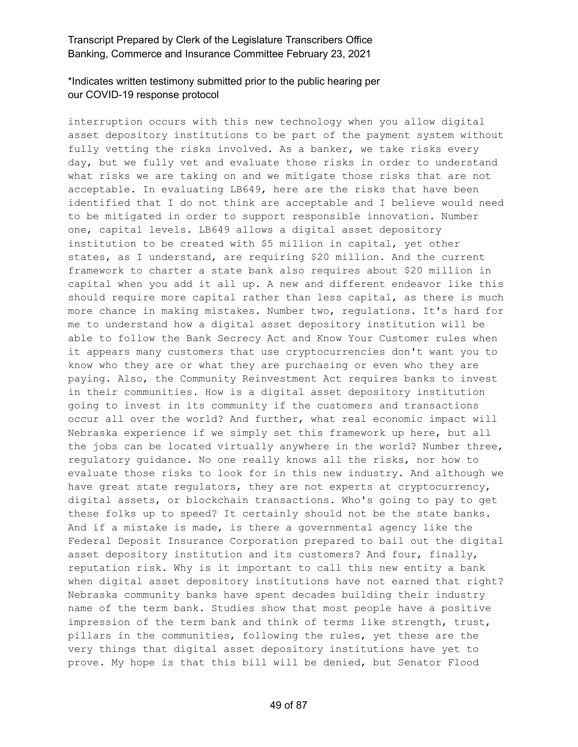# \*Indicates written testimony submitted prior to the public hearing per our COVID-19 response protocol

interruption occurs with this new technology when you allow digital asset depository institutions to be part of the payment system without fully vetting the risks involved. As a banker, we take risks every day, but we fully vet and evaluate those risks in order to understand what risks we are taking on and we mitigate those risks that are not acceptable. In evaluating LB649, here are the risks that have been identified that I do not think are acceptable and I believe would need to be mitigated in order to support responsible innovation. Number one, capital levels. LB649 allows a digital asset depository institution to be created with \$5 million in capital, yet other states, as I understand, are requiring \$20 million. And the current framework to charter a state bank also requires about \$20 million in capital when you add it all up. A new and different endeavor like this should require more capital rather than less capital, as there is much more chance in making mistakes. Number two, regulations. It's hard for me to understand how a digital asset depository institution will be able to follow the Bank Secrecy Act and Know Your Customer rules when it appears many customers that use cryptocurrencies don't want you to know who they are or what they are purchasing or even who they are paying. Also, the Community Reinvestment Act requires banks to invest in their communities. How is a digital asset depository institution going to invest in its community if the customers and transactions occur all over the world? And further, what real economic impact will Nebraska experience if we simply set this framework up here, but all the jobs can be located virtually anywhere in the world? Number three, regulatory guidance. No one really knows all the risks, nor how to evaluate those risks to look for in this new industry. And although we have great state regulators, they are not experts at cryptocurrency, digital assets, or blockchain transactions. Who's going to pay to get these folks up to speed? It certainly should not be the state banks. And if a mistake is made, is there a governmental agency like the Federal Deposit Insurance Corporation prepared to bail out the digital asset depository institution and its customers? And four, finally, reputation risk. Why is it important to call this new entity a bank when digital asset depository institutions have not earned that right? Nebraska community banks have spent decades building their industry name of the term bank. Studies show that most people have a positive impression of the term bank and think of terms like strength, trust, pillars in the communities, following the rules, yet these are the very things that digital asset depository institutions have yet to prove. My hope is that this bill will be denied, but Senator Flood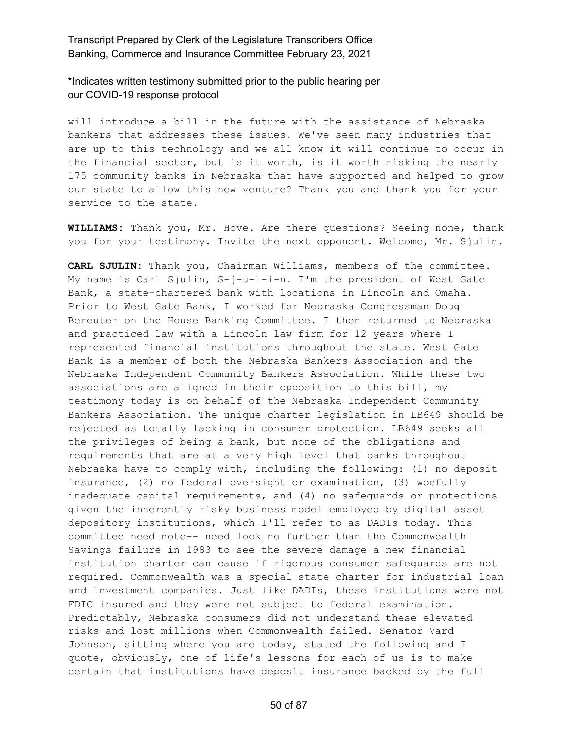\*Indicates written testimony submitted prior to the public hearing per our COVID-19 response protocol

will introduce a bill in the future with the assistance of Nebraska bankers that addresses these issues. We've seen many industries that are up to this technology and we all know it will continue to occur in the financial sector, but is it worth, is it worth risking the nearly 175 community banks in Nebraska that have supported and helped to grow our state to allow this new venture? Thank you and thank you for your service to the state.

**WILLIAMS:** Thank you, Mr. Hove. Are there questions? Seeing none, thank you for your testimony. Invite the next opponent. Welcome, Mr. Sjulin.

**CARL SJULIN:** Thank you, Chairman Williams, members of the committee. My name is Carl Sjulin, S-j-u-l-i-n. I'm the president of West Gate Bank, a state-chartered bank with locations in Lincoln and Omaha. Prior to West Gate Bank, I worked for Nebraska Congressman Doug Bereuter on the House Banking Committee. I then returned to Nebraska and practiced law with a Lincoln law firm for 12 years where I represented financial institutions throughout the state. West Gate Bank is a member of both the Nebraska Bankers Association and the Nebraska Independent Community Bankers Association. While these two associations are aligned in their opposition to this bill, my testimony today is on behalf of the Nebraska Independent Community Bankers Association. The unique charter legislation in LB649 should be rejected as totally lacking in consumer protection. LB649 seeks all the privileges of being a bank, but none of the obligations and requirements that are at a very high level that banks throughout Nebraska have to comply with, including the following: (1) no deposit insurance, (2) no federal oversight or examination, (3) woefully inadequate capital requirements, and (4) no safeguards or protections given the inherently risky business model employed by digital asset depository institutions, which I'll refer to as DADIs today. This committee need note-- need look no further than the Commonwealth Savings failure in 1983 to see the severe damage a new financial institution charter can cause if rigorous consumer safeguards are not required. Commonwealth was a special state charter for industrial loan and investment companies. Just like DADIs, these institutions were not FDIC insured and they were not subject to federal examination. Predictably, Nebraska consumers did not understand these elevated risks and lost millions when Commonwealth failed. Senator Vard Johnson, sitting where you are today, stated the following and I quote, obviously, one of life's lessons for each of us is to make certain that institutions have deposit insurance backed by the full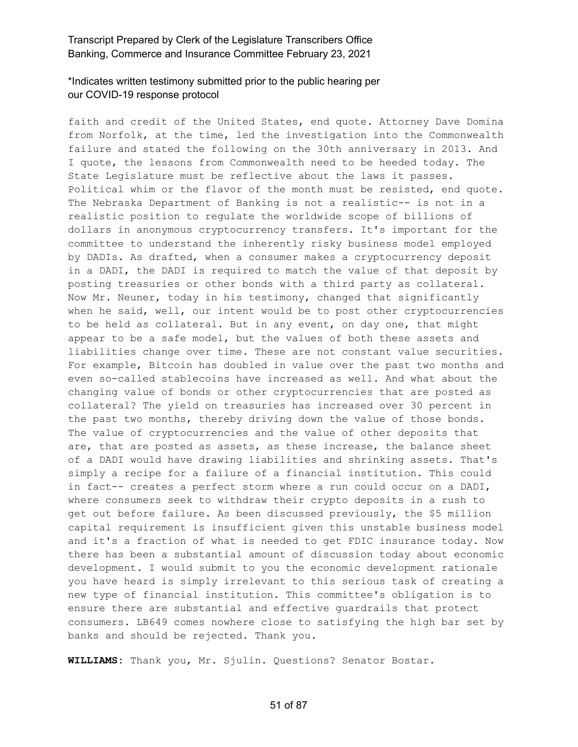#### \*Indicates written testimony submitted prior to the public hearing per our COVID-19 response protocol

faith and credit of the United States, end quote. Attorney Dave Domina from Norfolk, at the time, led the investigation into the Commonwealth failure and stated the following on the 30th anniversary in 2013. And I quote, the lessons from Commonwealth need to be heeded today. The State Legislature must be reflective about the laws it passes. Political whim or the flavor of the month must be resisted, end quote. The Nebraska Department of Banking is not a realistic-- is not in a realistic position to regulate the worldwide scope of billions of dollars in anonymous cryptocurrency transfers. It's important for the committee to understand the inherently risky business model employed by DADIs. As drafted, when a consumer makes a cryptocurrency deposit in a DADI, the DADI is required to match the value of that deposit by posting treasuries or other bonds with a third party as collateral. Now Mr. Neuner, today in his testimony, changed that significantly when he said, well, our intent would be to post other cryptocurrencies to be held as collateral. But in any event, on day one, that might appear to be a safe model, but the values of both these assets and liabilities change over time. These are not constant value securities. For example, Bitcoin has doubled in value over the past two months and even so-called stablecoins have increased as well. And what about the changing value of bonds or other cryptocurrencies that are posted as collateral? The yield on treasuries has increased over 30 percent in the past two months, thereby driving down the value of those bonds. The value of cryptocurrencies and the value of other deposits that are, that are posted as assets, as these increase, the balance sheet of a DADI would have drawing liabilities and shrinking assets. That's simply a recipe for a failure of a financial institution. This could in fact-- creates a perfect storm where a run could occur on a DADI, where consumers seek to withdraw their crypto deposits in a rush to get out before failure. As been discussed previously, the \$5 million capital requirement is insufficient given this unstable business model and it's a fraction of what is needed to get FDIC insurance today. Now there has been a substantial amount of discussion today about economic development. I would submit to you the economic development rationale you have heard is simply irrelevant to this serious task of creating a new type of financial institution. This committee's obligation is to ensure there are substantial and effective guardrails that protect consumers. LB649 comes nowhere close to satisfying the high bar set by banks and should be rejected. Thank you.

**WILLIAMS:** Thank you, Mr. Sjulin. Questions? Senator Bostar.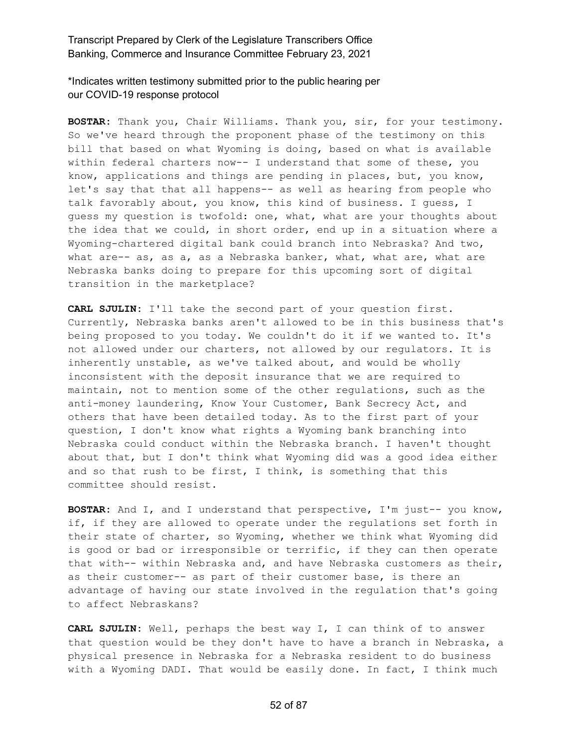\*Indicates written testimony submitted prior to the public hearing per our COVID-19 response protocol

**BOSTAR:** Thank you, Chair Williams. Thank you, sir, for your testimony. So we've heard through the proponent phase of the testimony on this bill that based on what Wyoming is doing, based on what is available within federal charters now-- I understand that some of these, you know, applications and things are pending in places, but, you know, let's say that that all happens-- as well as hearing from people who talk favorably about, you know, this kind of business. I guess, I guess my question is twofold: one, what, what are your thoughts about the idea that we could, in short order, end up in a situation where a Wyoming-chartered digital bank could branch into Nebraska? And two, what are-- as, as a, as a Nebraska banker, what, what are, what are Nebraska banks doing to prepare for this upcoming sort of digital transition in the marketplace?

**CARL SJULIN:** I'll take the second part of your question first. Currently, Nebraska banks aren't allowed to be in this business that's being proposed to you today. We couldn't do it if we wanted to. It's not allowed under our charters, not allowed by our regulators. It is inherently unstable, as we've talked about, and would be wholly inconsistent with the deposit insurance that we are required to maintain, not to mention some of the other regulations, such as the anti-money laundering, Know Your Customer, Bank Secrecy Act, and others that have been detailed today. As to the first part of your question, I don't know what rights a Wyoming bank branching into Nebraska could conduct within the Nebraska branch. I haven't thought about that, but I don't think what Wyoming did was a good idea either and so that rush to be first, I think, is something that this committee should resist.

**BOSTAR:** And I, and I understand that perspective, I'm just-- you know, if, if they are allowed to operate under the regulations set forth in their state of charter, so Wyoming, whether we think what Wyoming did is good or bad or irresponsible or terrific, if they can then operate that with-- within Nebraska and, and have Nebraska customers as their, as their customer-- as part of their customer base, is there an advantage of having our state involved in the regulation that's going to affect Nebraskans?

**CARL SJULIN:** Well, perhaps the best way I, I can think of to answer that question would be they don't have to have a branch in Nebraska, a physical presence in Nebraska for a Nebraska resident to do business with a Wyoming DADI. That would be easily done. In fact, I think much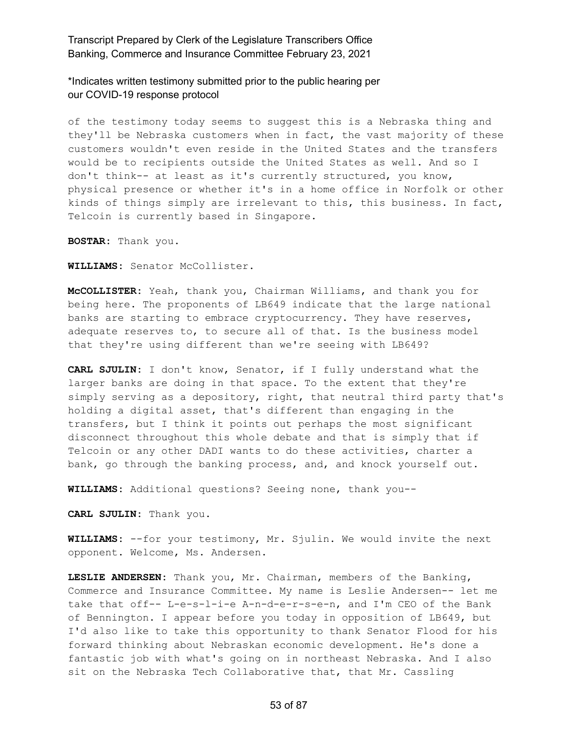\*Indicates written testimony submitted prior to the public hearing per our COVID-19 response protocol

of the testimony today seems to suggest this is a Nebraska thing and they'll be Nebraska customers when in fact, the vast majority of these customers wouldn't even reside in the United States and the transfers would be to recipients outside the United States as well. And so I don't think-- at least as it's currently structured, you know, physical presence or whether it's in a home office in Norfolk or other kinds of things simply are irrelevant to this, this business. In fact, Telcoin is currently based in Singapore.

**BOSTAR:** Thank you.

**WILLIAMS:** Senator McCollister.

**McCOLLISTER:** Yeah, thank you, Chairman Williams, and thank you for being here. The proponents of LB649 indicate that the large national banks are starting to embrace cryptocurrency. They have reserves, adequate reserves to, to secure all of that. Is the business model that they're using different than we're seeing with LB649?

**CARL SJULIN:** I don't know, Senator, if I fully understand what the larger banks are doing in that space. To the extent that they're simply serving as a depository, right, that neutral third party that's holding a digital asset, that's different than engaging in the transfers, but I think it points out perhaps the most significant disconnect throughout this whole debate and that is simply that if Telcoin or any other DADI wants to do these activities, charter a bank, go through the banking process, and, and knock yourself out.

**WILLIAMS:** Additional questions? Seeing none, thank you--

**CARL SJULIN:** Thank you.

**WILLIAMS:** --for your testimony, Mr. Sjulin. We would invite the next opponent. Welcome, Ms. Andersen.

**LESLIE ANDERSEN:** Thank you, Mr. Chairman, members of the Banking, Commerce and Insurance Committee. My name is Leslie Andersen-- let me take that off-- L-e-s-l-i-e A-n-d-e-r-s-e-n, and I'm CEO of the Bank of Bennington. I appear before you today in opposition of LB649, but I'd also like to take this opportunity to thank Senator Flood for his forward thinking about Nebraskan economic development. He's done a fantastic job with what's going on in northeast Nebraska. And I also sit on the Nebraska Tech Collaborative that, that Mr. Cassling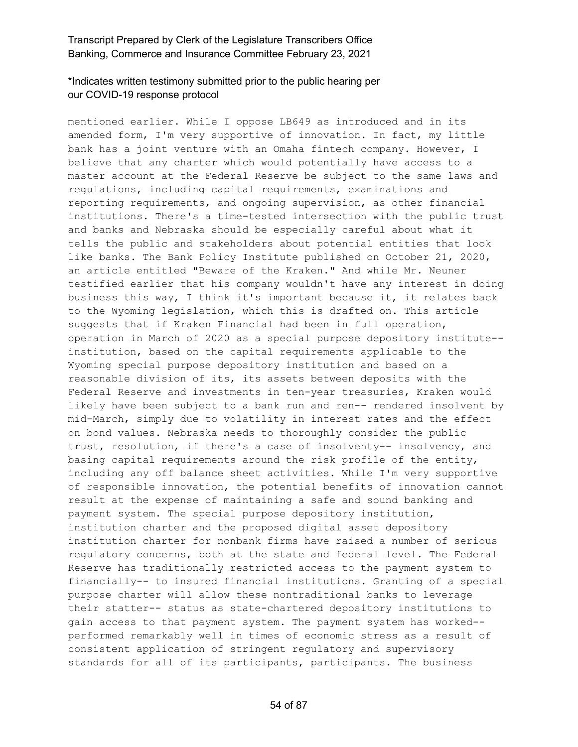# \*Indicates written testimony submitted prior to the public hearing per our COVID-19 response protocol

mentioned earlier. While I oppose LB649 as introduced and in its amended form, I'm very supportive of innovation. In fact, my little bank has a joint venture with an Omaha fintech company. However, I believe that any charter which would potentially have access to a master account at the Federal Reserve be subject to the same laws and regulations, including capital requirements, examinations and reporting requirements, and ongoing supervision, as other financial institutions. There's a time-tested intersection with the public trust and banks and Nebraska should be especially careful about what it tells the public and stakeholders about potential entities that look like banks. The Bank Policy Institute published on October 21, 2020, an article entitled "Beware of the Kraken." And while Mr. Neuner testified earlier that his company wouldn't have any interest in doing business this way, I think it's important because it, it relates back to the Wyoming legislation, which this is drafted on. This article suggests that if Kraken Financial had been in full operation, operation in March of 2020 as a special purpose depository institute- institution, based on the capital requirements applicable to the Wyoming special purpose depository institution and based on a reasonable division of its, its assets between deposits with the Federal Reserve and investments in ten-year treasuries, Kraken would likely have been subject to a bank run and ren-- rendered insolvent by mid-March, simply due to volatility in interest rates and the effect on bond values. Nebraska needs to thoroughly consider the public trust, resolution, if there's a case of insolventy-- insolvency, and basing capital requirements around the risk profile of the entity, including any off balance sheet activities. While I'm very supportive of responsible innovation, the potential benefits of innovation cannot result at the expense of maintaining a safe and sound banking and payment system. The special purpose depository institution, institution charter and the proposed digital asset depository institution charter for nonbank firms have raised a number of serious regulatory concerns, both at the state and federal level. The Federal Reserve has traditionally restricted access to the payment system to financially-- to insured financial institutions. Granting of a special purpose charter will allow these nontraditional banks to leverage their statter-- status as state-chartered depository institutions to gain access to that payment system. The payment system has worked- performed remarkably well in times of economic stress as a result of consistent application of stringent regulatory and supervisory standards for all of its participants, participants. The business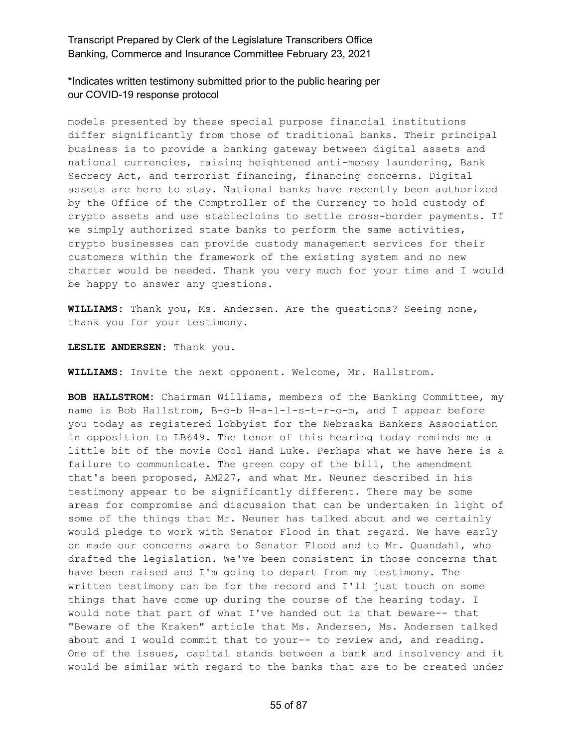\*Indicates written testimony submitted prior to the public hearing per our COVID-19 response protocol

models presented by these special purpose financial institutions differ significantly from those of traditional banks. Their principal business is to provide a banking gateway between digital assets and national currencies, raising heightened anti-money laundering, Bank Secrecy Act, and terrorist financing, financing concerns. Digital assets are here to stay. National banks have recently been authorized by the Office of the Comptroller of the Currency to hold custody of crypto assets and use stablecloins to settle cross-border payments. If we simply authorized state banks to perform the same activities, crypto businesses can provide custody management services for their customers within the framework of the existing system and no new charter would be needed. Thank you very much for your time and I would be happy to answer any questions.

**WILLIAMS:** Thank you, Ms. Andersen. Are the questions? Seeing none, thank you for your testimony.

**LESLIE ANDERSEN:** Thank you.

**WILLIAMS:** Invite the next opponent. Welcome, Mr. Hallstrom.

**BOB HALLSTROM:** Chairman Williams, members of the Banking Committee, my name is Bob Hallstrom, B-o-b H-a-l-l-s-t-r-o-m, and I appear before you today as registered lobbyist for the Nebraska Bankers Association in opposition to LB649. The tenor of this hearing today reminds me a little bit of the movie Cool Hand Luke. Perhaps what we have here is a failure to communicate. The green copy of the bill, the amendment that's been proposed, AM227, and what Mr. Neuner described in his testimony appear to be significantly different. There may be some areas for compromise and discussion that can be undertaken in light of some of the things that Mr. Neuner has talked about and we certainly would pledge to work with Senator Flood in that regard. We have early on made our concerns aware to Senator Flood and to Mr. Quandahl, who drafted the legislation. We've been consistent in those concerns that have been raised and I'm going to depart from my testimony. The written testimony can be for the record and I'll just touch on some things that have come up during the course of the hearing today. I would note that part of what I've handed out is that beware-- that "Beware of the Kraken" article that Ms. Andersen, Ms. Andersen talked about and I would commit that to your-- to review and, and reading. One of the issues, capital stands between a bank and insolvency and it would be similar with regard to the banks that are to be created under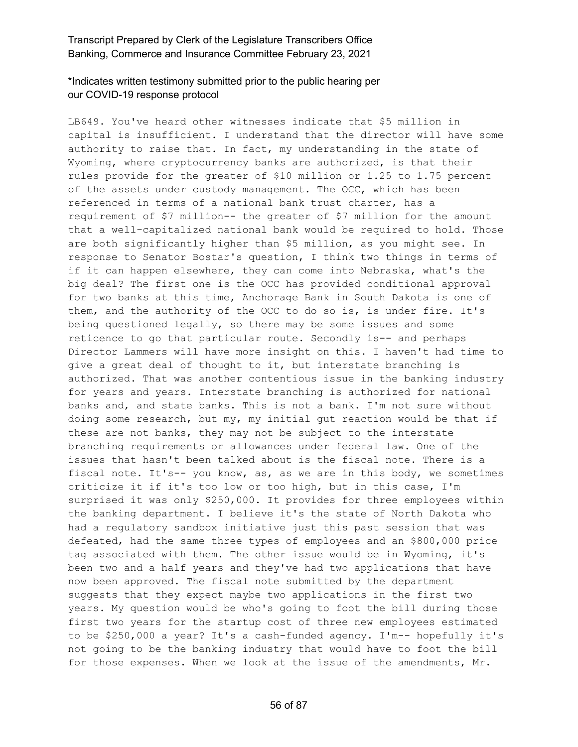# \*Indicates written testimony submitted prior to the public hearing per our COVID-19 response protocol

LB649. You've heard other witnesses indicate that \$5 million in capital is insufficient. I understand that the director will have some authority to raise that. In fact, my understanding in the state of Wyoming, where cryptocurrency banks are authorized, is that their rules provide for the greater of \$10 million or 1.25 to 1.75 percent of the assets under custody management. The OCC, which has been referenced in terms of a national bank trust charter, has a requirement of \$7 million-- the greater of \$7 million for the amount that a well-capitalized national bank would be required to hold. Those are both significantly higher than \$5 million, as you might see. In response to Senator Bostar's question, I think two things in terms of if it can happen elsewhere, they can come into Nebraska, what's the big deal? The first one is the OCC has provided conditional approval for two banks at this time, Anchorage Bank in South Dakota is one of them, and the authority of the OCC to do so is, is under fire. It's being questioned legally, so there may be some issues and some reticence to go that particular route. Secondly is-- and perhaps Director Lammers will have more insight on this. I haven't had time to give a great deal of thought to it, but interstate branching is authorized. That was another contentious issue in the banking industry for years and years. Interstate branching is authorized for national banks and, and state banks. This is not a bank. I'm not sure without doing some research, but my, my initial gut reaction would be that if these are not banks, they may not be subject to the interstate branching requirements or allowances under federal law. One of the issues that hasn't been talked about is the fiscal note. There is a fiscal note. It's-- you know, as, as we are in this body, we sometimes criticize it if it's too low or too high, but in this case, I'm surprised it was only \$250,000. It provides for three employees within the banking department. I believe it's the state of North Dakota who had a regulatory sandbox initiative just this past session that was defeated, had the same three types of employees and an \$800,000 price tag associated with them. The other issue would be in Wyoming, it's been two and a half years and they've had two applications that have now been approved. The fiscal note submitted by the department suggests that they expect maybe two applications in the first two years. My question would be who's going to foot the bill during those first two years for the startup cost of three new employees estimated to be \$250,000 a year? It's a cash-funded agency. I'm-- hopefully it's not going to be the banking industry that would have to foot the bill for those expenses. When we look at the issue of the amendments, Mr.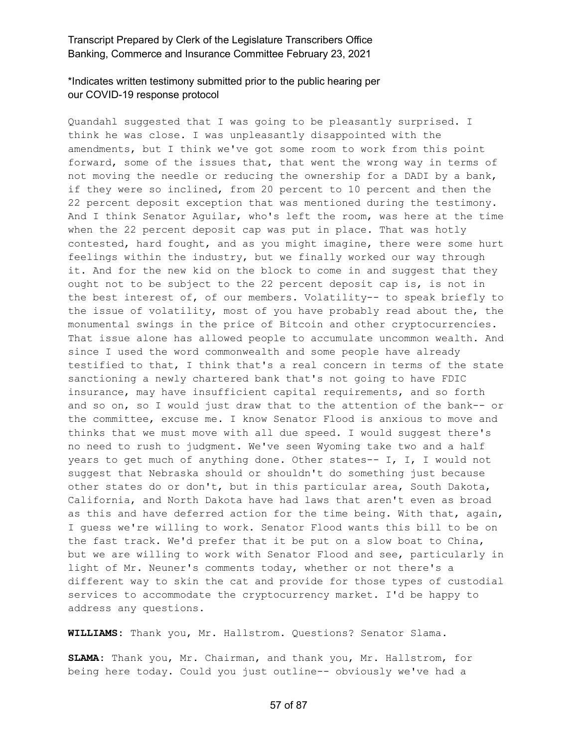# \*Indicates written testimony submitted prior to the public hearing per our COVID-19 response protocol

Quandahl suggested that I was going to be pleasantly surprised. I think he was close. I was unpleasantly disappointed with the amendments, but I think we've got some room to work from this point forward, some of the issues that, that went the wrong way in terms of not moving the needle or reducing the ownership for a DADI by a bank, if they were so inclined, from 20 percent to 10 percent and then the 22 percent deposit exception that was mentioned during the testimony. And I think Senator Aguilar, who's left the room, was here at the time when the 22 percent deposit cap was put in place. That was hotly contested, hard fought, and as you might imagine, there were some hurt feelings within the industry, but we finally worked our way through it. And for the new kid on the block to come in and suggest that they ought not to be subject to the 22 percent deposit cap is, is not in the best interest of, of our members. Volatility-- to speak briefly to the issue of volatility, most of you have probably read about the, the monumental swings in the price of Bitcoin and other cryptocurrencies. That issue alone has allowed people to accumulate uncommon wealth. And since I used the word commonwealth and some people have already testified to that, I think that's a real concern in terms of the state sanctioning a newly chartered bank that's not going to have FDIC insurance, may have insufficient capital requirements, and so forth and so on, so I would just draw that to the attention of the bank-- or the committee, excuse me. I know Senator Flood is anxious to move and thinks that we must move with all due speed. I would suggest there's no need to rush to judgment. We've seen Wyoming take two and a half years to get much of anything done. Other states-- I, I, I would not suggest that Nebraska should or shouldn't do something just because other states do or don't, but in this particular area, South Dakota, California, and North Dakota have had laws that aren't even as broad as this and have deferred action for the time being. With that, again, I guess we're willing to work. Senator Flood wants this bill to be on the fast track. We'd prefer that it be put on a slow boat to China, but we are willing to work with Senator Flood and see, particularly in light of Mr. Neuner's comments today, whether or not there's a different way to skin the cat and provide for those types of custodial services to accommodate the cryptocurrency market. I'd be happy to address any questions.

**WILLIAMS:** Thank you, Mr. Hallstrom. Questions? Senator Slama.

**SLAMA:** Thank you, Mr. Chairman, and thank you, Mr. Hallstrom, for being here today. Could you just outline-- obviously we've had a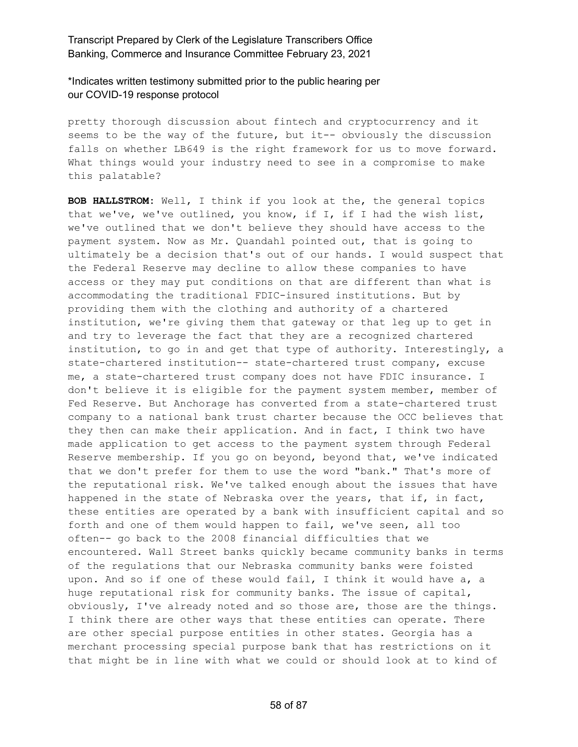\*Indicates written testimony submitted prior to the public hearing per our COVID-19 response protocol

pretty thorough discussion about fintech and cryptocurrency and it seems to be the way of the future, but it-- obviously the discussion falls on whether LB649 is the right framework for us to move forward. What things would your industry need to see in a compromise to make this palatable?

**BOB HALLSTROM:** Well, I think if you look at the, the general topics that we've, we've outlined, you know, if I, if I had the wish list, we've outlined that we don't believe they should have access to the payment system. Now as Mr. Quandahl pointed out, that is going to ultimately be a decision that's out of our hands. I would suspect that the Federal Reserve may decline to allow these companies to have access or they may put conditions on that are different than what is accommodating the traditional FDIC-insured institutions. But by providing them with the clothing and authority of a chartered institution, we're giving them that gateway or that leg up to get in and try to leverage the fact that they are a recognized chartered institution, to go in and get that type of authority. Interestingly, a state-chartered institution-- state-chartered trust company, excuse me, a state-chartered trust company does not have FDIC insurance. I don't believe it is eligible for the payment system member, member of Fed Reserve. But Anchorage has converted from a state-chartered trust company to a national bank trust charter because the OCC believes that they then can make their application. And in fact, I think two have made application to get access to the payment system through Federal Reserve membership. If you go on beyond, beyond that, we've indicated that we don't prefer for them to use the word "bank." That's more of the reputational risk. We've talked enough about the issues that have happened in the state of Nebraska over the years, that if, in fact, these entities are operated by a bank with insufficient capital and so forth and one of them would happen to fail, we've seen, all too often-- go back to the 2008 financial difficulties that we encountered. Wall Street banks quickly became community banks in terms of the regulations that our Nebraska community banks were foisted upon. And so if one of these would fail, I think it would have a, a huge reputational risk for community banks. The issue of capital, obviously, I've already noted and so those are, those are the things. I think there are other ways that these entities can operate. There are other special purpose entities in other states. Georgia has a merchant processing special purpose bank that has restrictions on it that might be in line with what we could or should look at to kind of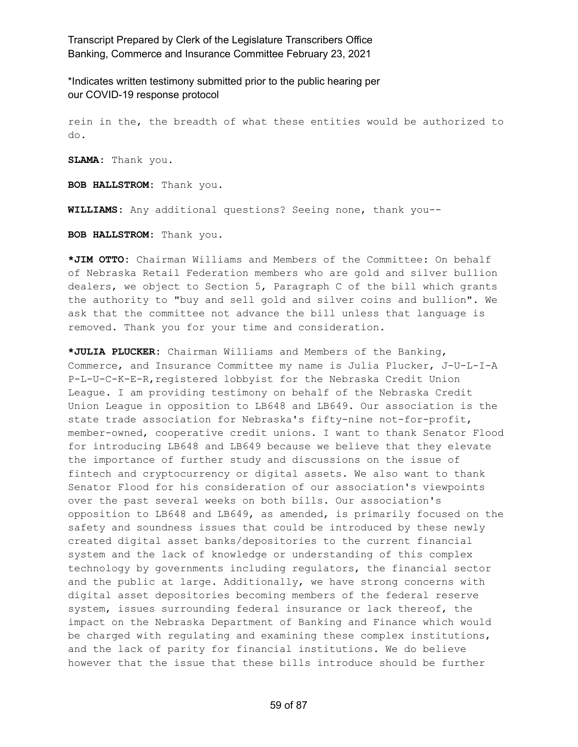\*Indicates written testimony submitted prior to the public hearing per our COVID-19 response protocol

rein in the, the breadth of what these entities would be authorized to do.

**SLAMA:** Thank you.

**BOB HALLSTROM:** Thank you.

**WILLIAMS:** Any additional questions? Seeing none, thank you--

**BOB HALLSTROM:** Thank you.

**\*JIM OTTO:** Chairman Williams and Members of the Committee: On behalf of Nebraska Retail Federation members who are gold and silver bullion dealers, we object to Section 5, Paragraph C of the bill which grants the authority to "buy and sell gold and silver coins and bullion". We ask that the committee not advance the bill unless that language is removed. Thank you for your time and consideration.

**\*JULIA PLUCKER:** Chairman Williams and Members of the Banking, Commerce, and Insurance Committee my name is Julia Plucker, J-U-L-I-A P-L-U-C-K-E-R,registered lobbyist for the Nebraska Credit Union League. I am providing testimony on behalf of the Nebraska Credit Union League in opposition to LB648 and LB649. Our association is the state trade association for Nebraska's fifty-nine not-for-profit, member-owned, cooperative credit unions. I want to thank Senator Flood for introducing LB648 and LB649 because we believe that they elevate the importance of further study and discussions on the issue of fintech and cryptocurrency or digital assets. We also want to thank Senator Flood for his consideration of our association's viewpoints over the past several weeks on both bills. Our association's opposition to LB648 and LB649, as amended, is primarily focused on the safety and soundness issues that could be introduced by these newly created digital asset banks/depositories to the current financial system and the lack of knowledge or understanding of this complex technology by governments including regulators, the financial sector and the public at large. Additionally, we have strong concerns with digital asset depositories becoming members of the federal reserve system, issues surrounding federal insurance or lack thereof, the impact on the Nebraska Department of Banking and Finance which would be charged with regulating and examining these complex institutions, and the lack of parity for financial institutions. We do believe however that the issue that these bills introduce should be further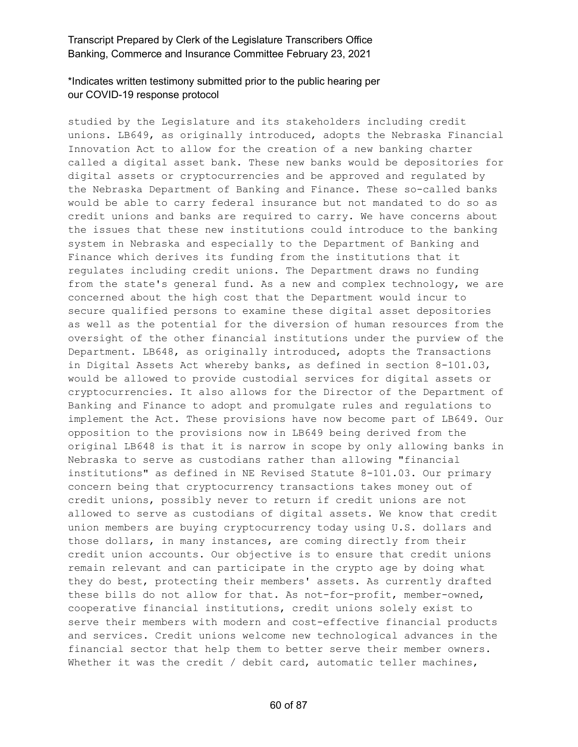# \*Indicates written testimony submitted prior to the public hearing per our COVID-19 response protocol

studied by the Legislature and its stakeholders including credit unions. LB649, as originally introduced, adopts the Nebraska Financial Innovation Act to allow for the creation of a new banking charter called a digital asset bank. These new banks would be depositories for digital assets or cryptocurrencies and be approved and regulated by the Nebraska Department of Banking and Finance. These so-called banks would be able to carry federal insurance but not mandated to do so as credit unions and banks are required to carry. We have concerns about the issues that these new institutions could introduce to the banking system in Nebraska and especially to the Department of Banking and Finance which derives its funding from the institutions that it regulates including credit unions. The Department draws no funding from the state's general fund. As a new and complex technology, we are concerned about the high cost that the Department would incur to secure qualified persons to examine these digital asset depositories as well as the potential for the diversion of human resources from the oversight of the other financial institutions under the purview of the Department. LB648, as originally introduced, adopts the Transactions in Digital Assets Act whereby banks, as defined in section 8-101.03, would be allowed to provide custodial services for digital assets or cryptocurrencies. It also allows for the Director of the Department of Banking and Finance to adopt and promulgate rules and regulations to implement the Act. These provisions have now become part of LB649. Our opposition to the provisions now in LB649 being derived from the original LB648 is that it is narrow in scope by only allowing banks in Nebraska to serve as custodians rather than allowing "financial institutions" as defined in NE Revised Statute 8-101.03. Our primary concern being that cryptocurrency transactions takes money out of credit unions, possibly never to return if credit unions are not allowed to serve as custodians of digital assets. We know that credit union members are buying cryptocurrency today using U.S. dollars and those dollars, in many instances, are coming directly from their credit union accounts. Our objective is to ensure that credit unions remain relevant and can participate in the crypto age by doing what they do best, protecting their members' assets. As currently drafted these bills do not allow for that. As not-for-profit, member-owned, cooperative financial institutions, credit unions solely exist to serve their members with modern and cost-effective financial products and services. Credit unions welcome new technological advances in the financial sector that help them to better serve their member owners. Whether it was the credit / debit card, automatic teller machines,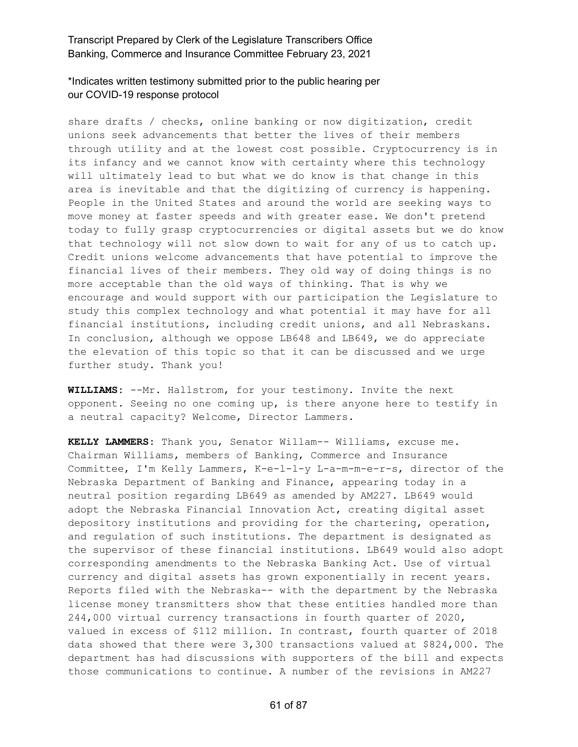\*Indicates written testimony submitted prior to the public hearing per our COVID-19 response protocol

share drafts / checks, online banking or now digitization, credit unions seek advancements that better the lives of their members through utility and at the lowest cost possible. Cryptocurrency is in its infancy and we cannot know with certainty where this technology will ultimately lead to but what we do know is that change in this area is inevitable and that the digitizing of currency is happening. People in the United States and around the world are seeking ways to move money at faster speeds and with greater ease. We don't pretend today to fully grasp cryptocurrencies or digital assets but we do know that technology will not slow down to wait for any of us to catch up. Credit unions welcome advancements that have potential to improve the financial lives of their members. They old way of doing things is no more acceptable than the old ways of thinking. That is why we encourage and would support with our participation the Legislature to study this complex technology and what potential it may have for all financial institutions, including credit unions, and all Nebraskans. In conclusion, although we oppose LB648 and LB649, we do appreciate the elevation of this topic so that it can be discussed and we urge further study. Thank you!

**WILLIAMS:** --Mr. Hallstrom, for your testimony. Invite the next opponent. Seeing no one coming up, is there anyone here to testify in a neutral capacity? Welcome, Director Lammers.

**KELLY LAMMERS:** Thank you, Senator Willam-- Williams, excuse me. Chairman Williams, members of Banking, Commerce and Insurance Committee, I'm Kelly Lammers, K-e-l-l-y L-a-m-m-e-r-s, director of the Nebraska Department of Banking and Finance, appearing today in a neutral position regarding LB649 as amended by AM227. LB649 would adopt the Nebraska Financial Innovation Act, creating digital asset depository institutions and providing for the chartering, operation, and regulation of such institutions. The department is designated as the supervisor of these financial institutions. LB649 would also adopt corresponding amendments to the Nebraska Banking Act. Use of virtual currency and digital assets has grown exponentially in recent years. Reports filed with the Nebraska-- with the department by the Nebraska license money transmitters show that these entities handled more than 244,000 virtual currency transactions in fourth quarter of 2020, valued in excess of \$112 million. In contrast, fourth quarter of 2018 data showed that there were 3,300 transactions valued at \$824,000. The department has had discussions with supporters of the bill and expects those communications to continue. A number of the revisions in AM227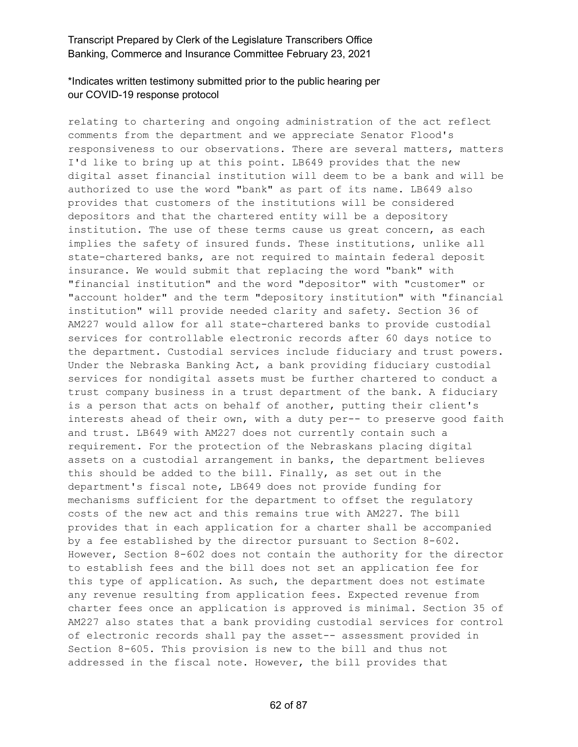# \*Indicates written testimony submitted prior to the public hearing per our COVID-19 response protocol

relating to chartering and ongoing administration of the act reflect comments from the department and we appreciate Senator Flood's responsiveness to our observations. There are several matters, matters I'd like to bring up at this point. LB649 provides that the new digital asset financial institution will deem to be a bank and will be authorized to use the word "bank" as part of its name. LB649 also provides that customers of the institutions will be considered depositors and that the chartered entity will be a depository institution. The use of these terms cause us great concern, as each implies the safety of insured funds. These institutions, unlike all state-chartered banks, are not required to maintain federal deposit insurance. We would submit that replacing the word "bank" with "financial institution" and the word "depositor" with "customer" or "account holder" and the term "depository institution" with "financial institution" will provide needed clarity and safety. Section 36 of AM227 would allow for all state-chartered banks to provide custodial services for controllable electronic records after 60 days notice to the department. Custodial services include fiduciary and trust powers. Under the Nebraska Banking Act, a bank providing fiduciary custodial services for nondigital assets must be further chartered to conduct a trust company business in a trust department of the bank. A fiduciary is a person that acts on behalf of another, putting their client's interests ahead of their own, with a duty per-- to preserve good faith and trust. LB649 with AM227 does not currently contain such a requirement. For the protection of the Nebraskans placing digital assets on a custodial arrangement in banks, the department believes this should be added to the bill. Finally, as set out in the department's fiscal note, LB649 does not provide funding for mechanisms sufficient for the department to offset the regulatory costs of the new act and this remains true with AM227. The bill provides that in each application for a charter shall be accompanied by a fee established by the director pursuant to Section 8-602. However, Section 8-602 does not contain the authority for the director to establish fees and the bill does not set an application fee for this type of application. As such, the department does not estimate any revenue resulting from application fees. Expected revenue from charter fees once an application is approved is minimal. Section 35 of AM227 also states that a bank providing custodial services for control of electronic records shall pay the asset-- assessment provided in Section 8-605. This provision is new to the bill and thus not addressed in the fiscal note. However, the bill provides that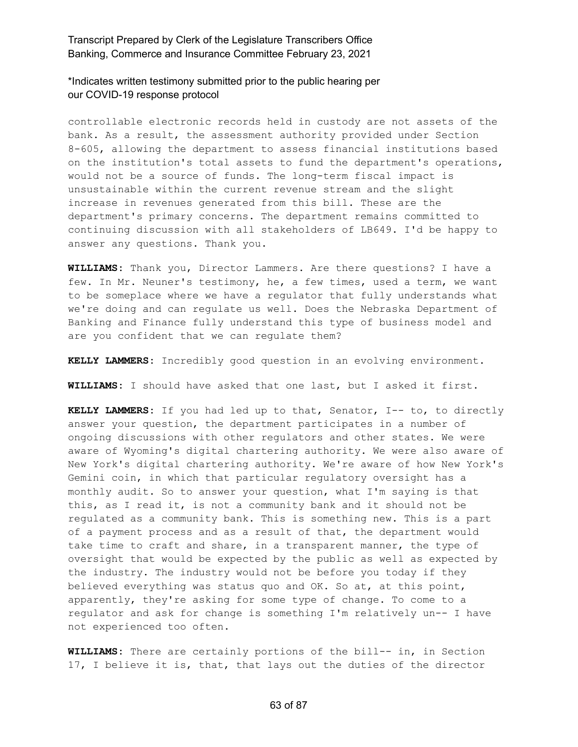\*Indicates written testimony submitted prior to the public hearing per our COVID-19 response protocol

controllable electronic records held in custody are not assets of the bank. As a result, the assessment authority provided under Section 8-605, allowing the department to assess financial institutions based on the institution's total assets to fund the department's operations, would not be a source of funds. The long-term fiscal impact is unsustainable within the current revenue stream and the slight increase in revenues generated from this bill. These are the department's primary concerns. The department remains committed to continuing discussion with all stakeholders of LB649. I'd be happy to answer any questions. Thank you.

**WILLIAMS:** Thank you, Director Lammers. Are there questions? I have a few. In Mr. Neuner's testimony, he, a few times, used a term, we want to be someplace where we have a regulator that fully understands what we're doing and can regulate us well. Does the Nebraska Department of Banking and Finance fully understand this type of business model and are you confident that we can regulate them?

**KELLY LAMMERS:** Incredibly good question in an evolving environment.

**WILLIAMS:** I should have asked that one last, but I asked it first.

**KELLY LAMMERS:** If you had led up to that, Senator, I-- to, to directly answer your question, the department participates in a number of ongoing discussions with other regulators and other states. We were aware of Wyoming's digital chartering authority. We were also aware of New York's digital chartering authority. We're aware of how New York's Gemini coin, in which that particular regulatory oversight has a monthly audit. So to answer your question, what I'm saying is that this, as I read it, is not a community bank and it should not be regulated as a community bank. This is something new. This is a part of a payment process and as a result of that, the department would take time to craft and share, in a transparent manner, the type of oversight that would be expected by the public as well as expected by the industry. The industry would not be before you today if they believed everything was status quo and OK. So at, at this point, apparently, they're asking for some type of change. To come to a regulator and ask for change is something I'm relatively un-- I have not experienced too often.

**WILLIAMS:** There are certainly portions of the bill-- in, in Section 17, I believe it is, that, that lays out the duties of the director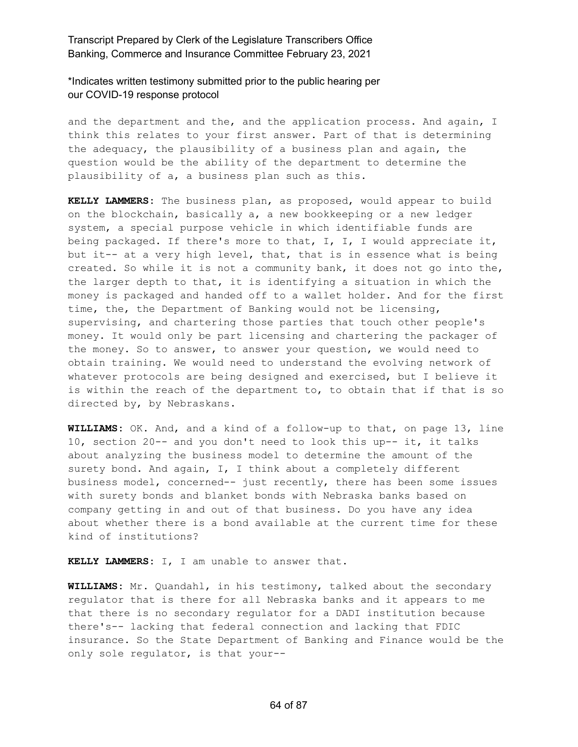\*Indicates written testimony submitted prior to the public hearing per our COVID-19 response protocol

and the department and the, and the application process. And again, I think this relates to your first answer. Part of that is determining the adequacy, the plausibility of a business plan and again, the question would be the ability of the department to determine the plausibility of a, a business plan such as this.

**KELLY LAMMERS:** The business plan, as proposed, would appear to build on the blockchain, basically a, a new bookkeeping or a new ledger system, a special purpose vehicle in which identifiable funds are being packaged. If there's more to that,  $I$ ,  $I$ ,  $I$  would appreciate it, but it-- at a very high level, that, that is in essence what is being created. So while it is not a community bank, it does not go into the, the larger depth to that, it is identifying a situation in which the money is packaged and handed off to a wallet holder. And for the first time, the, the Department of Banking would not be licensing, supervising, and chartering those parties that touch other people's money. It would only be part licensing and chartering the packager of the money. So to answer, to answer your question, we would need to obtain training. We would need to understand the evolving network of whatever protocols are being designed and exercised, but I believe it is within the reach of the department to, to obtain that if that is so directed by, by Nebraskans.

**WILLIAMS:** OK. And, and a kind of a follow-up to that, on page 13, line 10, section 20-- and you don't need to look this up-- it, it talks about analyzing the business model to determine the amount of the surety bond. And again, I, I think about a completely different business model, concerned-- just recently, there has been some issues with surety bonds and blanket bonds with Nebraska banks based on company getting in and out of that business. Do you have any idea about whether there is a bond available at the current time for these kind of institutions?

**KELLY LAMMERS:** I, I am unable to answer that.

**WILLIAMS:** Mr. Quandahl, in his testimony, talked about the secondary regulator that is there for all Nebraska banks and it appears to me that there is no secondary regulator for a DADI institution because there's-- lacking that federal connection and lacking that FDIC insurance. So the State Department of Banking and Finance would be the only sole regulator, is that your--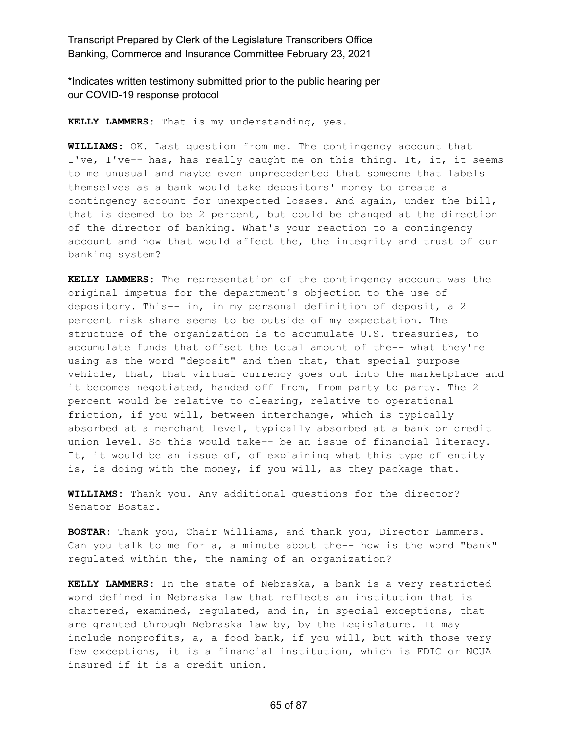\*Indicates written testimony submitted prior to the public hearing per our COVID-19 response protocol

**KELLY LAMMERS:** That is my understanding, yes.

**WILLIAMS:** OK. Last question from me. The contingency account that I've, I've-- has, has really caught me on this thing. It, it, it seems to me unusual and maybe even unprecedented that someone that labels themselves as a bank would take depositors' money to create a contingency account for unexpected losses. And again, under the bill, that is deemed to be 2 percent, but could be changed at the direction of the director of banking. What's your reaction to a contingency account and how that would affect the, the integrity and trust of our banking system?

**KELLY LAMMERS:** The representation of the contingency account was the original impetus for the department's objection to the use of depository. This-- in, in my personal definition of deposit, a 2 percent risk share seems to be outside of my expectation. The structure of the organization is to accumulate U.S. treasuries, to accumulate funds that offset the total amount of the-- what they're using as the word "deposit" and then that, that special purpose vehicle, that, that virtual currency goes out into the marketplace and it becomes negotiated, handed off from, from party to party. The 2 percent would be relative to clearing, relative to operational friction, if you will, between interchange, which is typically absorbed at a merchant level, typically absorbed at a bank or credit union level. So this would take-- be an issue of financial literacy. It, it would be an issue of, of explaining what this type of entity is, is doing with the money, if you will, as they package that.

**WILLIAMS:** Thank you. Any additional questions for the director? Senator Bostar.

**BOSTAR:** Thank you, Chair Williams, and thank you, Director Lammers. Can you talk to me for a, a minute about the-- how is the word "bank" regulated within the, the naming of an organization?

**KELLY LAMMERS:** In the state of Nebraska, a bank is a very restricted word defined in Nebraska law that reflects an institution that is chartered, examined, regulated, and in, in special exceptions, that are granted through Nebraska law by, by the Legislature. It may include nonprofits, a, a food bank, if you will, but with those very few exceptions, it is a financial institution, which is FDIC or NCUA insured if it is a credit union.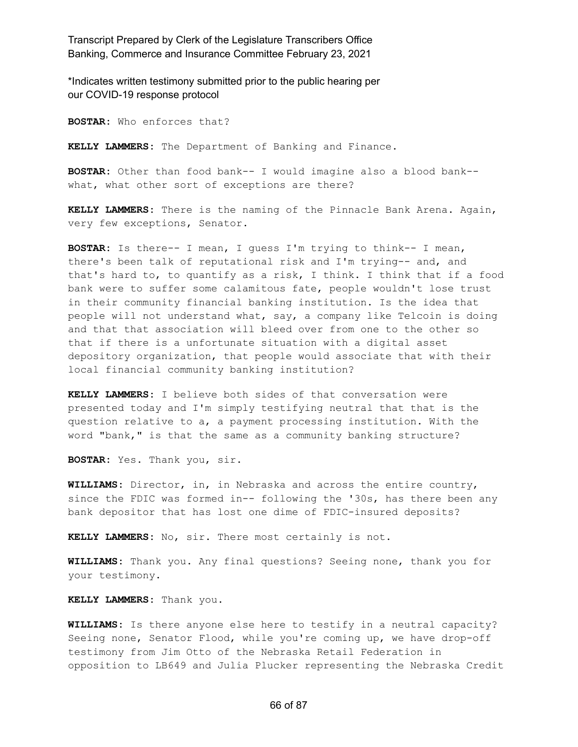\*Indicates written testimony submitted prior to the public hearing per our COVID-19 response protocol

**BOSTAR:** Who enforces that?

**KELLY LAMMERS:** The Department of Banking and Finance.

**BOSTAR:** Other than food bank-- I would imagine also a blood bank- what, what other sort of exceptions are there?

**KELLY LAMMERS:** There is the naming of the Pinnacle Bank Arena. Again, very few exceptions, Senator.

**BOSTAR:** Is there-- I mean, I guess I'm trying to think-- I mean, there's been talk of reputational risk and I'm trying-- and, and that's hard to, to quantify as a risk, I think. I think that if a food bank were to suffer some calamitous fate, people wouldn't lose trust in their community financial banking institution. Is the idea that people will not understand what, say, a company like Telcoin is doing and that that association will bleed over from one to the other so that if there is a unfortunate situation with a digital asset depository organization, that people would associate that with their local financial community banking institution?

**KELLY LAMMERS:** I believe both sides of that conversation were presented today and I'm simply testifying neutral that that is the question relative to a, a payment processing institution. With the word "bank," is that the same as a community banking structure?

**BOSTAR:** Yes. Thank you, sir.

**WILLIAMS:** Director, in, in Nebraska and across the entire country, since the FDIC was formed in-- following the '30s, has there been any bank depositor that has lost one dime of FDIC-insured deposits?

**KELLY LAMMERS:** No, sir. There most certainly is not.

**WILLIAMS:** Thank you. Any final questions? Seeing none, thank you for your testimony.

**KELLY LAMMERS:** Thank you.

**WILLIAMS:** Is there anyone else here to testify in a neutral capacity? Seeing none, Senator Flood, while you're coming up, we have drop-off testimony from Jim Otto of the Nebraska Retail Federation in opposition to LB649 and Julia Plucker representing the Nebraska Credit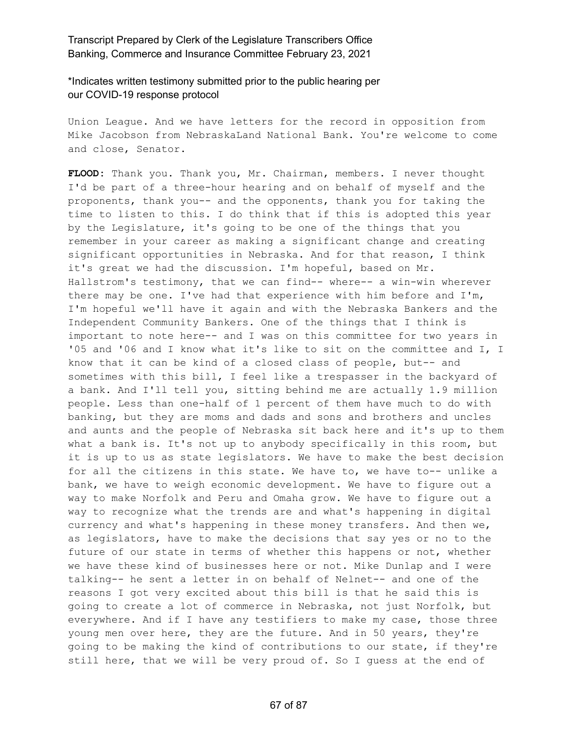\*Indicates written testimony submitted prior to the public hearing per our COVID-19 response protocol

Union League. And we have letters for the record in opposition from Mike Jacobson from NebraskaLand National Bank. You're welcome to come and close, Senator.

**FLOOD:** Thank you. Thank you, Mr. Chairman, members. I never thought I'd be part of a three-hour hearing and on behalf of myself and the proponents, thank you-- and the opponents, thank you for taking the time to listen to this. I do think that if this is adopted this year by the Legislature, it's going to be one of the things that you remember in your career as making a significant change and creating significant opportunities in Nebraska. And for that reason, I think it's great we had the discussion. I'm hopeful, based on Mr. Hallstrom's testimony, that we can find-- where-- a win-win wherever there may be one. I've had that experience with him before and I'm, I'm hopeful we'll have it again and with the Nebraska Bankers and the Independent Community Bankers. One of the things that I think is important to note here-- and I was on this committee for two years in '05 and '06 and I know what it's like to sit on the committee and I, I know that it can be kind of a closed class of people, but-- and sometimes with this bill, I feel like a trespasser in the backyard of a bank. And I'll tell you, sitting behind me are actually 1.9 million people. Less than one-half of 1 percent of them have much to do with banking, but they are moms and dads and sons and brothers and uncles and aunts and the people of Nebraska sit back here and it's up to them what a bank is. It's not up to anybody specifically in this room, but it is up to us as state legislators. We have to make the best decision for all the citizens in this state. We have to, we have to-- unlike a bank, we have to weigh economic development. We have to figure out a way to make Norfolk and Peru and Omaha grow. We have to figure out a way to recognize what the trends are and what's happening in digital currency and what's happening in these money transfers. And then we, as legislators, have to make the decisions that say yes or no to the future of our state in terms of whether this happens or not, whether we have these kind of businesses here or not. Mike Dunlap and I were talking-- he sent a letter in on behalf of Nelnet-- and one of the reasons I got very excited about this bill is that he said this is going to create a lot of commerce in Nebraska, not just Norfolk, but everywhere. And if I have any testifiers to make my case, those three young men over here, they are the future. And in 50 years, they're going to be making the kind of contributions to our state, if they're still here, that we will be very proud of. So I guess at the end of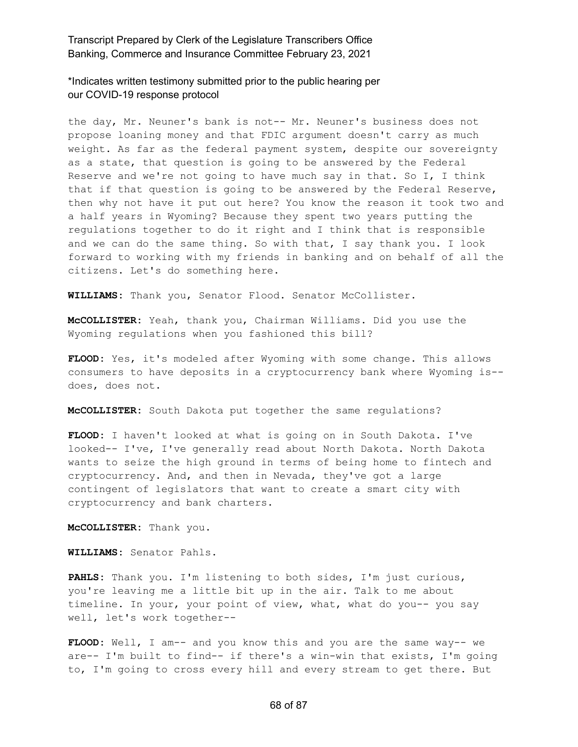\*Indicates written testimony submitted prior to the public hearing per our COVID-19 response protocol

the day, Mr. Neuner's bank is not-- Mr. Neuner's business does not propose loaning money and that FDIC argument doesn't carry as much weight. As far as the federal payment system, despite our sovereignty as a state, that question is going to be answered by the Federal Reserve and we're not going to have much say in that. So I, I think that if that question is going to be answered by the Federal Reserve, then why not have it put out here? You know the reason it took two and a half years in Wyoming? Because they spent two years putting the regulations together to do it right and I think that is responsible and we can do the same thing. So with that, I say thank you. I look forward to working with my friends in banking and on behalf of all the citizens. Let's do something here.

**WILLIAMS:** Thank you, Senator Flood. Senator McCollister.

**McCOLLISTER:** Yeah, thank you, Chairman Williams. Did you use the Wyoming regulations when you fashioned this bill?

**FLOOD:** Yes, it's modeled after Wyoming with some change. This allows consumers to have deposits in a cryptocurrency bank where Wyoming is- does, does not.

**McCOLLISTER:** South Dakota put together the same regulations?

**FLOOD:** I haven't looked at what is going on in South Dakota. I've looked-- I've, I've generally read about North Dakota. North Dakota wants to seize the high ground in terms of being home to fintech and cryptocurrency. And, and then in Nevada, they've got a large contingent of legislators that want to create a smart city with cryptocurrency and bank charters.

**McCOLLISTER:** Thank you.

**WILLIAMS:** Senator Pahls.

**PAHLS:** Thank you. I'm listening to both sides, I'm just curious, you're leaving me a little bit up in the air. Talk to me about timeline. In your, your point of view, what, what do you-- you say well, let's work together--

**FLOOD:** Well, I am-- and you know this and you are the same way-- we are-- I'm built to find-- if there's a win-win that exists, I'm going to, I'm going to cross every hill and every stream to get there. But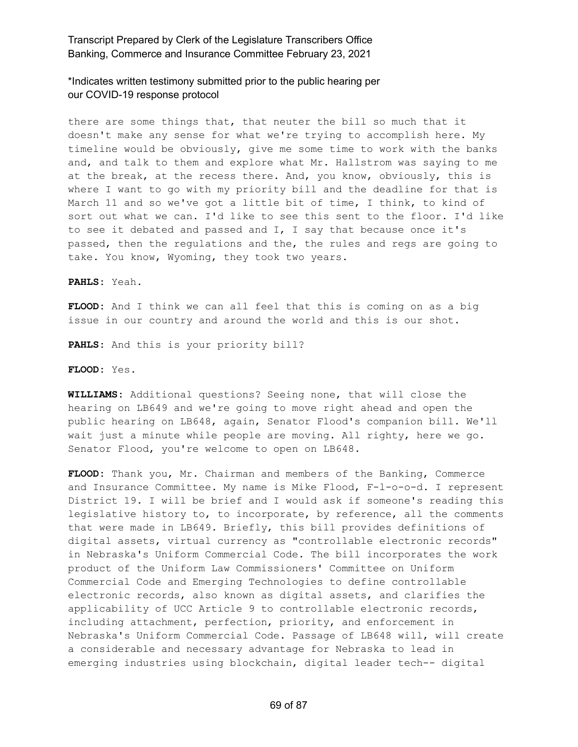\*Indicates written testimony submitted prior to the public hearing per our COVID-19 response protocol

there are some things that, that neuter the bill so much that it doesn't make any sense for what we're trying to accomplish here. My timeline would be obviously, give me some time to work with the banks and, and talk to them and explore what Mr. Hallstrom was saying to me at the break, at the recess there. And, you know, obviously, this is where I want to go with my priority bill and the deadline for that is March 11 and so we've got a little bit of time, I think, to kind of sort out what we can. I'd like to see this sent to the floor. I'd like to see it debated and passed and I, I say that because once it's passed, then the regulations and the, the rules and regs are going to take. You know, Wyoming, they took two years.

**PAHLS:** Yeah.

**FLOOD:** And I think we can all feel that this is coming on as a big issue in our country and around the world and this is our shot.

**PAHLS:** And this is your priority bill?

**FLOOD:** Yes.

**WILLIAMS:** Additional questions? Seeing none, that will close the hearing on LB649 and we're going to move right ahead and open the public hearing on LB648, again, Senator Flood's companion bill. We'll wait just a minute while people are moving. All righty, here we go. Senator Flood, you're welcome to open on LB648.

**FLOOD:** Thank you, Mr. Chairman and members of the Banking, Commerce and Insurance Committee. My name is Mike Flood, F-l-o-o-d. I represent District 19. I will be brief and I would ask if someone's reading this legislative history to, to incorporate, by reference, all the comments that were made in LB649. Briefly, this bill provides definitions of digital assets, virtual currency as "controllable electronic records" in Nebraska's Uniform Commercial Code. The bill incorporates the work product of the Uniform Law Commissioners' Committee on Uniform Commercial Code and Emerging Technologies to define controllable electronic records, also known as digital assets, and clarifies the applicability of UCC Article 9 to controllable electronic records, including attachment, perfection, priority, and enforcement in Nebraska's Uniform Commercial Code. Passage of LB648 will, will create a considerable and necessary advantage for Nebraska to lead in emerging industries using blockchain, digital leader tech-- digital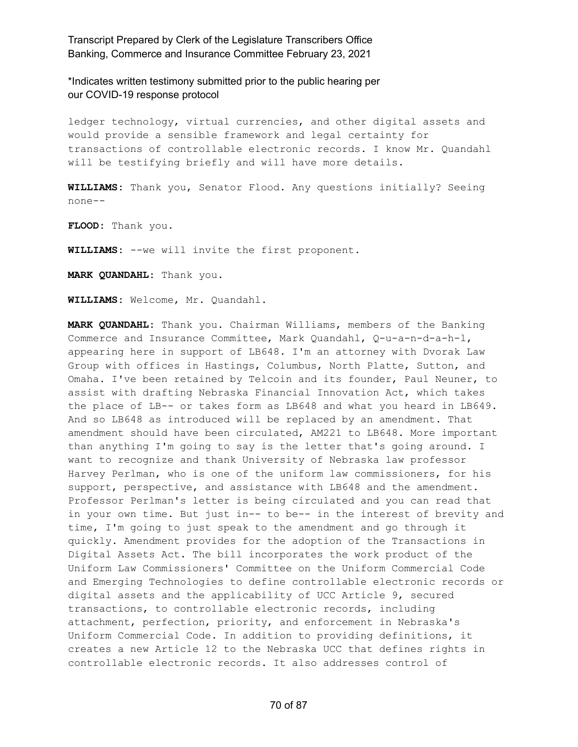\*Indicates written testimony submitted prior to the public hearing per our COVID-19 response protocol

ledger technology, virtual currencies, and other digital assets and would provide a sensible framework and legal certainty for transactions of controllable electronic records. I know Mr. Quandahl will be testifying briefly and will have more details.

**WILLIAMS:** Thank you, Senator Flood. Any questions initially? Seeing none--

**FLOOD:** Thank you.

**WILLIAMS:** --we will invite the first proponent.

**MARK QUANDAHL:** Thank you.

**WILLIAMS:** Welcome, Mr. Quandahl.

**MARK QUANDAHL:** Thank you. Chairman Williams, members of the Banking Commerce and Insurance Committee, Mark Quandahl, Q-u-a-n-d-a-h-l, appearing here in support of LB648. I'm an attorney with Dvorak Law Group with offices in Hastings, Columbus, North Platte, Sutton, and Omaha. I've been retained by Telcoin and its founder, Paul Neuner, to assist with drafting Nebraska Financial Innovation Act, which takes the place of LB-- or takes form as LB648 and what you heard in LB649. And so LB648 as introduced will be replaced by an amendment. That amendment should have been circulated, AM221 to LB648. More important than anything I'm going to say is the letter that's going around. I want to recognize and thank University of Nebraska law professor Harvey Perlman, who is one of the uniform law commissioners, for his support, perspective, and assistance with LB648 and the amendment. Professor Perlman's letter is being circulated and you can read that in your own time. But just in-- to be-- in the interest of brevity and time, I'm going to just speak to the amendment and go through it quickly. Amendment provides for the adoption of the Transactions in Digital Assets Act. The bill incorporates the work product of the Uniform Law Commissioners' Committee on the Uniform Commercial Code and Emerging Technologies to define controllable electronic records or digital assets and the applicability of UCC Article 9, secured transactions, to controllable electronic records, including attachment, perfection, priority, and enforcement in Nebraska's Uniform Commercial Code. In addition to providing definitions, it creates a new Article 12 to the Nebraska UCC that defines rights in controllable electronic records. It also addresses control of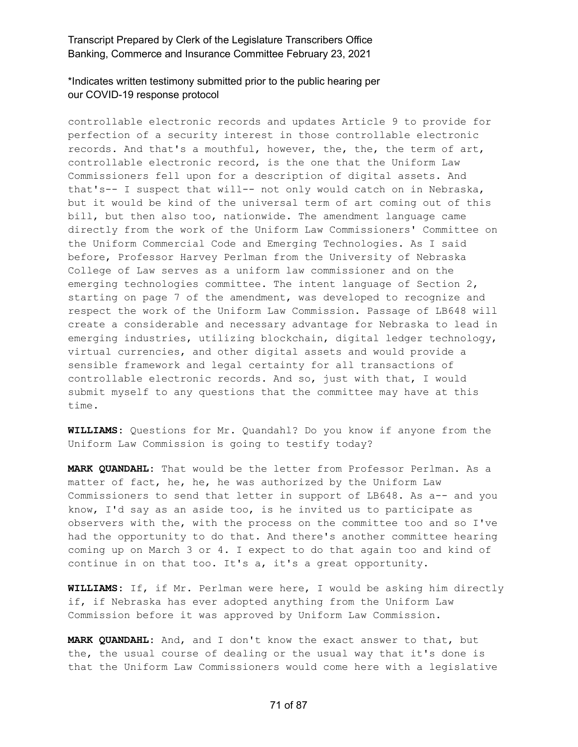\*Indicates written testimony submitted prior to the public hearing per our COVID-19 response protocol

controllable electronic records and updates Article 9 to provide for perfection of a security interest in those controllable electronic records. And that's a mouthful, however, the, the, the term of art, controllable electronic record, is the one that the Uniform Law Commissioners fell upon for a description of digital assets. And that's-- I suspect that will-- not only would catch on in Nebraska, but it would be kind of the universal term of art coming out of this bill, but then also too, nationwide. The amendment language came directly from the work of the Uniform Law Commissioners' Committee on the Uniform Commercial Code and Emerging Technologies. As I said before, Professor Harvey Perlman from the University of Nebraska College of Law serves as a uniform law commissioner and on the emerging technologies committee. The intent language of Section 2, starting on page 7 of the amendment, was developed to recognize and respect the work of the Uniform Law Commission. Passage of LB648 will create a considerable and necessary advantage for Nebraska to lead in emerging industries, utilizing blockchain, digital ledger technology, virtual currencies, and other digital assets and would provide a sensible framework and legal certainty for all transactions of controllable electronic records. And so, just with that, I would submit myself to any questions that the committee may have at this time.

**WILLIAMS:** Questions for Mr. Quandahl? Do you know if anyone from the Uniform Law Commission is going to testify today?

**MARK QUANDAHL:** That would be the letter from Professor Perlman. As a matter of fact, he, he, he was authorized by the Uniform Law Commissioners to send that letter in support of LB648. As a-- and you know, I'd say as an aside too, is he invited us to participate as observers with the, with the process on the committee too and so I've had the opportunity to do that. And there's another committee hearing coming up on March 3 or 4. I expect to do that again too and kind of continue in on that too. It's a, it's a great opportunity.

**WILLIAMS:** If, if Mr. Perlman were here, I would be asking him directly if, if Nebraska has ever adopted anything from the Uniform Law Commission before it was approved by Uniform Law Commission.

**MARK QUANDAHL:** And, and I don't know the exact answer to that, but the, the usual course of dealing or the usual way that it's done is that the Uniform Law Commissioners would come here with a legislative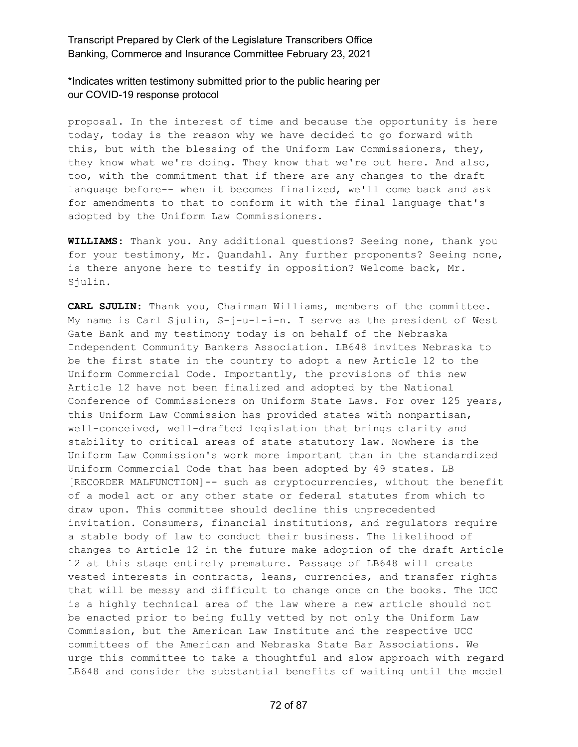\*Indicates written testimony submitted prior to the public hearing per our COVID-19 response protocol

proposal. In the interest of time and because the opportunity is here today, today is the reason why we have decided to go forward with this, but with the blessing of the Uniform Law Commissioners, they, they know what we're doing. They know that we're out here. And also, too, with the commitment that if there are any changes to the draft language before-- when it becomes finalized, we'll come back and ask for amendments to that to conform it with the final language that's adopted by the Uniform Law Commissioners.

**WILLIAMS:** Thank you. Any additional questions? Seeing none, thank you for your testimony, Mr. Quandahl. Any further proponents? Seeing none, is there anyone here to testify in opposition? Welcome back, Mr. Sjulin.

**CARL SJULIN:** Thank you, Chairman Williams, members of the committee. My name is Carl Sjulin, S-j-u-l-i-n. I serve as the president of West Gate Bank and my testimony today is on behalf of the Nebraska Independent Community Bankers Association. LB648 invites Nebraska to be the first state in the country to adopt a new Article 12 to the Uniform Commercial Code. Importantly, the provisions of this new Article 12 have not been finalized and adopted by the National Conference of Commissioners on Uniform State Laws. For over 125 years, this Uniform Law Commission has provided states with nonpartisan, well-conceived, well-drafted legislation that brings clarity and stability to critical areas of state statutory law. Nowhere is the Uniform Law Commission's work more important than in the standardized Uniform Commercial Code that has been adopted by 49 states. LB [RECORDER MALFUNCTION]-- such as cryptocurrencies, without the benefit of a model act or any other state or federal statutes from which to draw upon. This committee should decline this unprecedented invitation. Consumers, financial institutions, and regulators require a stable body of law to conduct their business. The likelihood of changes to Article 12 in the future make adoption of the draft Article 12 at this stage entirely premature. Passage of LB648 will create vested interests in contracts, leans, currencies, and transfer rights that will be messy and difficult to change once on the books. The UCC is a highly technical area of the law where a new article should not be enacted prior to being fully vetted by not only the Uniform Law Commission, but the American Law Institute and the respective UCC committees of the American and Nebraska State Bar Associations. We urge this committee to take a thoughtful and slow approach with regard LB648 and consider the substantial benefits of waiting until the model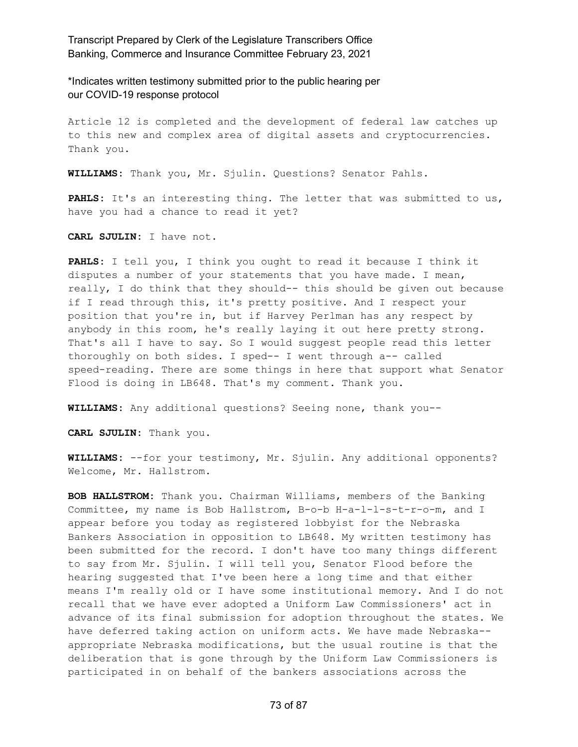\*Indicates written testimony submitted prior to the public hearing per our COVID-19 response protocol

Article 12 is completed and the development of federal law catches up to this new and complex area of digital assets and cryptocurrencies. Thank you.

**WILLIAMS:** Thank you, Mr. Sjulin. Questions? Senator Pahls.

**PAHLS:** It's an interesting thing. The letter that was submitted to us, have you had a chance to read it yet?

**CARL SJULIN:** I have not.

**PAHLS:** I tell you, I think you ought to read it because I think it disputes a number of your statements that you have made. I mean, really, I do think that they should-- this should be given out because if I read through this, it's pretty positive. And I respect your position that you're in, but if Harvey Perlman has any respect by anybody in this room, he's really laying it out here pretty strong. That's all I have to say. So I would suggest people read this letter thoroughly on both sides. I sped-- I went through a-- called speed-reading. There are some things in here that support what Senator Flood is doing in LB648. That's my comment. Thank you.

**WILLIAMS:** Any additional questions? Seeing none, thank you--

**CARL SJULIN:** Thank you.

**WILLIAMS:** --for your testimony, Mr. Sjulin. Any additional opponents? Welcome, Mr. Hallstrom.

**BOB HALLSTROM:** Thank you. Chairman Williams, members of the Banking Committee, my name is Bob Hallstrom, B-o-b H-a-l-l-s-t-r-o-m, and I appear before you today as registered lobbyist for the Nebraska Bankers Association in opposition to LB648. My written testimony has been submitted for the record. I don't have too many things different to say from Mr. Sjulin. I will tell you, Senator Flood before the hearing suggested that I've been here a long time and that either means I'm really old or I have some institutional memory. And I do not recall that we have ever adopted a Uniform Law Commissioners' act in advance of its final submission for adoption throughout the states. We have deferred taking action on uniform acts. We have made Nebraska- appropriate Nebraska modifications, but the usual routine is that the deliberation that is gone through by the Uniform Law Commissioners is participated in on behalf of the bankers associations across the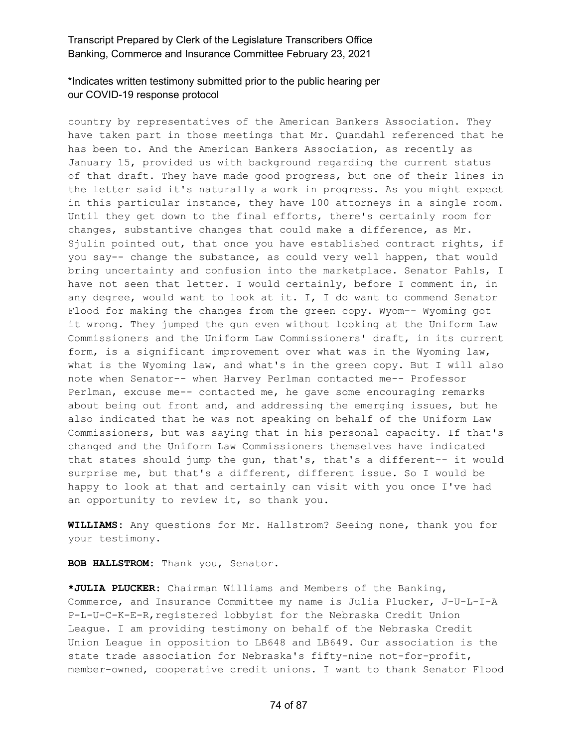## \*Indicates written testimony submitted prior to the public hearing per our COVID-19 response protocol

country by representatives of the American Bankers Association. They have taken part in those meetings that Mr. Quandahl referenced that he has been to. And the American Bankers Association, as recently as January 15, provided us with background regarding the current status of that draft. They have made good progress, but one of their lines in the letter said it's naturally a work in progress. As you might expect in this particular instance, they have 100 attorneys in a single room. Until they get down to the final efforts, there's certainly room for changes, substantive changes that could make a difference, as Mr. Sjulin pointed out, that once you have established contract rights, if you say-- change the substance, as could very well happen, that would bring uncertainty and confusion into the marketplace. Senator Pahls, I have not seen that letter. I would certainly, before I comment in, in any degree, would want to look at it. I, I do want to commend Senator Flood for making the changes from the green copy. Wyom-- Wyoming got it wrong. They jumped the gun even without looking at the Uniform Law Commissioners and the Uniform Law Commissioners' draft, in its current form, is a significant improvement over what was in the Wyoming law, what is the Wyoming law, and what's in the green copy. But I will also note when Senator-- when Harvey Perlman contacted me-- Professor Perlman, excuse me-- contacted me, he gave some encouraging remarks about being out front and, and addressing the emerging issues, but he also indicated that he was not speaking on behalf of the Uniform Law Commissioners, but was saying that in his personal capacity. If that's changed and the Uniform Law Commissioners themselves have indicated that states should jump the gun, that's, that's a different-- it would surprise me, but that's a different, different issue. So I would be happy to look at that and certainly can visit with you once I've had an opportunity to review it, so thank you.

**WILLIAMS:** Any questions for Mr. Hallstrom? Seeing none, thank you for your testimony.

**BOB HALLSTROM:** Thank you, Senator.

**\*JULIA PLUCKER:** Chairman Williams and Members of the Banking, Commerce, and Insurance Committee my name is Julia Plucker, J-U-L-I-A P-L-U-C-K-E-R,registered lobbyist for the Nebraska Credit Union League. I am providing testimony on behalf of the Nebraska Credit Union League in opposition to LB648 and LB649. Our association is the state trade association for Nebraska's fifty-nine not-for-profit, member-owned, cooperative credit unions. I want to thank Senator Flood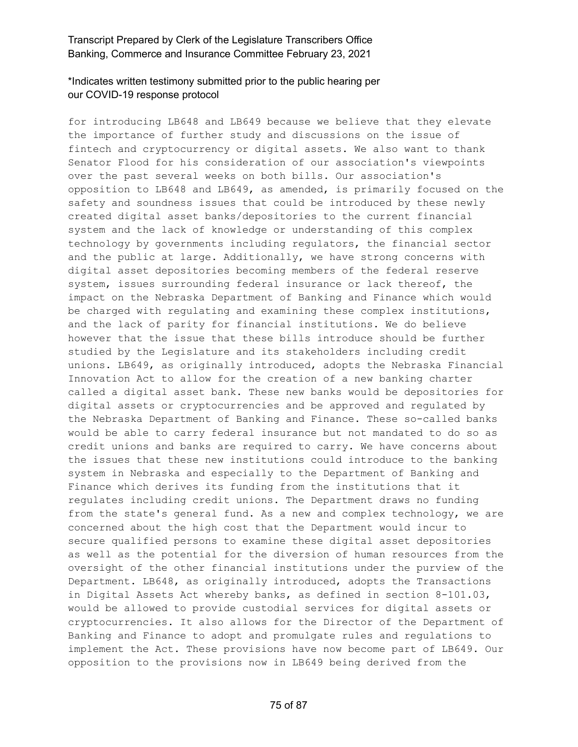# \*Indicates written testimony submitted prior to the public hearing per our COVID-19 response protocol

for introducing LB648 and LB649 because we believe that they elevate the importance of further study and discussions on the issue of fintech and cryptocurrency or digital assets. We also want to thank Senator Flood for his consideration of our association's viewpoints over the past several weeks on both bills. Our association's opposition to LB648 and LB649, as amended, is primarily focused on the safety and soundness issues that could be introduced by these newly created digital asset banks/depositories to the current financial system and the lack of knowledge or understanding of this complex technology by governments including regulators, the financial sector and the public at large. Additionally, we have strong concerns with digital asset depositories becoming members of the federal reserve system, issues surrounding federal insurance or lack thereof, the impact on the Nebraska Department of Banking and Finance which would be charged with regulating and examining these complex institutions, and the lack of parity for financial institutions. We do believe however that the issue that these bills introduce should be further studied by the Legislature and its stakeholders including credit unions. LB649, as originally introduced, adopts the Nebraska Financial Innovation Act to allow for the creation of a new banking charter called a digital asset bank. These new banks would be depositories for digital assets or cryptocurrencies and be approved and regulated by the Nebraska Department of Banking and Finance. These so-called banks would be able to carry federal insurance but not mandated to do so as credit unions and banks are required to carry. We have concerns about the issues that these new institutions could introduce to the banking system in Nebraska and especially to the Department of Banking and Finance which derives its funding from the institutions that it regulates including credit unions. The Department draws no funding from the state's general fund. As a new and complex technology, we are concerned about the high cost that the Department would incur to secure qualified persons to examine these digital asset depositories as well as the potential for the diversion of human resources from the oversight of the other financial institutions under the purview of the Department. LB648, as originally introduced, adopts the Transactions in Digital Assets Act whereby banks, as defined in section 8-101.03, would be allowed to provide custodial services for digital assets or cryptocurrencies. It also allows for the Director of the Department of Banking and Finance to adopt and promulgate rules and regulations to implement the Act. These provisions have now become part of LB649. Our opposition to the provisions now in LB649 being derived from the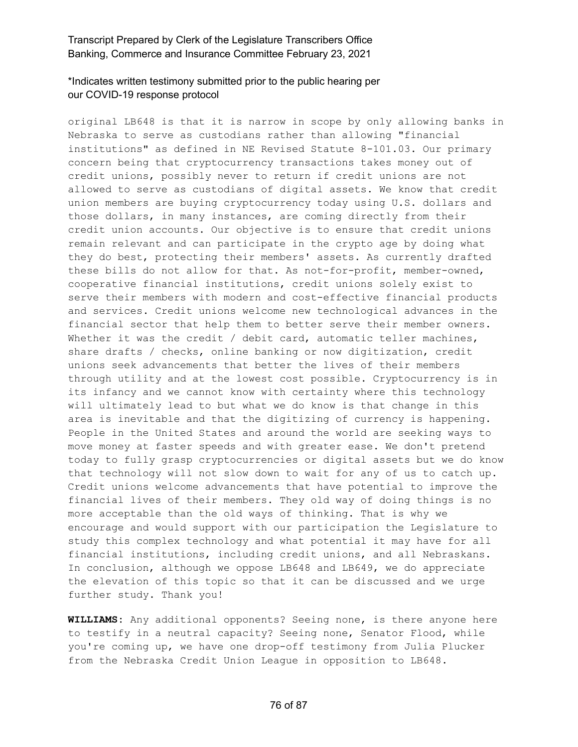# \*Indicates written testimony submitted prior to the public hearing per our COVID-19 response protocol

original LB648 is that it is narrow in scope by only allowing banks in Nebraska to serve as custodians rather than allowing "financial institutions" as defined in NE Revised Statute 8-101.03. Our primary concern being that cryptocurrency transactions takes money out of credit unions, possibly never to return if credit unions are not allowed to serve as custodians of digital assets. We know that credit union members are buying cryptocurrency today using U.S. dollars and those dollars, in many instances, are coming directly from their credit union accounts. Our objective is to ensure that credit unions remain relevant and can participate in the crypto age by doing what they do best, protecting their members' assets. As currently drafted these bills do not allow for that. As not-for-profit, member-owned, cooperative financial institutions, credit unions solely exist to serve their members with modern and cost-effective financial products and services. Credit unions welcome new technological advances in the financial sector that help them to better serve their member owners. Whether it was the credit / debit card, automatic teller machines, share drafts / checks, online banking or now digitization, credit unions seek advancements that better the lives of their members through utility and at the lowest cost possible. Cryptocurrency is in its infancy and we cannot know with certainty where this technology will ultimately lead to but what we do know is that change in this area is inevitable and that the digitizing of currency is happening. People in the United States and around the world are seeking ways to move money at faster speeds and with greater ease. We don't pretend today to fully grasp cryptocurrencies or digital assets but we do know that technology will not slow down to wait for any of us to catch up. Credit unions welcome advancements that have potential to improve the financial lives of their members. They old way of doing things is no more acceptable than the old ways of thinking. That is why we encourage and would support with our participation the Legislature to study this complex technology and what potential it may have for all financial institutions, including credit unions, and all Nebraskans. In conclusion, although we oppose LB648 and LB649, we do appreciate the elevation of this topic so that it can be discussed and we urge further study. Thank you!

**WILLIAMS:** Any additional opponents? Seeing none, is there anyone here to testify in a neutral capacity? Seeing none, Senator Flood, while you're coming up, we have one drop-off testimony from Julia Plucker from the Nebraska Credit Union League in opposition to LB648.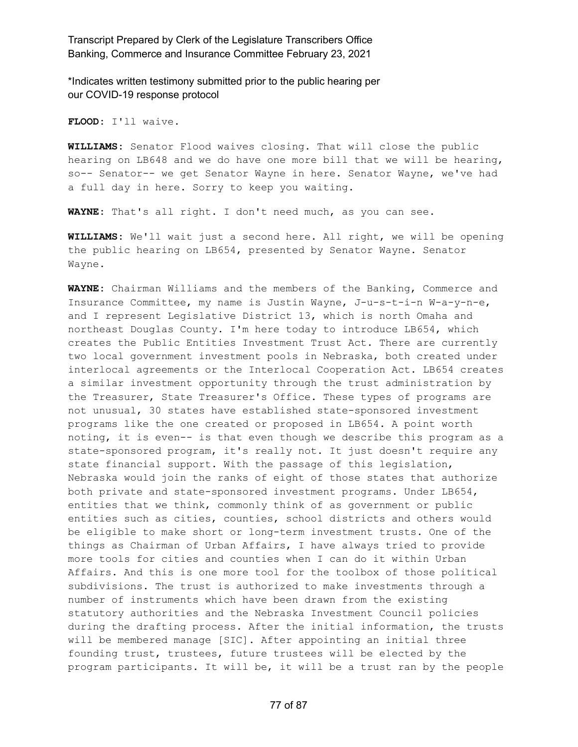\*Indicates written testimony submitted prior to the public hearing per our COVID-19 response protocol

**FLOOD:** I'll waive.

**WILLIAMS:** Senator Flood waives closing. That will close the public hearing on LB648 and we do have one more bill that we will be hearing, so-- Senator-- we get Senator Wayne in here. Senator Wayne, we've had a full day in here. Sorry to keep you waiting.

**WAYNE:** That's all right. I don't need much, as you can see.

**WILLIAMS:** We'll wait just a second here. All right, we will be opening the public hearing on LB654, presented by Senator Wayne. Senator Wayne.

**WAYNE:** Chairman Williams and the members of the Banking, Commerce and Insurance Committee, my name is Justin Wayne, J-u-s-t-i-n W-a-y-n-e, and I represent Legislative District 13, which is north Omaha and northeast Douglas County. I'm here today to introduce LB654, which creates the Public Entities Investment Trust Act. There are currently two local government investment pools in Nebraska, both created under interlocal agreements or the Interlocal Cooperation Act. LB654 creates a similar investment opportunity through the trust administration by the Treasurer, State Treasurer's Office. These types of programs are not unusual, 30 states have established state-sponsored investment programs like the one created or proposed in LB654. A point worth noting, it is even-- is that even though we describe this program as a state-sponsored program, it's really not. It just doesn't require any state financial support. With the passage of this legislation, Nebraska would join the ranks of eight of those states that authorize both private and state-sponsored investment programs. Under LB654, entities that we think, commonly think of as government or public entities such as cities, counties, school districts and others would be eligible to make short or long-term investment trusts. One of the things as Chairman of Urban Affairs, I have always tried to provide more tools for cities and counties when I can do it within Urban Affairs. And this is one more tool for the toolbox of those political subdivisions. The trust is authorized to make investments through a number of instruments which have been drawn from the existing statutory authorities and the Nebraska Investment Council policies during the drafting process. After the initial information, the trusts will be membered manage [SIC]. After appointing an initial three founding trust, trustees, future trustees will be elected by the program participants. It will be, it will be a trust ran by the people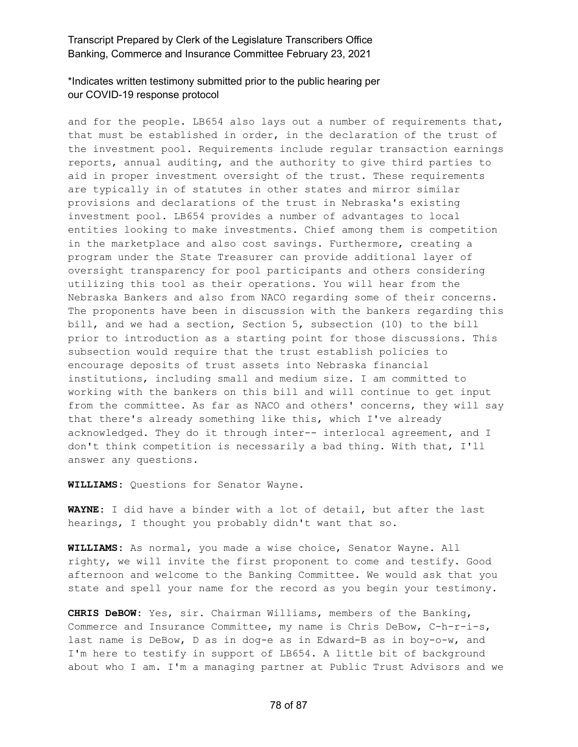## \*Indicates written testimony submitted prior to the public hearing per our COVID-19 response protocol

and for the people. LB654 also lays out a number of requirements that, that must be established in order, in the declaration of the trust of the investment pool. Requirements include regular transaction earnings reports, annual auditing, and the authority to give third parties to aid in proper investment oversight of the trust. These requirements are typically in of statutes in other states and mirror similar provisions and declarations of the trust in Nebraska's existing investment pool. LB654 provides a number of advantages to local entities looking to make investments. Chief among them is competition in the marketplace and also cost savings. Furthermore, creating a program under the State Treasurer can provide additional layer of oversight transparency for pool participants and others considering utilizing this tool as their operations. You will hear from the Nebraska Bankers and also from NACO regarding some of their concerns. The proponents have been in discussion with the bankers regarding this bill, and we had a section, Section 5, subsection (10) to the bill prior to introduction as a starting point for those discussions. This subsection would require that the trust establish policies to encourage deposits of trust assets into Nebraska financial institutions, including small and medium size. I am committed to working with the bankers on this bill and will continue to get input from the committee. As far as NACO and others' concerns, they will say that there's already something like this, which I've already acknowledged. They do it through inter-- interlocal agreement, and I don't think competition is necessarily a bad thing. With that, I'll answer any questions.

**WILLIAMS:** Questions for Senator Wayne.

**WAYNE:** I did have a binder with a lot of detail, but after the last hearings, I thought you probably didn't want that so.

**WILLIAMS:** As normal, you made a wise choice, Senator Wayne. All righty, we will invite the first proponent to come and testify. Good afternoon and welcome to the Banking Committee. We would ask that you state and spell your name for the record as you begin your testimony.

**CHRIS DeBOW:** Yes, sir. Chairman Williams, members of the Banking, Commerce and Insurance Committee, my name is Chris DeBow, C-h-r-i-s, last name is DeBow, D as in dog-e as in Edward-B as in boy-o-w, and I'm here to testify in support of LB654. A little bit of background about who I am. I'm a managing partner at Public Trust Advisors and we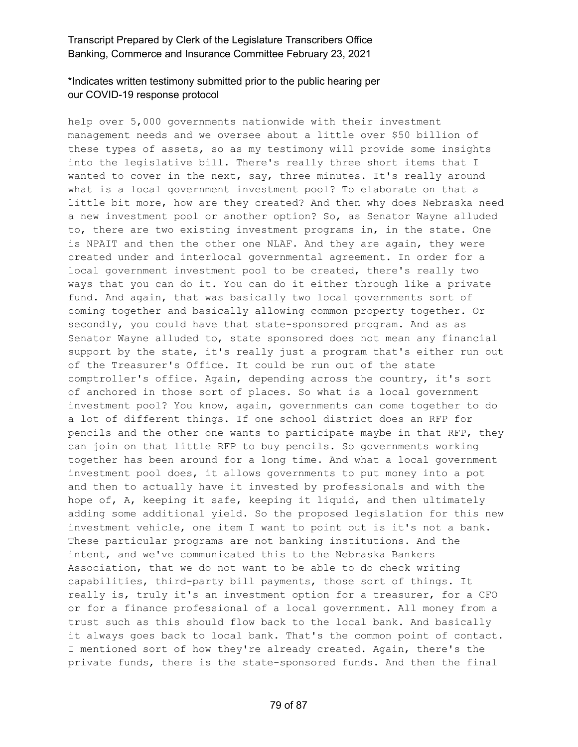# \*Indicates written testimony submitted prior to the public hearing per our COVID-19 response protocol

help over 5,000 governments nationwide with their investment management needs and we oversee about a little over \$50 billion of these types of assets, so as my testimony will provide some insights into the legislative bill. There's really three short items that I wanted to cover in the next, say, three minutes. It's really around what is a local government investment pool? To elaborate on that a little bit more, how are they created? And then why does Nebraska need a new investment pool or another option? So, as Senator Wayne alluded to, there are two existing investment programs in, in the state. One is NPAIT and then the other one NLAF. And they are again, they were created under and interlocal governmental agreement. In order for a local government investment pool to be created, there's really two ways that you can do it. You can do it either through like a private fund. And again, that was basically two local governments sort of coming together and basically allowing common property together. Or secondly, you could have that state-sponsored program. And as as Senator Wayne alluded to, state sponsored does not mean any financial support by the state, it's really just a program that's either run out of the Treasurer's Office. It could be run out of the state comptroller's office. Again, depending across the country, it's sort of anchored in those sort of places. So what is a local government investment pool? You know, again, governments can come together to do a lot of different things. If one school district does an RFP for pencils and the other one wants to participate maybe in that RFP, they can join on that little RFP to buy pencils. So governments working together has been around for a long time. And what a local government investment pool does, it allows governments to put money into a pot and then to actually have it invested by professionals and with the hope of, A, keeping it safe, keeping it liquid, and then ultimately adding some additional yield. So the proposed legislation for this new investment vehicle, one item I want to point out is it's not a bank. These particular programs are not banking institutions. And the intent, and we've communicated this to the Nebraska Bankers Association, that we do not want to be able to do check writing capabilities, third-party bill payments, those sort of things. It really is, truly it's an investment option for a treasurer, for a CFO or for a finance professional of a local government. All money from a trust such as this should flow back to the local bank. And basically it always goes back to local bank. That's the common point of contact. I mentioned sort of how they're already created. Again, there's the private funds, there is the state-sponsored funds. And then the final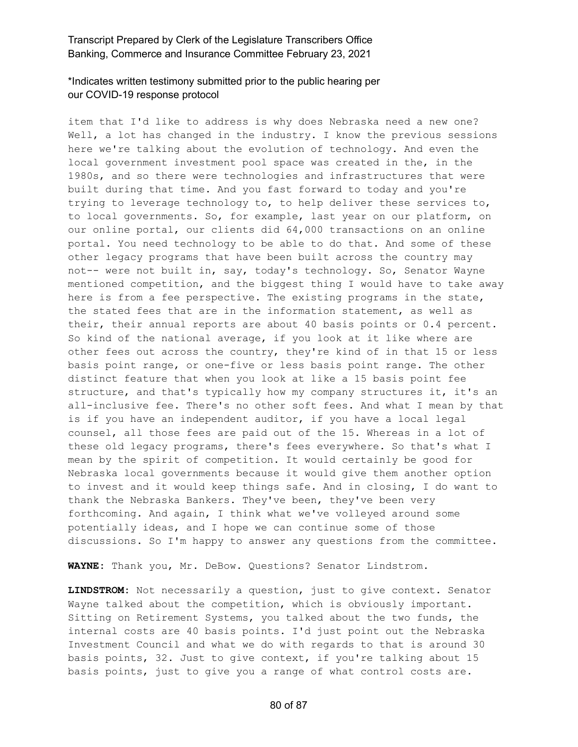# \*Indicates written testimony submitted prior to the public hearing per our COVID-19 response protocol

item that I'd like to address is why does Nebraska need a new one? Well, a lot has changed in the industry. I know the previous sessions here we're talking about the evolution of technology. And even the local government investment pool space was created in the, in the 1980s, and so there were technologies and infrastructures that were built during that time. And you fast forward to today and you're trying to leverage technology to, to help deliver these services to, to local governments. So, for example, last year on our platform, on our online portal, our clients did 64,000 transactions on an online portal. You need technology to be able to do that. And some of these other legacy programs that have been built across the country may not-- were not built in, say, today's technology. So, Senator Wayne mentioned competition, and the biggest thing I would have to take away here is from a fee perspective. The existing programs in the state, the stated fees that are in the information statement, as well as their, their annual reports are about 40 basis points or 0.4 percent. So kind of the national average, if you look at it like where are other fees out across the country, they're kind of in that 15 or less basis point range, or one-five or less basis point range. The other distinct feature that when you look at like a 15 basis point fee structure, and that's typically how my company structures it, it's an all-inclusive fee. There's no other soft fees. And what I mean by that is if you have an independent auditor, if you have a local legal counsel, all those fees are paid out of the 15. Whereas in a lot of these old legacy programs, there's fees everywhere. So that's what I mean by the spirit of competition. It would certainly be good for Nebraska local governments because it would give them another option to invest and it would keep things safe. And in closing, I do want to thank the Nebraska Bankers. They've been, they've been very forthcoming. And again, I think what we've volleyed around some potentially ideas, and I hope we can continue some of those discussions. So I'm happy to answer any questions from the committee.

**WAYNE:** Thank you, Mr. DeBow. Questions? Senator Lindstrom.

**LINDSTROM:** Not necessarily a question, just to give context. Senator Wayne talked about the competition, which is obviously important. Sitting on Retirement Systems, you talked about the two funds, the internal costs are 40 basis points. I'd just point out the Nebraska Investment Council and what we do with regards to that is around 30 basis points, 32. Just to give context, if you're talking about 15 basis points, just to give you a range of what control costs are.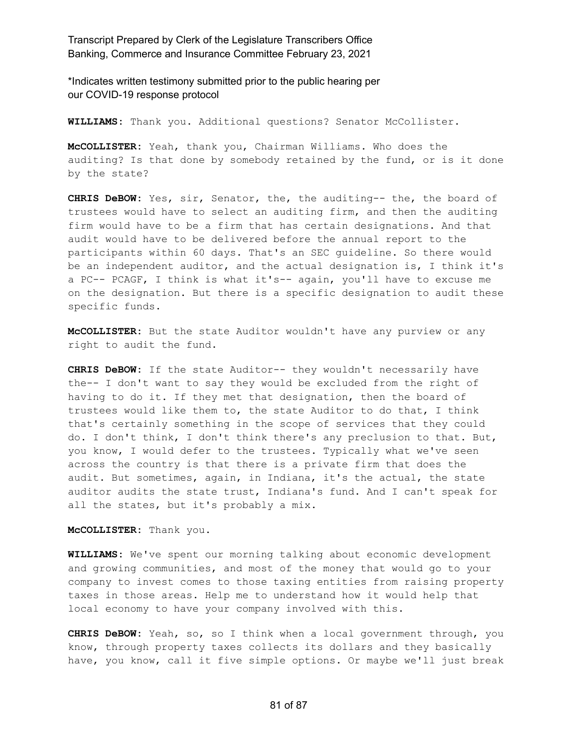\*Indicates written testimony submitted prior to the public hearing per our COVID-19 response protocol

**WILLIAMS:** Thank you. Additional questions? Senator McCollister.

**McCOLLISTER:** Yeah, thank you, Chairman Williams. Who does the auditing? Is that done by somebody retained by the fund, or is it done by the state?

**CHRIS DeBOW:** Yes, sir, Senator, the, the auditing-- the, the board of trustees would have to select an auditing firm, and then the auditing firm would have to be a firm that has certain designations. And that audit would have to be delivered before the annual report to the participants within 60 days. That's an SEC guideline. So there would be an independent auditor, and the actual designation is, I think it's a PC-- PCAGF, I think is what it's-- again, you'll have to excuse me on the designation. But there is a specific designation to audit these specific funds.

**McCOLLISTER:** But the state Auditor wouldn't have any purview or any right to audit the fund.

**CHRIS DeBOW:** If the state Auditor-- they wouldn't necessarily have the-- I don't want to say they would be excluded from the right of having to do it. If they met that designation, then the board of trustees would like them to, the state Auditor to do that, I think that's certainly something in the scope of services that they could do. I don't think, I don't think there's any preclusion to that. But, you know, I would defer to the trustees. Typically what we've seen across the country is that there is a private firm that does the audit. But sometimes, again, in Indiana, it's the actual, the state auditor audits the state trust, Indiana's fund. And I can't speak for all the states, but it's probably a mix.

**McCOLLISTER:** Thank you.

**WILLIAMS:** We've spent our morning talking about economic development and growing communities, and most of the money that would go to your company to invest comes to those taxing entities from raising property taxes in those areas. Help me to understand how it would help that local economy to have your company involved with this.

**CHRIS DeBOW:** Yeah, so, so I think when a local government through, you know, through property taxes collects its dollars and they basically have, you know, call it five simple options. Or maybe we'll just break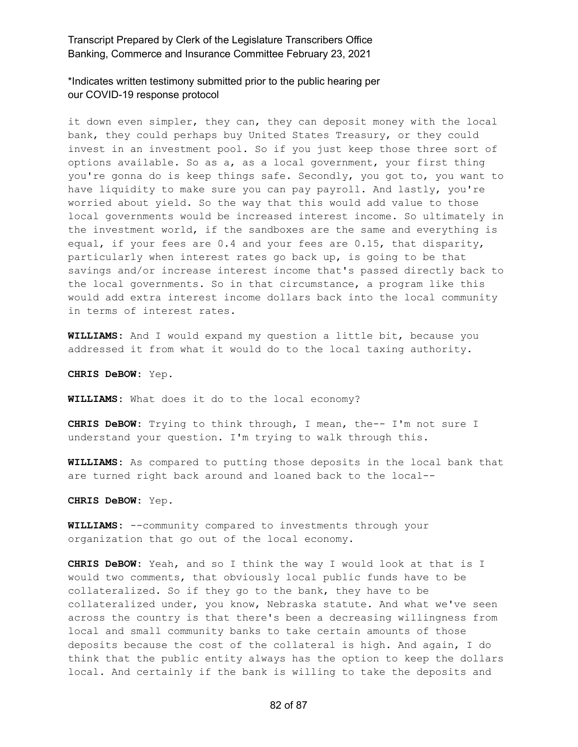\*Indicates written testimony submitted prior to the public hearing per our COVID-19 response protocol

it down even simpler, they can, they can deposit money with the local bank, they could perhaps buy United States Treasury, or they could invest in an investment pool. So if you just keep those three sort of options available. So as a, as a local government, your first thing you're gonna do is keep things safe. Secondly, you got to, you want to have liquidity to make sure you can pay payroll. And lastly, you're worried about yield. So the way that this would add value to those local governments would be increased interest income. So ultimately in the investment world, if the sandboxes are the same and everything is equal, if your fees are 0.4 and your fees are 0.15, that disparity, particularly when interest rates go back up, is going to be that savings and/or increase interest income that's passed directly back to the local governments. So in that circumstance, a program like this would add extra interest income dollars back into the local community in terms of interest rates.

**WILLIAMS:** And I would expand my question a little bit, because you addressed it from what it would do to the local taxing authority.

**CHRIS DeBOW:** Yep.

**WILLIAMS:** What does it do to the local economy?

**CHRIS DeBOW:** Trying to think through, I mean, the-- I'm not sure I understand your question. I'm trying to walk through this.

**WILLIAMS:** As compared to putting those deposits in the local bank that are turned right back around and loaned back to the local--

**CHRIS DeBOW:** Yep.

**WILLIAMS:** --community compared to investments through your organization that go out of the local economy.

**CHRIS DeBOW:** Yeah, and so I think the way I would look at that is I would two comments, that obviously local public funds have to be collateralized. So if they go to the bank, they have to be collateralized under, you know, Nebraska statute. And what we've seen across the country is that there's been a decreasing willingness from local and small community banks to take certain amounts of those deposits because the cost of the collateral is high. And again, I do think that the public entity always has the option to keep the dollars local. And certainly if the bank is willing to take the deposits and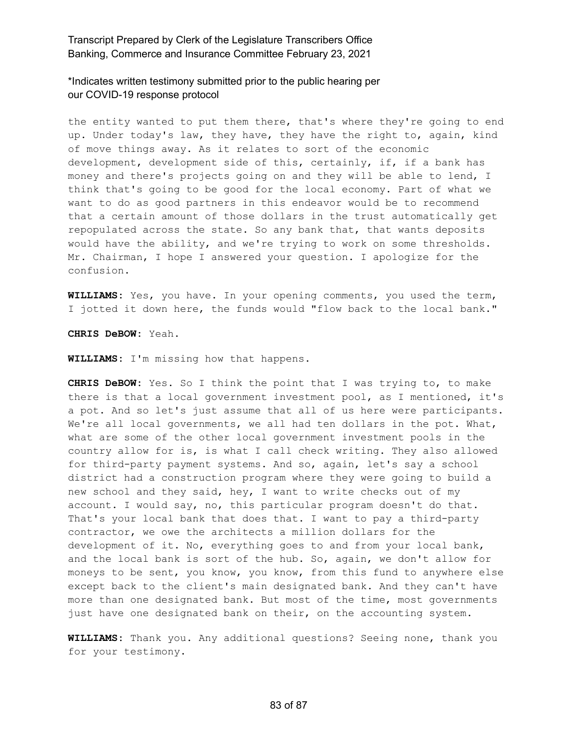\*Indicates written testimony submitted prior to the public hearing per our COVID-19 response protocol

the entity wanted to put them there, that's where they're going to end up. Under today's law, they have, they have the right to, again, kind of move things away. As it relates to sort of the economic development, development side of this, certainly, if, if a bank has money and there's projects going on and they will be able to lend, I think that's going to be good for the local economy. Part of what we want to do as good partners in this endeavor would be to recommend that a certain amount of those dollars in the trust automatically get repopulated across the state. So any bank that, that wants deposits would have the ability, and we're trying to work on some thresholds. Mr. Chairman, I hope I answered your question. I apologize for the confusion.

**WILLIAMS:** Yes, you have. In your opening comments, you used the term, I jotted it down here, the funds would "flow back to the local bank."

**CHRIS DeBOW:** Yeah.

**WILLIAMS:** I'm missing how that happens.

**CHRIS DeBOW:** Yes. So I think the point that I was trying to, to make there is that a local government investment pool, as I mentioned, it's a pot. And so let's just assume that all of us here were participants. We're all local governments, we all had ten dollars in the pot. What, what are some of the other local government investment pools in the country allow for is, is what I call check writing. They also allowed for third-party payment systems. And so, again, let's say a school district had a construction program where they were going to build a new school and they said, hey, I want to write checks out of my account. I would say, no, this particular program doesn't do that. That's your local bank that does that. I want to pay a third-party contractor, we owe the architects a million dollars for the development of it. No, everything goes to and from your local bank, and the local bank is sort of the hub. So, again, we don't allow for moneys to be sent, you know, you know, from this fund to anywhere else except back to the client's main designated bank. And they can't have more than one designated bank. But most of the time, most governments just have one designated bank on their, on the accounting system.

**WILLIAMS:** Thank you. Any additional questions? Seeing none, thank you for your testimony.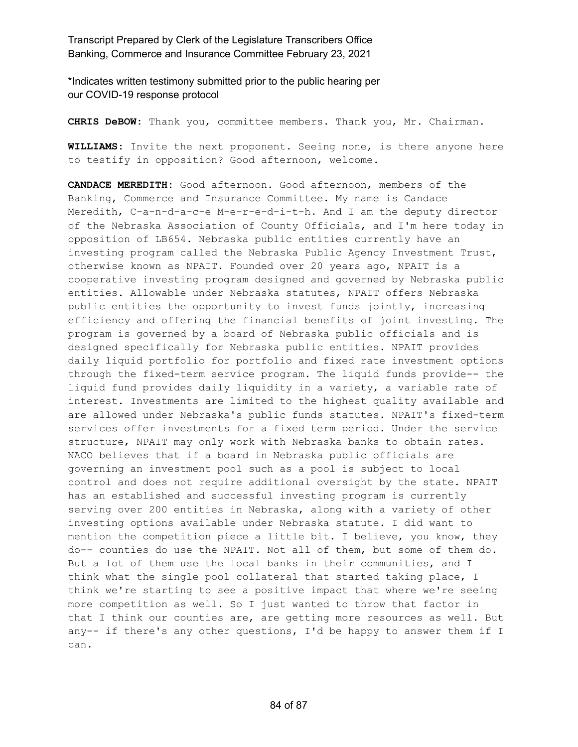\*Indicates written testimony submitted prior to the public hearing per our COVID-19 response protocol

**CHRIS DeBOW:** Thank you, committee members. Thank you, Mr. Chairman.

**WILLIAMS:** Invite the next proponent. Seeing none, is there anyone here to testify in opposition? Good afternoon, welcome.

**CANDACE MEREDITH:** Good afternoon. Good afternoon, members of the Banking, Commerce and Insurance Committee. My name is Candace Meredith, C-a-n-d-a-c-e M-e-r-e-d-i-t-h. And I am the deputy director of the Nebraska Association of County Officials, and I'm here today in opposition of LB654. Nebraska public entities currently have an investing program called the Nebraska Public Agency Investment Trust, otherwise known as NPAIT. Founded over 20 years ago, NPAIT is a cooperative investing program designed and governed by Nebraska public entities. Allowable under Nebraska statutes, NPAIT offers Nebraska public entities the opportunity to invest funds jointly, increasing efficiency and offering the financial benefits of joint investing. The program is governed by a board of Nebraska public officials and is designed specifically for Nebraska public entities. NPAIT provides daily liquid portfolio for portfolio and fixed rate investment options through the fixed-term service program. The liquid funds provide-- the liquid fund provides daily liquidity in a variety, a variable rate of interest. Investments are limited to the highest quality available and are allowed under Nebraska's public funds statutes. NPAIT's fixed-term services offer investments for a fixed term period. Under the service structure, NPAIT may only work with Nebraska banks to obtain rates. NACO believes that if a board in Nebraska public officials are governing an investment pool such as a pool is subject to local control and does not require additional oversight by the state. NPAIT has an established and successful investing program is currently serving over 200 entities in Nebraska, along with a variety of other investing options available under Nebraska statute. I did want to mention the competition piece a little bit. I believe, you know, they do-- counties do use the NPAIT. Not all of them, but some of them do. But a lot of them use the local banks in their communities, and I think what the single pool collateral that started taking place, I think we're starting to see a positive impact that where we're seeing more competition as well. So I just wanted to throw that factor in that I think our counties are, are getting more resources as well. But any-- if there's any other questions, I'd be happy to answer them if I can.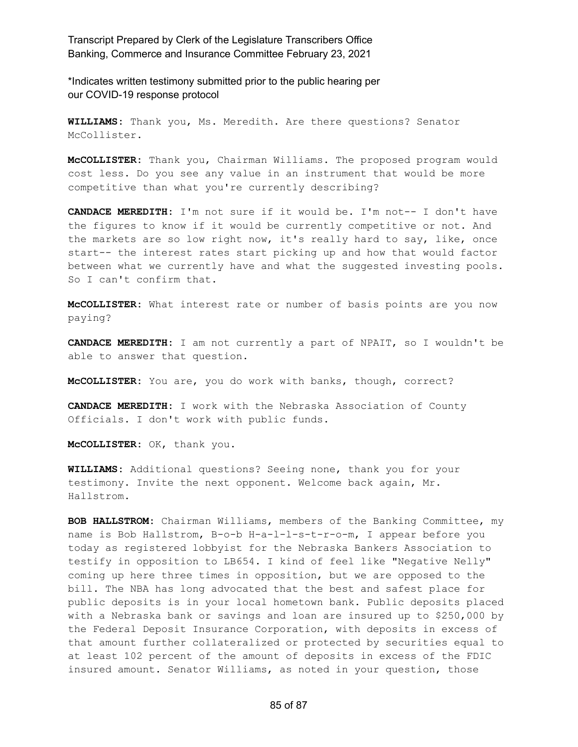\*Indicates written testimony submitted prior to the public hearing per our COVID-19 response protocol

**WILLIAMS:** Thank you, Ms. Meredith. Are there questions? Senator McCollister.

**McCOLLISTER:** Thank you, Chairman Williams. The proposed program would cost less. Do you see any value in an instrument that would be more competitive than what you're currently describing?

**CANDACE MEREDITH:** I'm not sure if it would be. I'm not-- I don't have the figures to know if it would be currently competitive or not. And the markets are so low right now, it's really hard to say, like, once start-- the interest rates start picking up and how that would factor between what we currently have and what the suggested investing pools. So I can't confirm that.

**McCOLLISTER:** What interest rate or number of basis points are you now paying?

**CANDACE MEREDITH:** I am not currently a part of NPAIT, so I wouldn't be able to answer that question.

**McCOLLISTER:** You are, you do work with banks, though, correct?

**CANDACE MEREDITH:** I work with the Nebraska Association of County Officials. I don't work with public funds.

**McCOLLISTER:** OK, thank you.

**WILLIAMS:** Additional questions? Seeing none, thank you for your testimony. Invite the next opponent. Welcome back again, Mr. Hallstrom.

**BOB HALLSTROM:** Chairman Williams, members of the Banking Committee, my name is Bob Hallstrom, B-o-b H-a-l-l-s-t-r-o-m, I appear before you today as registered lobbyist for the Nebraska Bankers Association to testify in opposition to LB654. I kind of feel like "Negative Nelly" coming up here three times in opposition, but we are opposed to the bill. The NBA has long advocated that the best and safest place for public deposits is in your local hometown bank. Public deposits placed with a Nebraska bank or savings and loan are insured up to \$250,000 by the Federal Deposit Insurance Corporation, with deposits in excess of that amount further collateralized or protected by securities equal to at least 102 percent of the amount of deposits in excess of the FDIC insured amount. Senator Williams, as noted in your question, those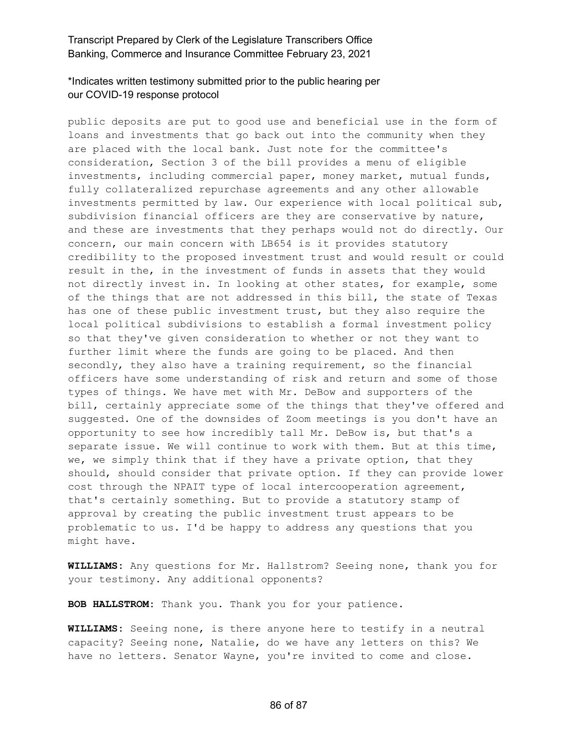# \*Indicates written testimony submitted prior to the public hearing per our COVID-19 response protocol

public deposits are put to good use and beneficial use in the form of loans and investments that go back out into the community when they are placed with the local bank. Just note for the committee's consideration, Section 3 of the bill provides a menu of eligible investments, including commercial paper, money market, mutual funds, fully collateralized repurchase agreements and any other allowable investments permitted by law. Our experience with local political sub, subdivision financial officers are they are conservative by nature, and these are investments that they perhaps would not do directly. Our concern, our main concern with LB654 is it provides statutory credibility to the proposed investment trust and would result or could result in the, in the investment of funds in assets that they would not directly invest in. In looking at other states, for example, some of the things that are not addressed in this bill, the state of Texas has one of these public investment trust, but they also require the local political subdivisions to establish a formal investment policy so that they've given consideration to whether or not they want to further limit where the funds are going to be placed. And then secondly, they also have a training requirement, so the financial officers have some understanding of risk and return and some of those types of things. We have met with Mr. DeBow and supporters of the bill, certainly appreciate some of the things that they've offered and suggested. One of the downsides of Zoom meetings is you don't have an opportunity to see how incredibly tall Mr. DeBow is, but that's a separate issue. We will continue to work with them. But at this time, we, we simply think that if they have a private option, that they should, should consider that private option. If they can provide lower cost through the NPAIT type of local intercooperation agreement, that's certainly something. But to provide a statutory stamp of approval by creating the public investment trust appears to be problematic to us. I'd be happy to address any questions that you might have.

**WILLIAMS:** Any questions for Mr. Hallstrom? Seeing none, thank you for your testimony. Any additional opponents?

**BOB HALLSTROM:** Thank you. Thank you for your patience.

**WILLIAMS:** Seeing none, is there anyone here to testify in a neutral capacity? Seeing none, Natalie, do we have any letters on this? We have no letters. Senator Wayne, you're invited to come and close.